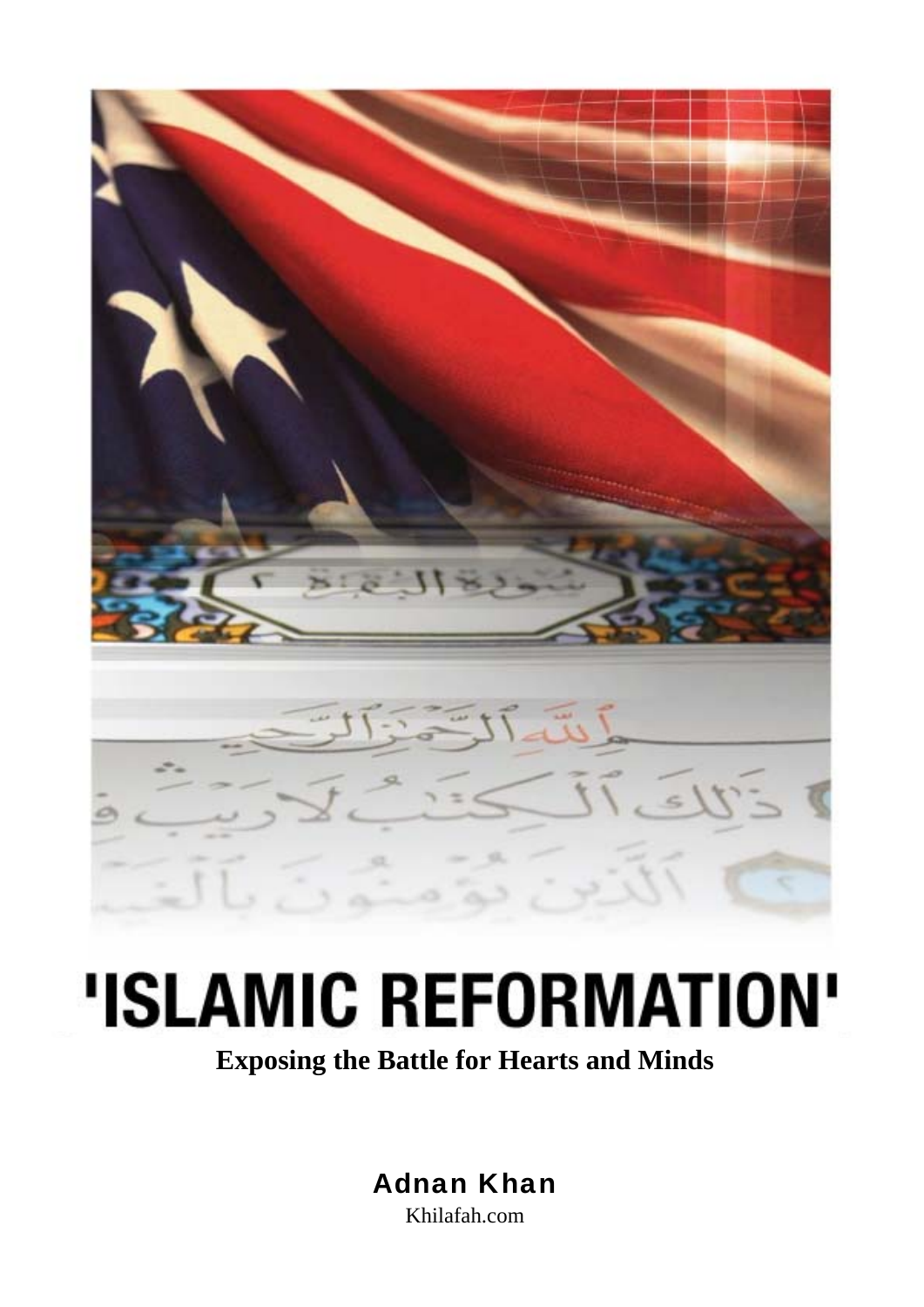

# **'ISLAMIC REFORMATION'**

**Exposing the Battle for Hearts and Minds** 

Adnan Khan

Khilafah.com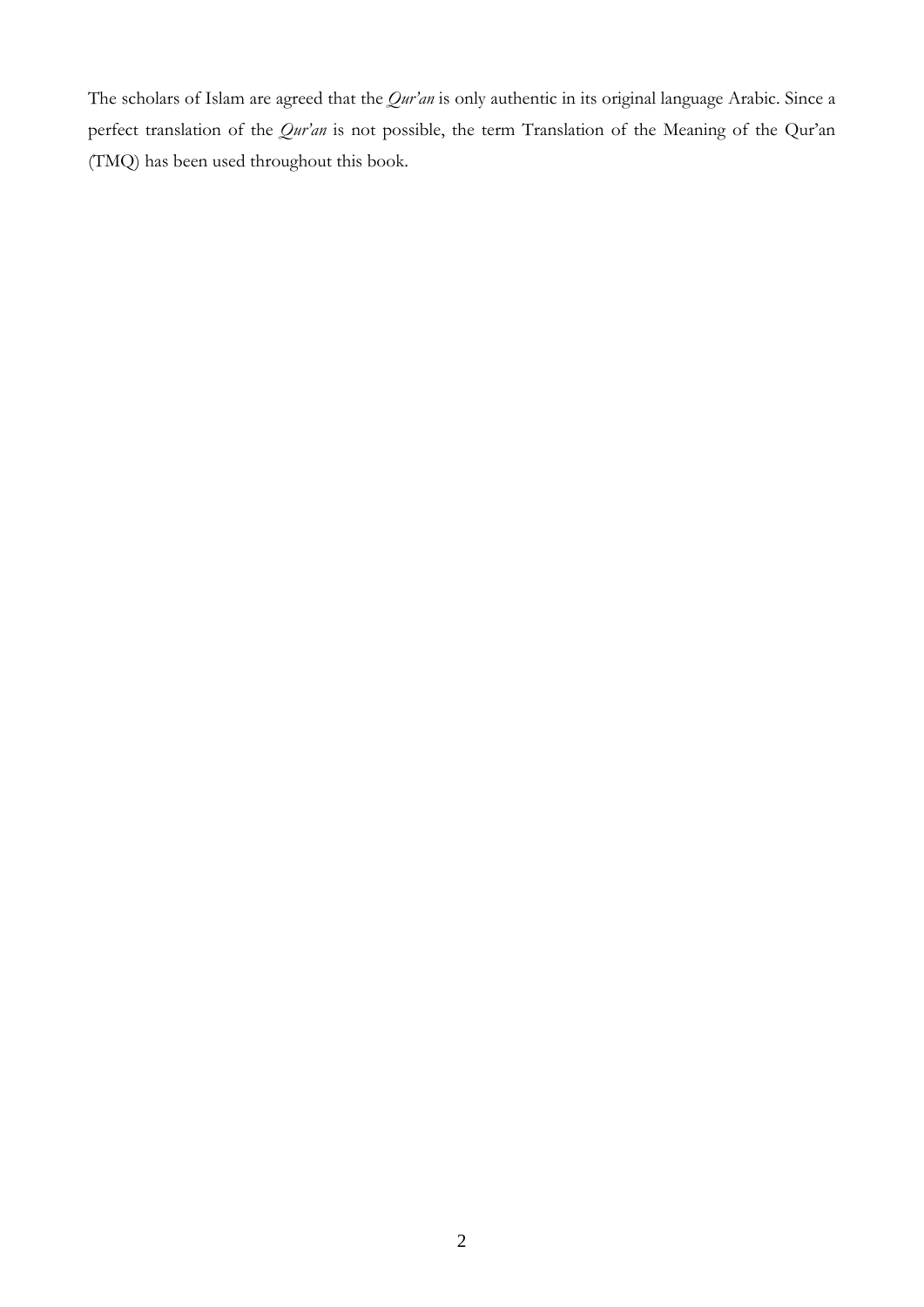The scholars of Islam are agreed that the *Qur'an* is only authentic in its original language Arabic. Since a perfect translation of the *Qur'an* is not possible, the term Translation of the Meaning of the Qur'an (TMQ) has been used throughout this book.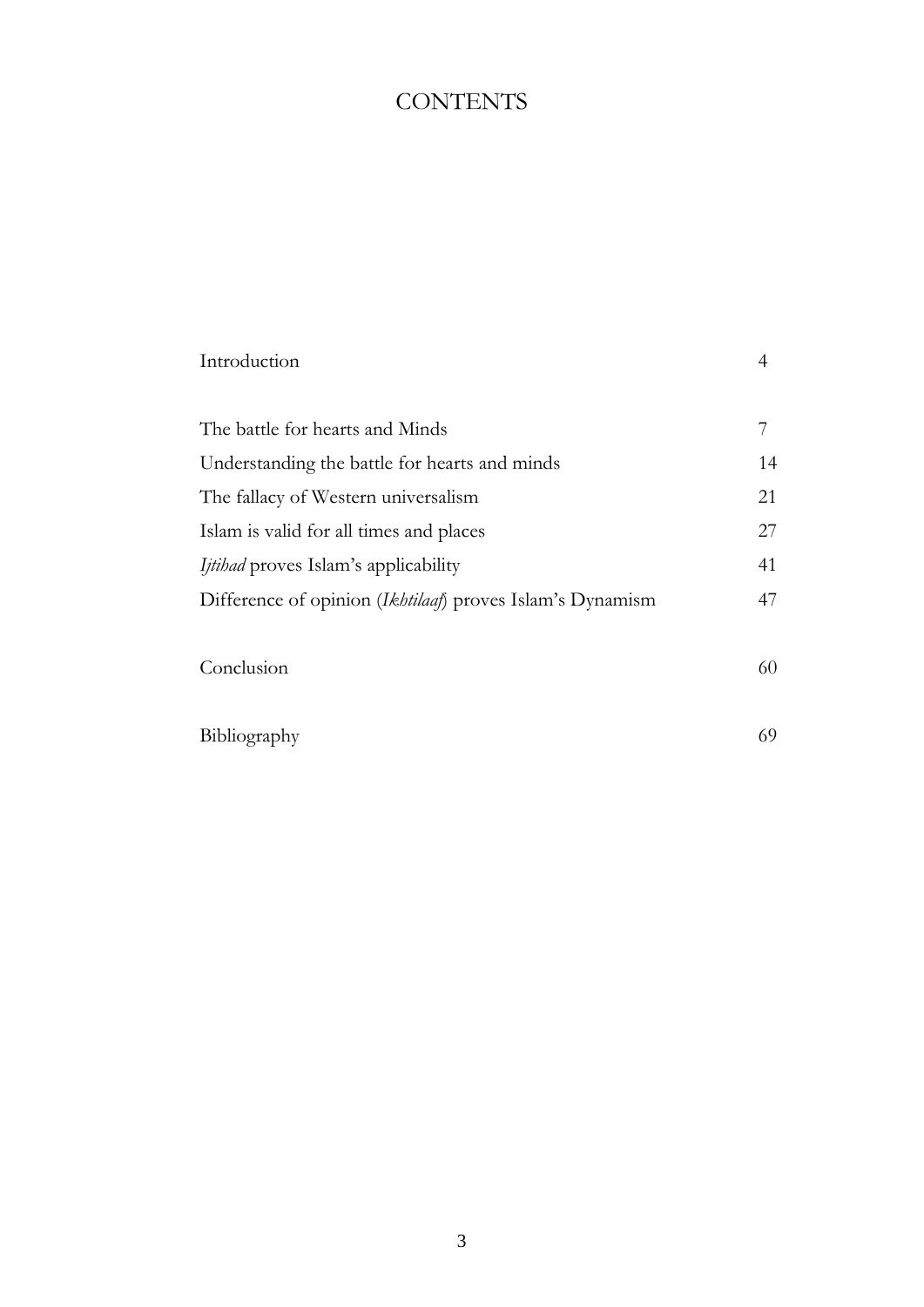# **CONTENTS**

| Introduction                                              | 4  |
|-----------------------------------------------------------|----|
| The battle for hearts and Minds                           | 7  |
| Understanding the battle for hearts and minds             | 14 |
| The fallacy of Western universalism                       | 21 |
| Islam is valid for all times and places                   | 27 |
| <i>Ijtihad</i> proves Islam's applicability               | 41 |
| Difference of opinion (Ikhtilaaf) proves Islam's Dynamism | 47 |
| Conclusion                                                | 60 |
| Bibliography                                              | 69 |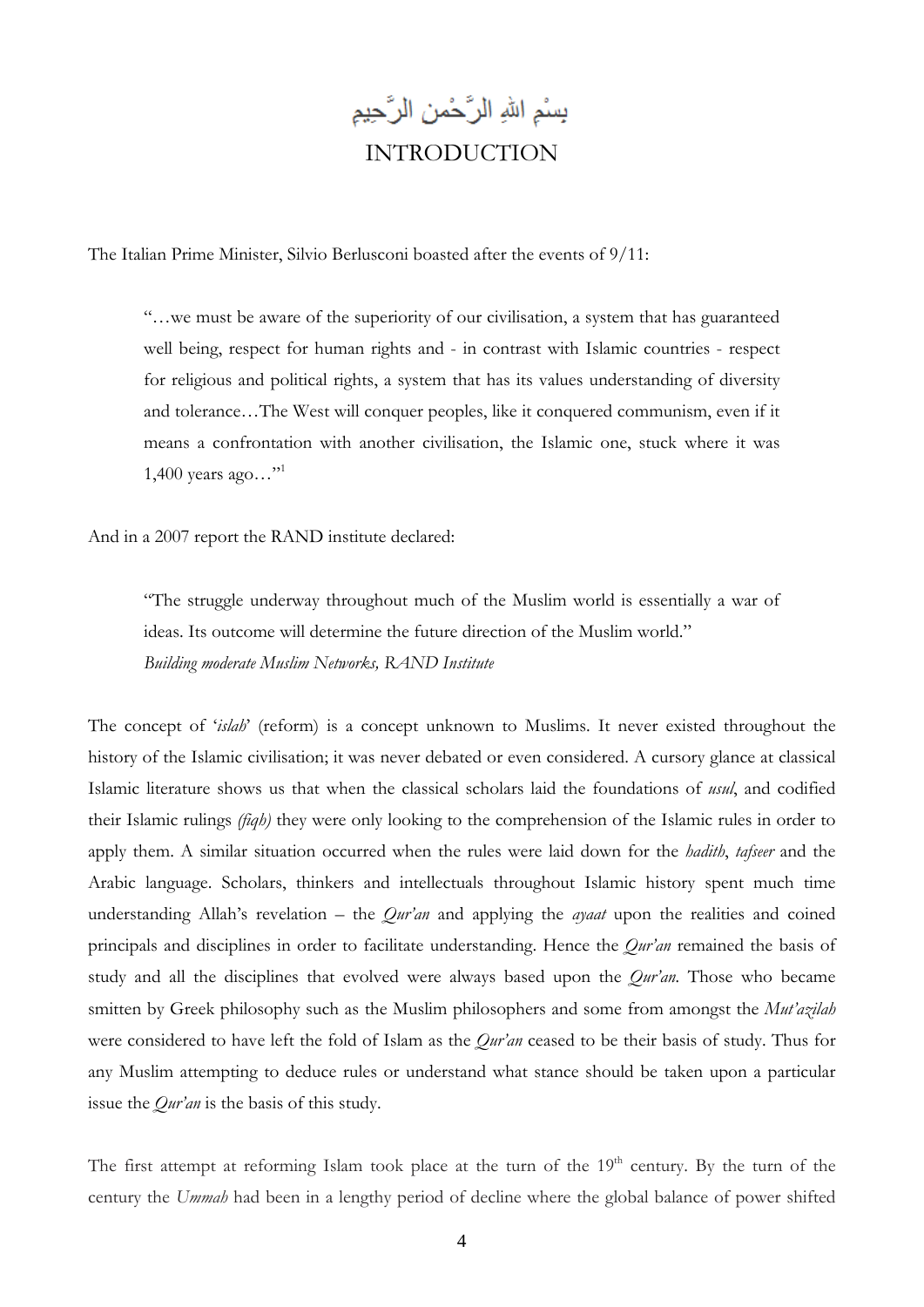# بِسْمِ اللهِ الرَّحْمنِ الرَّحِيمِ INTRODUCTION

The Italian Prime Minister, Silvio Berlusconi boasted after the events of 9/11:

"…we must be aware of the superiority of our civilisation, a system that has guaranteed well being, respect for human rights and - in contrast with Islamic countries - respect for religious and political rights, a system that has its values understanding of diversity and tolerance…The West will conquer peoples, like it conquered communism, even if it means a confrontation with another civilisation, the Islamic one, stuck where it was 1,400 years ago…"1

And in a 2007 report the RAND institute declared:

"The struggle underway throughout much of the Muslim world is essentially a war of ideas. Its outcome will determine the future direction of the Muslim world." *Building moderate Muslim Networks, RAND Institute* 

The concept of '*islah*' (reform) is a concept unknown to Muslims. It never existed throughout the history of the Islamic civilisation; it was never debated or even considered. A cursory glance at classical Islamic literature shows us that when the classical scholars laid the foundations of *usul*, and codified their Islamic rulings *(fiqh)* they were only looking to the comprehension of the Islamic rules in order to apply them. A similar situation occurred when the rules were laid down for the *hadith*, *tafseer* and the Arabic language. Scholars, thinkers and intellectuals throughout Islamic history spent much time understanding Allah's revelation – the *Qur'an* and applying the *ayaat* upon the realities and coined principals and disciplines in order to facilitate understanding. Hence the *Qur'an* remained the basis of study and all the disciplines that evolved were always based upon the *Qur'an.* Those who became smitten by Greek philosophy such as the Muslim philosophers and some from amongst the *Mut'azilah* were considered to have left the fold of Islam as the *Qur'an* ceased to be their basis of study. Thus for any Muslim attempting to deduce rules or understand what stance should be taken upon a particular issue the *Qur'an* is the basis of this study.

The first attempt at reforming Islam took place at the turn of the 19<sup>th</sup> century. By the turn of the century the *Ummah* had been in a lengthy period of decline where the global balance of power shifted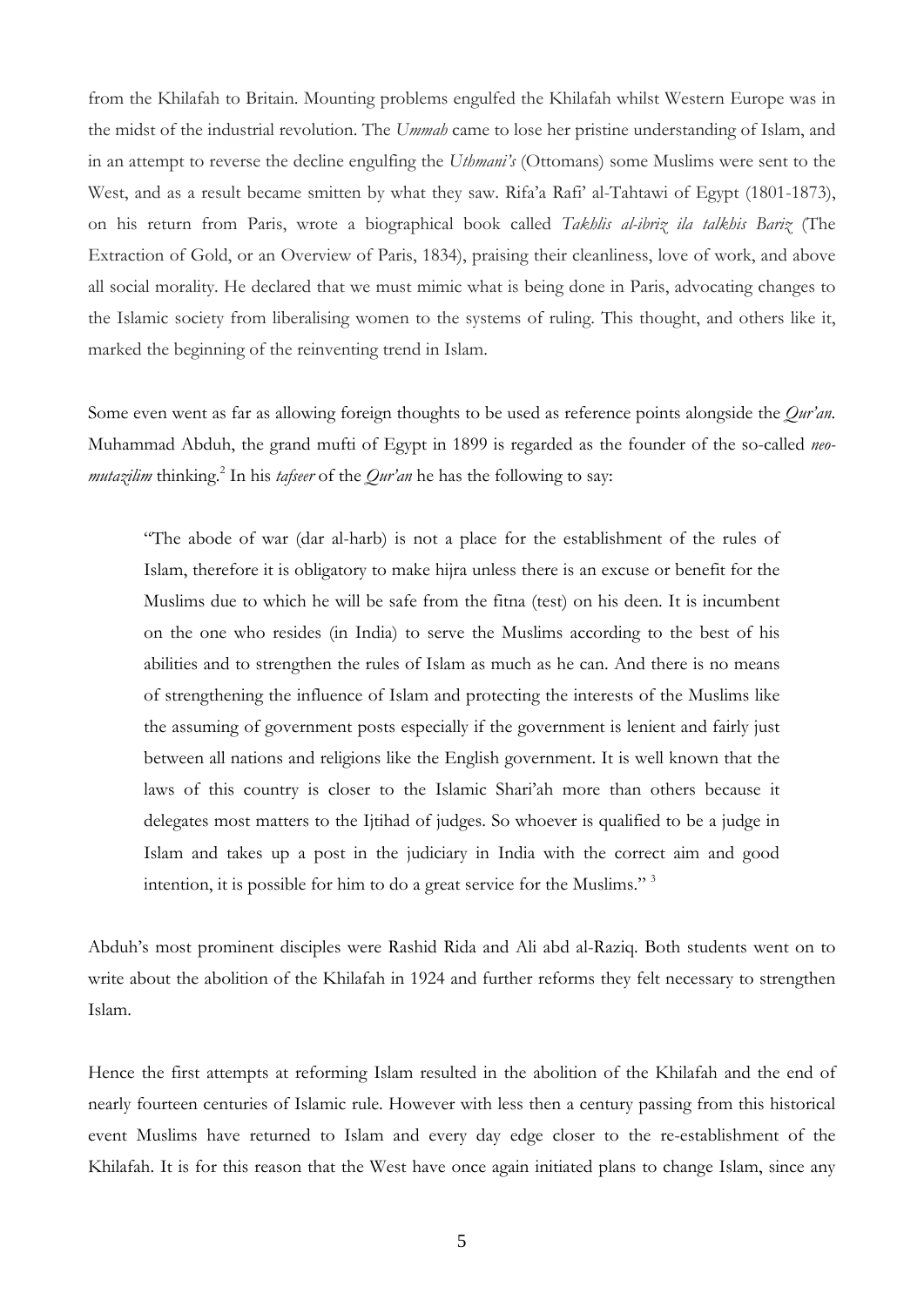from the Khilafah to Britain. Mounting problems engulfed the Khilafah whilst Western Europe was in the midst of the industrial revolution. The *Ummah* came to lose her pristine understanding of Islam, and in an attempt to reverse the decline engulfing the *Uthmani's* (Ottomans) some Muslims were sent to the West, and as a result became smitten by what they saw. Rifa'a Rafi' al-Tahtawi of Egypt (1801-1873), on his return from Paris, wrote a biographical book called *Takhlis al-ibriz ila talkhis Bariz* (The Extraction of Gold, or an Overview of Paris, 1834), praising their cleanliness, love of work, and above all social morality. He declared that we must mimic what is being done in Paris, advocating changes to the Islamic society from liberalising women to the systems of ruling. This thought, and others like it, marked the beginning of the reinventing trend in Islam.

Some even went as far as allowing foreign thoughts to be used as reference points alongside the *Qur'an*. Muhammad Abduh, the grand mufti of Egypt in 1899 is regarded as the founder of the so-called *neo*mutazilim thinking.<sup>2</sup> In his *tafseer* of the *Qur'an* he has the following to say:

"The abode of war (dar al-harb) is not a place for the establishment of the rules of Islam, therefore it is obligatory to make hijra unless there is an excuse or benefit for the Muslims due to which he will be safe from the fitna (test) on his deen. It is incumbent on the one who resides (in India) to serve the Muslims according to the best of his abilities and to strengthen the rules of Islam as much as he can. And there is no means of strengthening the influence of Islam and protecting the interests of the Muslims like the assuming of government posts especially if the government is lenient and fairly just between all nations and religions like the English government. It is well known that the laws of this country is closer to the Islamic Shari'ah more than others because it delegates most matters to the Ijtihad of judges. So whoever is qualified to be a judge in Islam and takes up a post in the judiciary in India with the correct aim and good intention, it is possible for him to do a great service for the Muslims." 3

Abduh's most prominent disciples were Rashid Rida and Ali abd al-Raziq. Both students went on to write about the abolition of the Khilafah in 1924 and further reforms they felt necessary to strengthen Islam.

Hence the first attempts at reforming Islam resulted in the abolition of the Khilafah and the end of nearly fourteen centuries of Islamic rule. However with less then a century passing from this historical event Muslims have returned to Islam and every day edge closer to the re-establishment of the Khilafah. It is for this reason that the West have once again initiated plans to change Islam, since any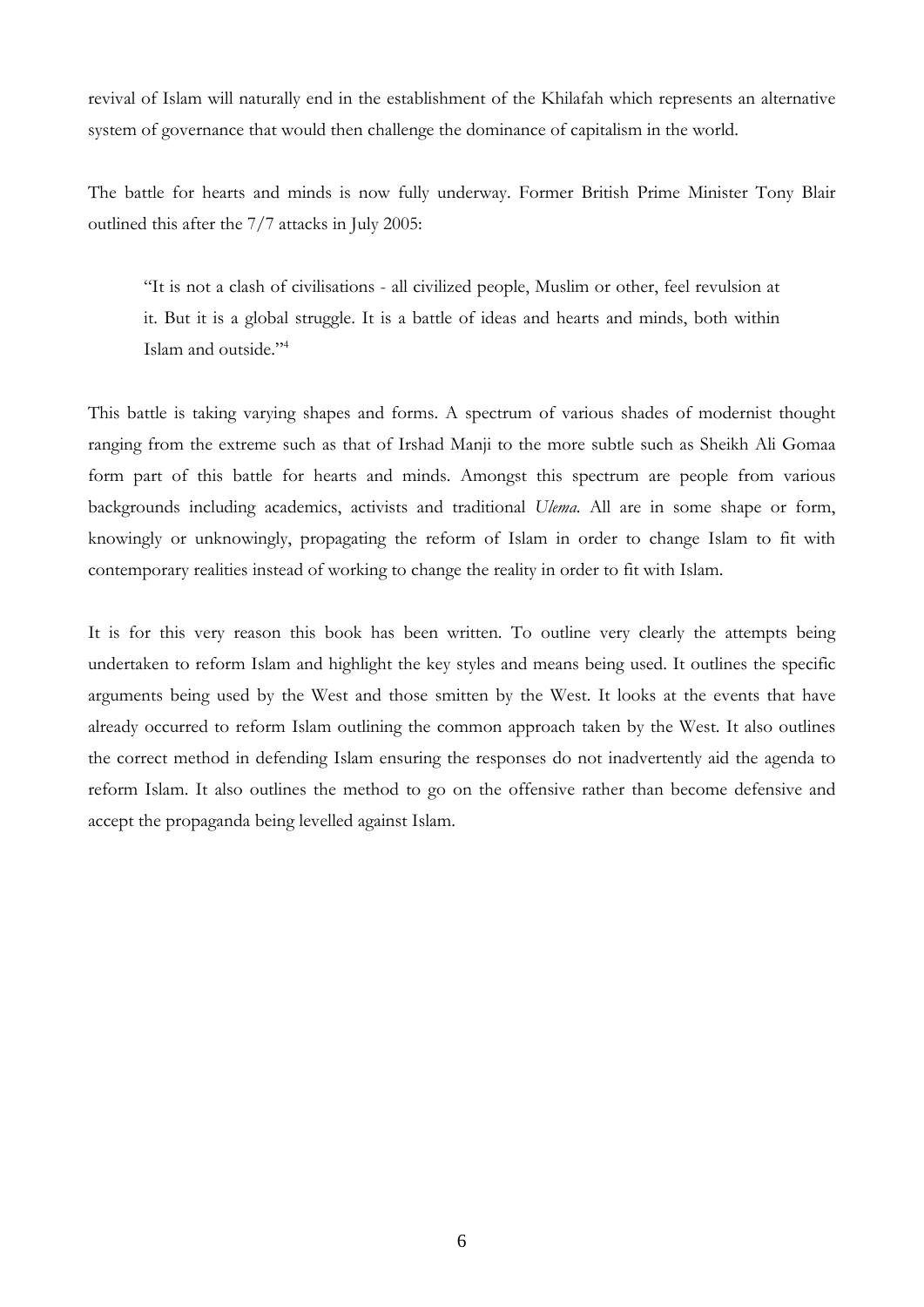revival of Islam will naturally end in the establishment of the Khilafah which represents an alternative system of governance that would then challenge the dominance of capitalism in the world.

The battle for hearts and minds is now fully underway. Former British Prime Minister Tony Blair outlined this after the 7/7 attacks in July 2005:

"It is not a clash of civilisations - all civilized people, Muslim or other, feel revulsion at it. But it is a global struggle. It is a battle of ideas and hearts and minds, both within Islam and outside."4

This battle is taking varying shapes and forms. A spectrum of various shades of modernist thought ranging from the extreme such as that of Irshad Manji to the more subtle such as Sheikh Ali Gomaa form part of this battle for hearts and minds. Amongst this spectrum are people from various backgrounds including academics, activists and traditional *Ulema*. All are in some shape or form, knowingly or unknowingly, propagating the reform of Islam in order to change Islam to fit with contemporary realities instead of working to change the reality in order to fit with Islam.

It is for this very reason this book has been written. To outline very clearly the attempts being undertaken to reform Islam and highlight the key styles and means being used. It outlines the specific arguments being used by the West and those smitten by the West. It looks at the events that have already occurred to reform Islam outlining the common approach taken by the West. It also outlines the correct method in defending Islam ensuring the responses do not inadvertently aid the agenda to reform Islam. It also outlines the method to go on the offensive rather than become defensive and accept the propaganda being levelled against Islam.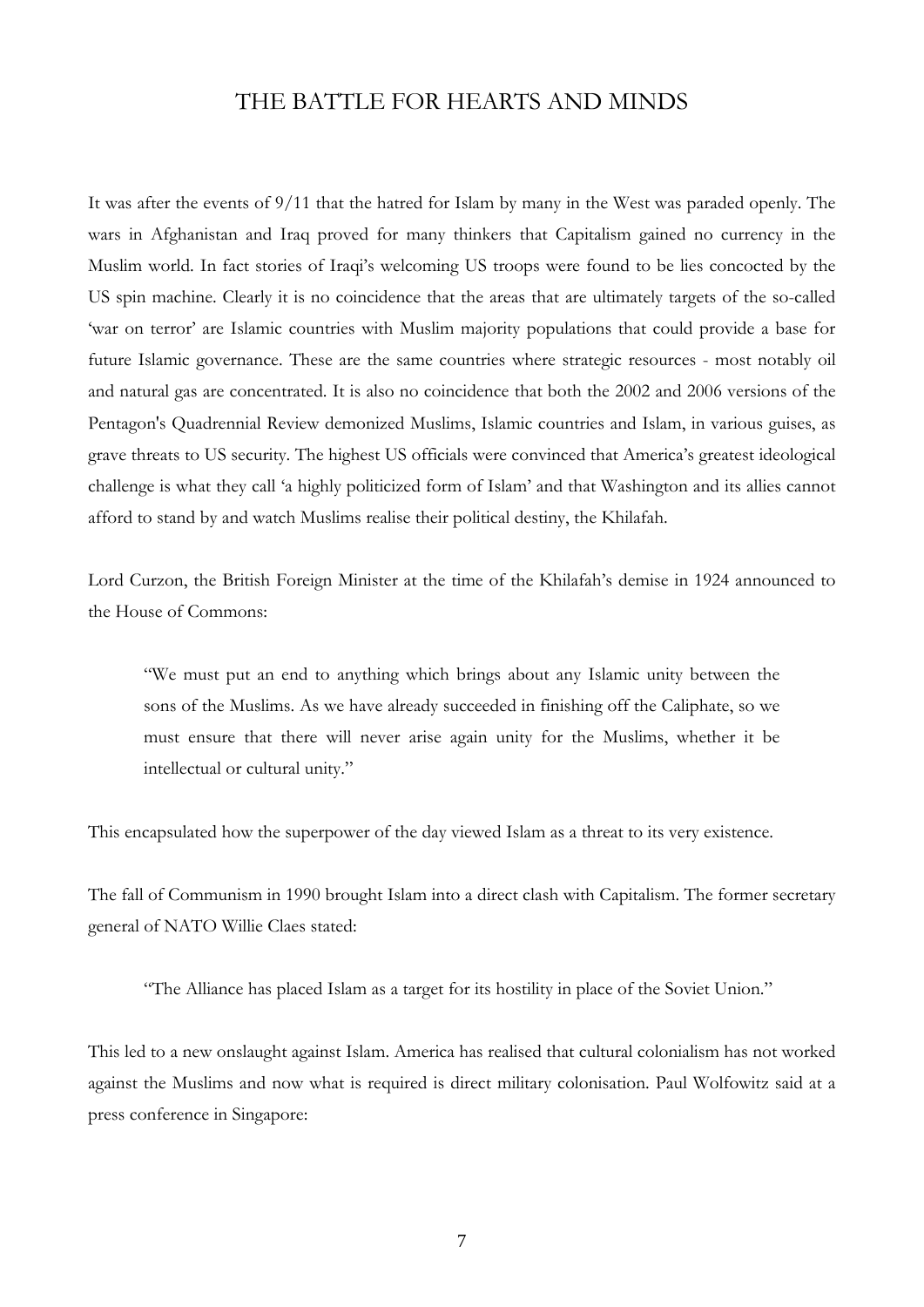# THE BATTLE FOR HEARTS AND MINDS

It was after the events of 9/11 that the hatred for Islam by many in the West was paraded openly. The wars in Afghanistan and Iraq proved for many thinkers that Capitalism gained no currency in the Muslim world. In fact stories of Iraqi's welcoming US troops were found to be lies concocted by the US spin machine. Clearly it is no coincidence that the areas that are ultimately targets of the so-called 'war on terror' are Islamic countries with Muslim majority populations that could provide a base for future Islamic governance. These are the same countries where strategic resources - most notably oil and natural gas are concentrated. It is also no coincidence that both the 2002 and 2006 versions of the Pentagon's Quadrennial Review demonized Muslims, Islamic countries and Islam, in various guises, as grave threats to US security. The highest US officials were convinced that America's greatest ideological challenge is what they call 'a highly politicized form of Islam' and that Washington and its allies cannot afford to stand by and watch Muslims realise their political destiny, the Khilafah.

Lord Curzon, the British Foreign Minister at the time of the Khilafah's demise in 1924 announced to the House of Commons:

"We must put an end to anything which brings about any Islamic unity between the sons of the Muslims. As we have already succeeded in finishing off the Caliphate, so we must ensure that there will never arise again unity for the Muslims, whether it be intellectual or cultural unity."

This encapsulated how the superpower of the day viewed Islam as a threat to its very existence.

The fall of Communism in 1990 brought Islam into a direct clash with Capitalism. The former secretary general of NATO Willie Claes stated:

"The Alliance has placed Islam as a target for its hostility in place of the Soviet Union."

This led to a new onslaught against Islam. America has realised that cultural colonialism has not worked against the Muslims and now what is required is direct military colonisation. Paul Wolfowitz said at a press conference in Singapore: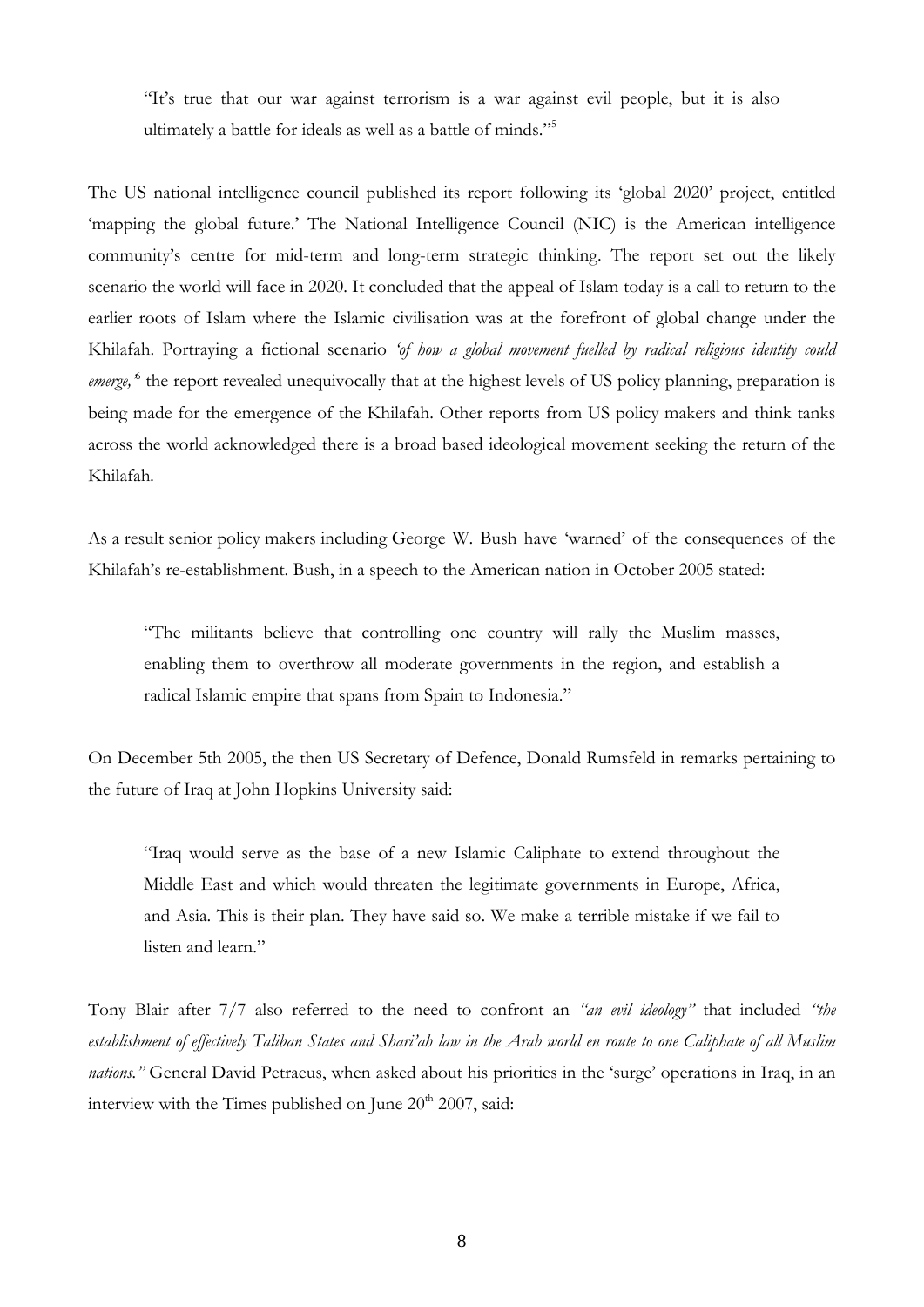"It's true that our war against terrorism is a war against evil people, but it is also ultimately a battle for ideals as well as a battle of minds."5

The US national intelligence council published its report following its 'global 2020' project, entitled 'mapping the global future.' The National Intelligence Council (NIC) is the American intelligence community's centre for mid-term and long-term strategic thinking. The report set out the likely scenario the world will face in 2020. It concluded that the appeal of Islam today is a call to return to the earlier roots of Islam where the Islamic civilisation was at the forefront of global change under the Khilafah. Portraying a fictional scenario *'of how a global movement fuelled by radical religious identity could emerge*,<sup>6</sup> the report revealed unequivocally that at the highest levels of US policy planning, preparation is being made for the emergence of the Khilafah. Other reports from US policy makers and think tanks across the world acknowledged there is a broad based ideological movement seeking the return of the Khilafah*.*

As a result senior policy makers including George W. Bush have 'warned' of the consequences of the Khilafah's re-establishment. Bush, in a speech to the American nation in October 2005 stated:

"The militants believe that controlling one country will rally the Muslim masses, enabling them to overthrow all moderate governments in the region, and establish a radical Islamic empire that spans from Spain to Indonesia."

On December 5th 2005, the then US Secretary of Defence, Donald Rumsfeld in remarks pertaining to the future of Iraq at John Hopkins University said:

"Iraq would serve as the base of a new Islamic Caliphate to extend throughout the Middle East and which would threaten the legitimate governments in Europe, Africa, and Asia. This is their plan. They have said so. We make a terrible mistake if we fail to listen and learn."

Tony Blair after 7/7 also referred to the need to confront an *"an evil ideology"* that included *"the establishment of effectively Taliban States and Shari'ah law in the Arab world en route to one Caliphate of all Muslim nations."* General David Petraeus, when asked about his priorities in the 'surge' operations in Iraq, in an interview with the Times published on June  $20<sup>th</sup> 2007$ , said: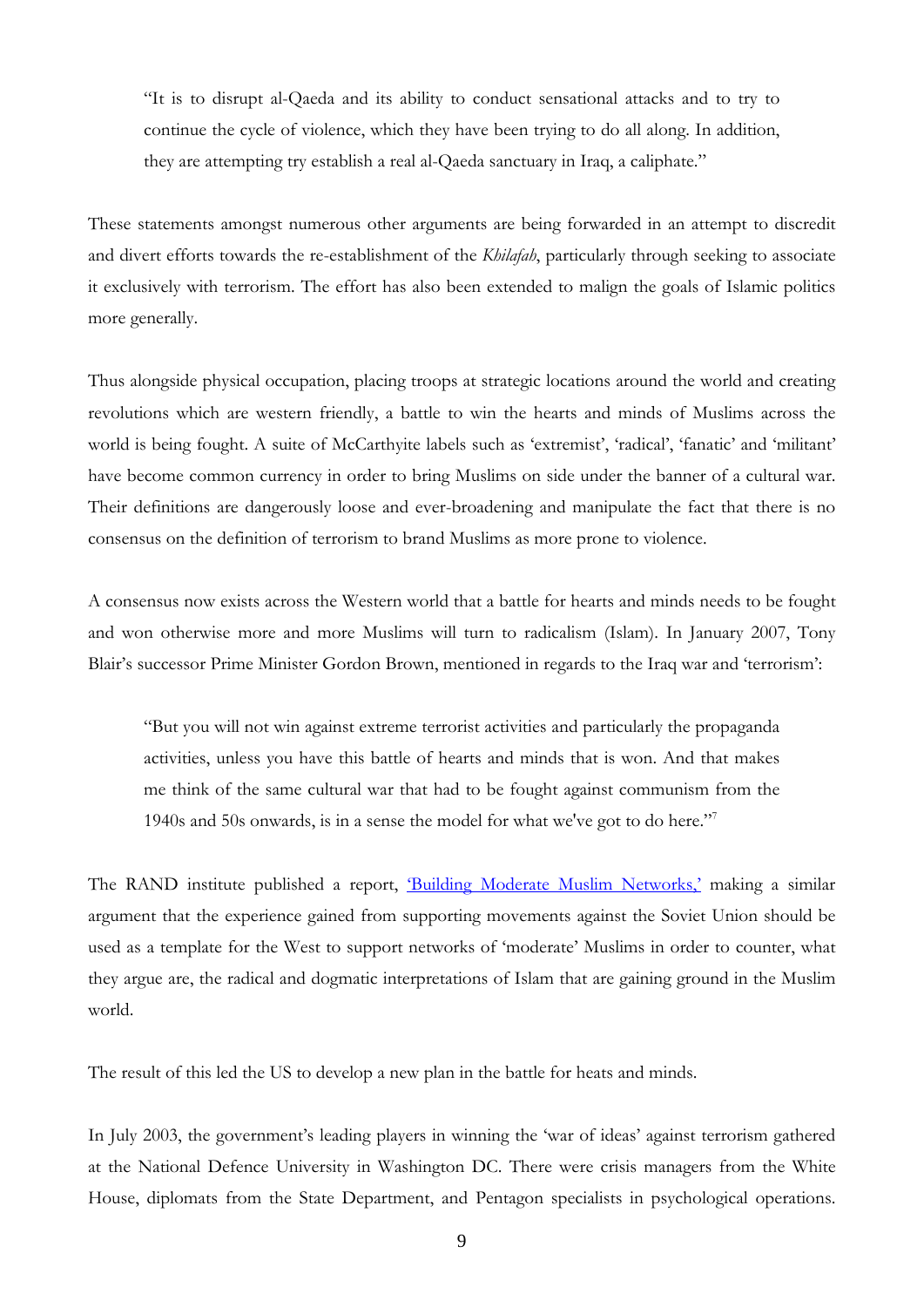"It is to disrupt al-Qaeda and its ability to conduct sensational attacks and to try to continue the cycle of violence, which they have been trying to do all along. In addition, they are attempting try establish a real al-Qaeda sanctuary in Iraq, a caliphate."

These statements amongst numerous other arguments are being forwarded in an attempt to discredit and divert efforts towards the re-establishment of the *Khilafah*, particularly through seeking to associate it exclusively with terrorism. The effort has also been extended to malign the goals of Islamic politics more generally.

Thus alongside physical occupation, placing troops at strategic locations around the world and creating revolutions which are western friendly, a battle to win the hearts and minds of Muslims across the world is being fought. A suite of McCarthyite labels such as 'extremist', 'radical', 'fanatic' and 'militant' have become common currency in order to bring Muslims on side under the banner of a cultural war. Their definitions are dangerously loose and ever-broadening and manipulate the fact that there is no consensus on the definition of terrorism to brand Muslims as more prone to violence.

A consensus now exists across the Western world that a battle for hearts and minds needs to be fought and won otherwise more and more Muslims will turn to radicalism (Islam). In January 2007, Tony Blair's successor Prime Minister Gordon Brown, mentioned in regards to the Iraq war and 'terrorism':

"But you will not win against extreme terrorist activities and particularly the propaganda activities, unless you have this battle of hearts and minds that is won. And that makes me think of the same cultural war that had to be fought against communism from the 1940s and 50s onwards, is in a sense the model for what we've got to do here."<sup>7</sup>

The RAND institute published a report, 'Building Moderate Muslim Networks,' making a similar argument that the experience gained from supporting movements against the Soviet Union should be used as a template for the West to support networks of 'moderate' Muslims in order to counter, what they argue are, the radical and dogmatic interpretations of Islam that are gaining ground in the Muslim world.

The result of this led the US to develop a new plan in the battle for heats and minds.

In July 2003, the government's leading players in winning the 'war of ideas' against terrorism gathered at the National Defence University in Washington DC. There were crisis managers from the White House, diplomats from the State Department, and Pentagon specialists in psychological operations.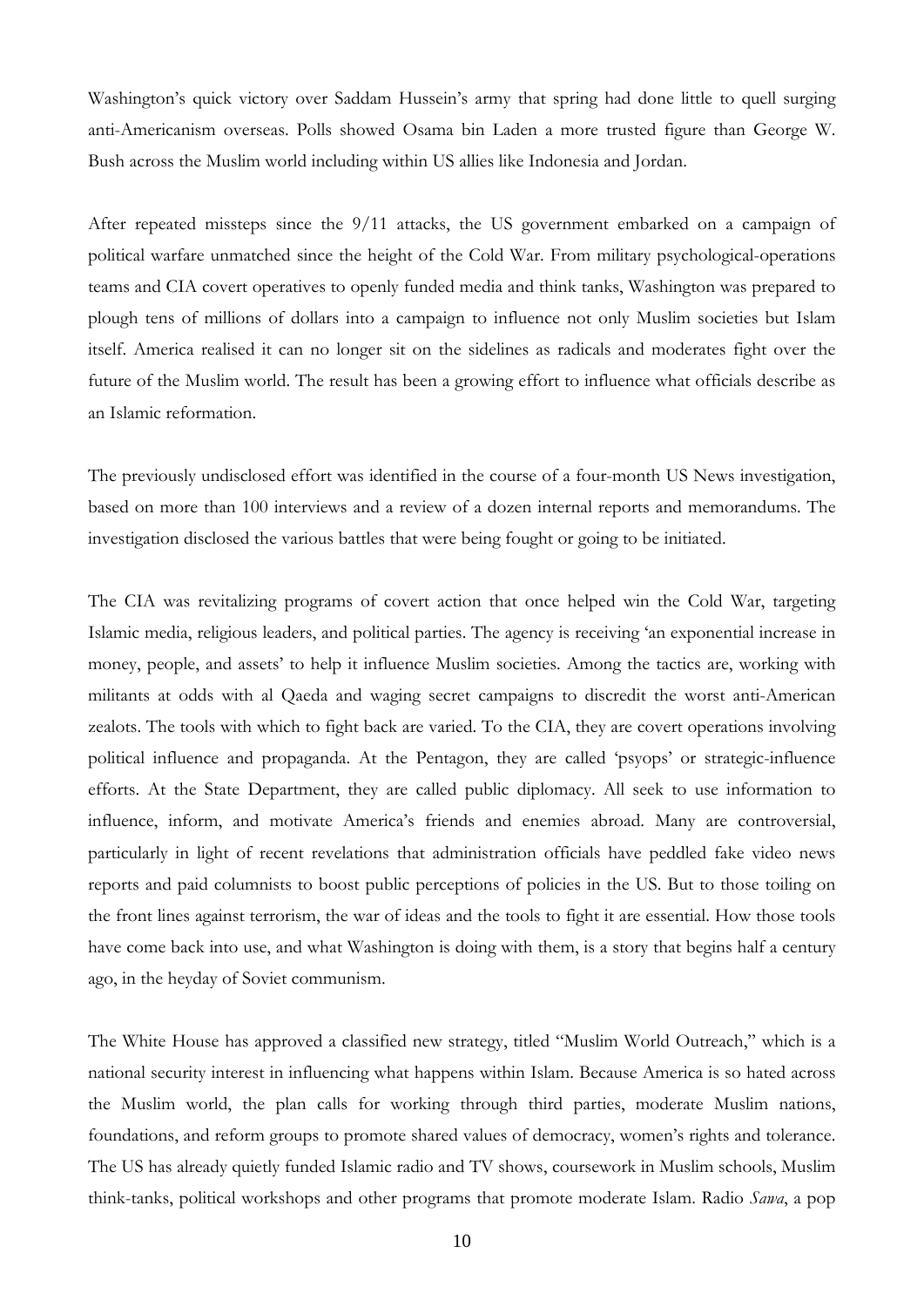Washington's quick victory over Saddam Hussein's army that spring had done little to quell surging anti-Americanism overseas. Polls showed Osama bin Laden a more trusted figure than George W. Bush across the Muslim world including within US allies like Indonesia and Jordan.

After repeated missteps since the 9/11 attacks, the US government embarked on a campaign of political warfare unmatched since the height of the Cold War. From military psychological-operations teams and CIA covert operatives to openly funded media and think tanks, Washington was prepared to plough tens of millions of dollars into a campaign to influence not only Muslim societies but Islam itself. America realised it can no longer sit on the sidelines as radicals and moderates fight over the future of the Muslim world. The result has been a growing effort to influence what officials describe as an Islamic reformation.

The previously undisclosed effort was identified in the course of a four-month US News investigation, based on more than 100 interviews and a review of a dozen internal reports and memorandums. The investigation disclosed the various battles that were being fought or going to be initiated.

The CIA was revitalizing programs of covert action that once helped win the Cold War, targeting Islamic media, religious leaders, and political parties. The agency is receiving 'an exponential increase in money, people, and assets' to help it influence Muslim societies. Among the tactics are, working with militants at odds with al Qaeda and waging secret campaigns to discredit the worst anti-American zealots. The tools with which to fight back are varied. To the CIA, they are covert operations involving political influence and propaganda. At the Pentagon, they are called 'psyops' or strategic-influence efforts. At the State Department, they are called public diplomacy. All seek to use information to influence, inform, and motivate America's friends and enemies abroad. Many are controversial, particularly in light of recent revelations that administration officials have peddled fake video news reports and paid columnists to boost public perceptions of policies in the US. But to those toiling on the front lines against terrorism, the war of ideas and the tools to fight it are essential. How those tools have come back into use, and what Washington is doing with them, is a story that begins half a century ago, in the heyday of Soviet communism.

The White House has approved a classified new strategy, titled "Muslim World Outreach," which is a national security interest in influencing what happens within Islam. Because America is so hated across the Muslim world, the plan calls for working through third parties, moderate Muslim nations, foundations, and reform groups to promote shared values of democracy, women's rights and tolerance. The US has already quietly funded Islamic radio and TV shows, coursework in Muslim schools, Muslim think-tanks, political workshops and other programs that promote moderate Islam. Radio *Sawa*, a pop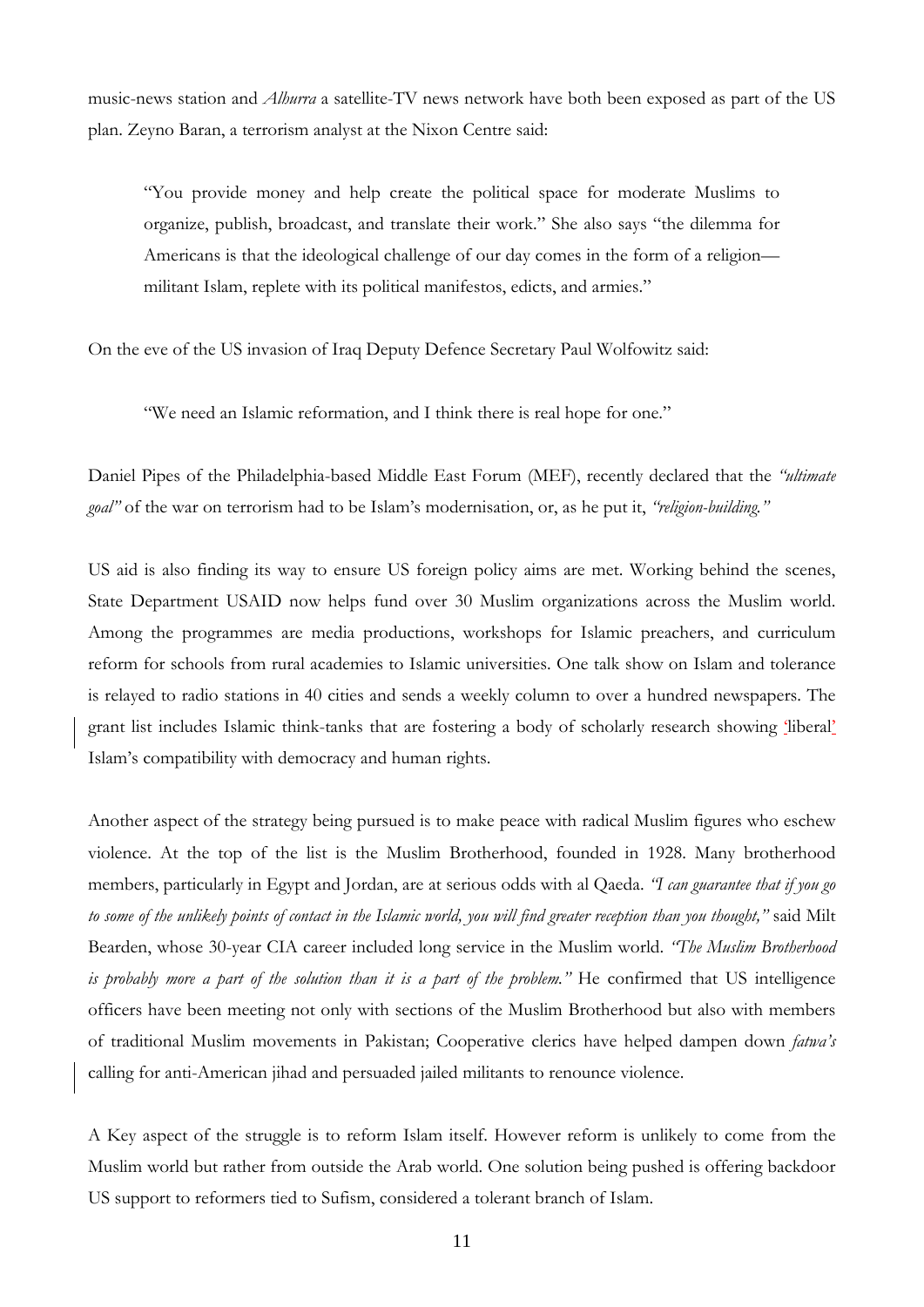music-news station and *Alhurra* a satellite-TV news network have both been exposed as part of the US plan. Zeyno Baran, a terrorism analyst at the Nixon Centre said:

"You provide money and help create the political space for moderate Muslims to organize, publish, broadcast, and translate their work." She also says "the dilemma for Americans is that the ideological challenge of our day comes in the form of a religion militant Islam, replete with its political manifestos, edicts, and armies."

On the eve of the US invasion of Iraq Deputy Defence Secretary Paul Wolfowitz said:

"We need an Islamic reformation, and I think there is real hope for one."

Daniel Pipes of the Philadelphia-based Middle East Forum (MEF), recently declared that the *"ultimate goal"* of the war on terrorism had to be Islam's modernisation, or, as he put it, *"religion-building."*

US aid is also finding its way to ensure US foreign policy aims are met. Working behind the scenes, State Department USAID now helps fund over 30 Muslim organizations across the Muslim world. Among the programmes are media productions, workshops for Islamic preachers, and curriculum reform for schools from rural academies to Islamic universities. One talk show on Islam and tolerance is relayed to radio stations in 40 cities and sends a weekly column to over a hundred newspapers. The grant list includes Islamic think-tanks that are fostering a body of scholarly research showing 'liberal' Islam's compatibility with democracy and human rights.

Another aspect of the strategy being pursued is to make peace with radical Muslim figures who eschew violence. At the top of the list is the Muslim Brotherhood, founded in 1928. Many brotherhood members, particularly in Egypt and Jordan, are at serious odds with al Qaeda. *"I can guarantee that if you go to some of the unlikely points of contact in the Islamic world, you will find greater reception than you thought,"* said Milt Bearden, whose 30-year CIA career included long service in the Muslim world. *"The Muslim Brotherhood is probably more a part of the solution than it is a part of the problem."* He confirmed that US intelligence officers have been meeting not only with sections of the Muslim Brotherhood but also with members of traditional Muslim movements in Pakistan; Cooperative clerics have helped dampen down *fatwa's*  calling for anti-American jihad and persuaded jailed militants to renounce violence.

A Key aspect of the struggle is to reform Islam itself. However reform is unlikely to come from the Muslim world but rather from outside the Arab world. One solution being pushed is offering backdoor US support to reformers tied to Sufism, considered a tolerant branch of Islam.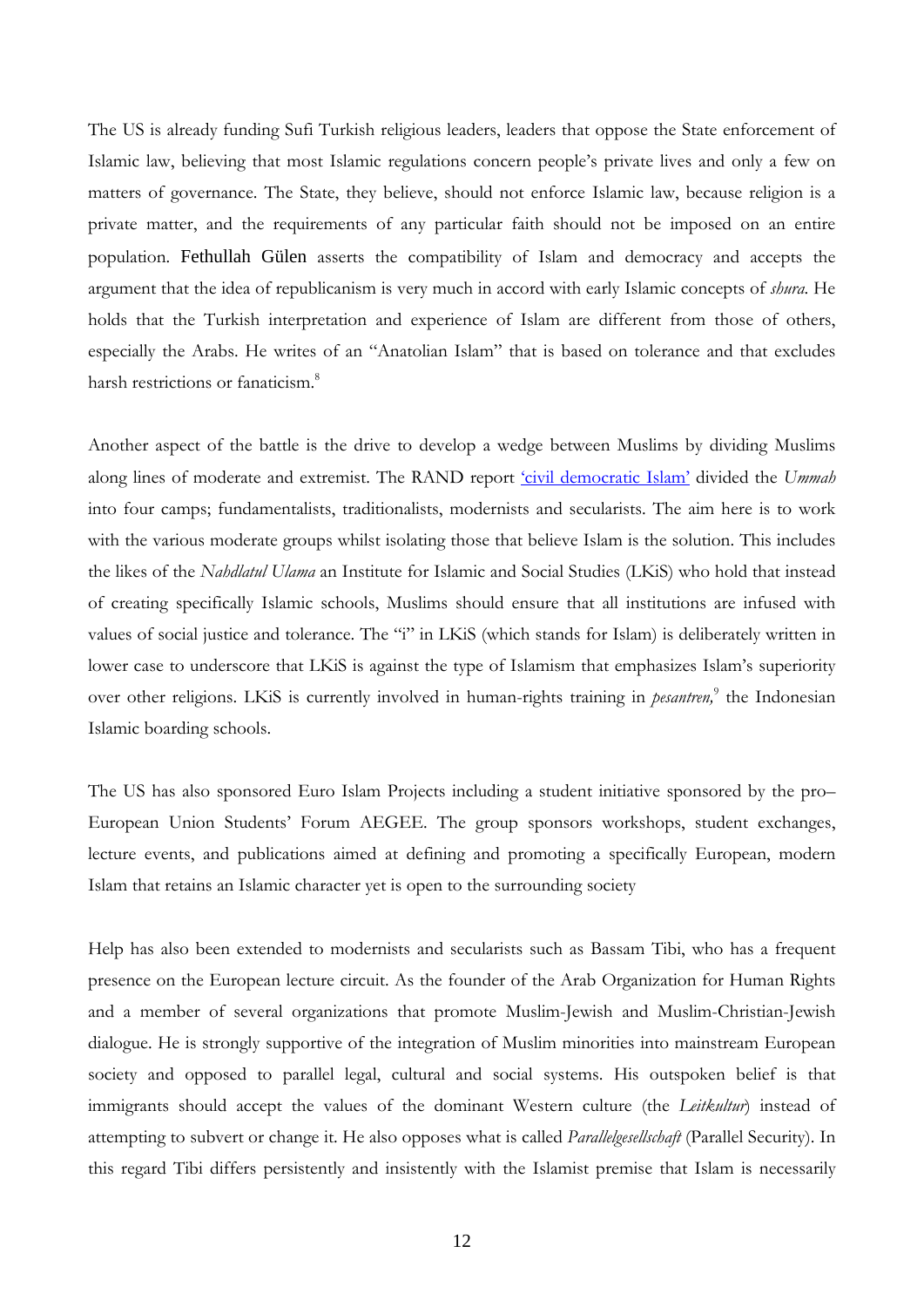The US is already funding Sufi Turkish religious leaders, leaders that oppose the State enforcement of Islamic law, believing that most Islamic regulations concern people's private lives and only a few on matters of governance. The State, they believe, should not enforce Islamic law, because religion is a private matter, and the requirements of any particular faith should not be imposed on an entire population. Fethullah Gülen asserts the compatibility of Islam and democracy and accepts the argument that the idea of republicanism is very much in accord with early Islamic concepts of *shura*. He holds that the Turkish interpretation and experience of Islam are different from those of others, especially the Arabs. He writes of an "Anatolian Islam" that is based on tolerance and that excludes harsh restrictions or fanaticism.<sup>8</sup>

Another aspect of the battle is the drive to develop a wedge between Muslims by dividing Muslims along lines of moderate and extremist. The RAND report 'civil democratic Islam' divided the *Ummah* into four camps; fundamentalists, traditionalists, modernists and secularists. The aim here is to work with the various moderate groups whilst isolating those that believe Islam is the solution. This includes the likes of the *Nahdlatul Ulama* an Institute for Islamic and Social Studies (LKiS) who hold that instead of creating specifically Islamic schools, Muslims should ensure that all institutions are infused with values of social justice and tolerance. The "i" in LKiS (which stands for Islam) is deliberately written in lower case to underscore that LKiS is against the type of Islamism that emphasizes Islam's superiority over other religions. LKiS is currently involved in human-rights training in *pesantren*,<sup>9</sup> the Indonesian Islamic boarding schools.

The US has also sponsored Euro Islam Projects including a student initiative sponsored by the pro– European Union Students' Forum AEGEE. The group sponsors workshops, student exchanges, lecture events, and publications aimed at defining and promoting a specifically European, modern Islam that retains an Islamic character yet is open to the surrounding society

Help has also been extended to modernists and secularists such as Bassam Tibi, who has a frequent presence on the European lecture circuit. As the founder of the Arab Organization for Human Rights and a member of several organizations that promote Muslim-Jewish and Muslim-Christian-Jewish dialogue. He is strongly supportive of the integration of Muslim minorities into mainstream European society and opposed to parallel legal, cultural and social systems. His outspoken belief is that immigrants should accept the values of the dominant Western culture (the *Leitkultur*) instead of attempting to subvert or change it. He also opposes what is called *Parallelgesellschaft* (Parallel Security). In this regard Tibi differs persistently and insistently with the Islamist premise that Islam is necessarily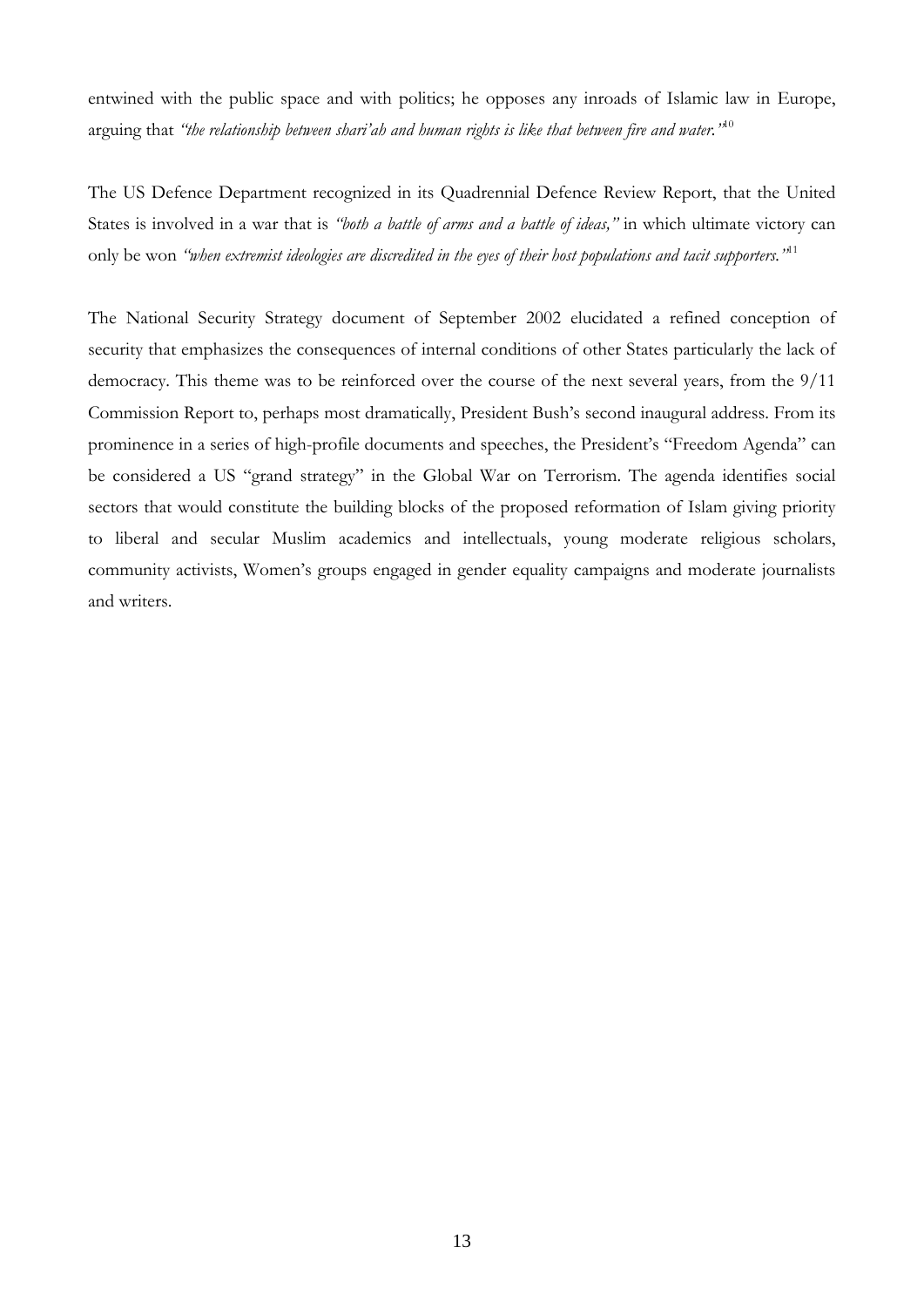entwined with the public space and with politics; he opposes any inroads of Islamic law in Europe, arguing that *"the relationship between shari'ah and human rights is like that between fire and water."*<sup>10</sup>

The US Defence Department recognized in its Quadrennial Defence Review Report, that the United States is involved in a war that is *"both a battle of arms and a battle of ideas,"* in which ultimate victory can only be won *"when extremist ideologies are discredited in the eyes of their host populations and tacit supporters."*<sup>11</sup>

The National Security Strategy document of September 2002 elucidated a refined conception of security that emphasizes the consequences of internal conditions of other States particularly the lack of democracy. This theme was to be reinforced over the course of the next several years, from the 9/11 Commission Report to, perhaps most dramatically, President Bush's second inaugural address. From its prominence in a series of high-profile documents and speeches, the President's "Freedom Agenda" can be considered a US "grand strategy" in the Global War on Terrorism. The agenda identifies social sectors that would constitute the building blocks of the proposed reformation of Islam giving priority to liberal and secular Muslim academics and intellectuals, young moderate religious scholars, community activists, Women's groups engaged in gender equality campaigns and moderate journalists and writers.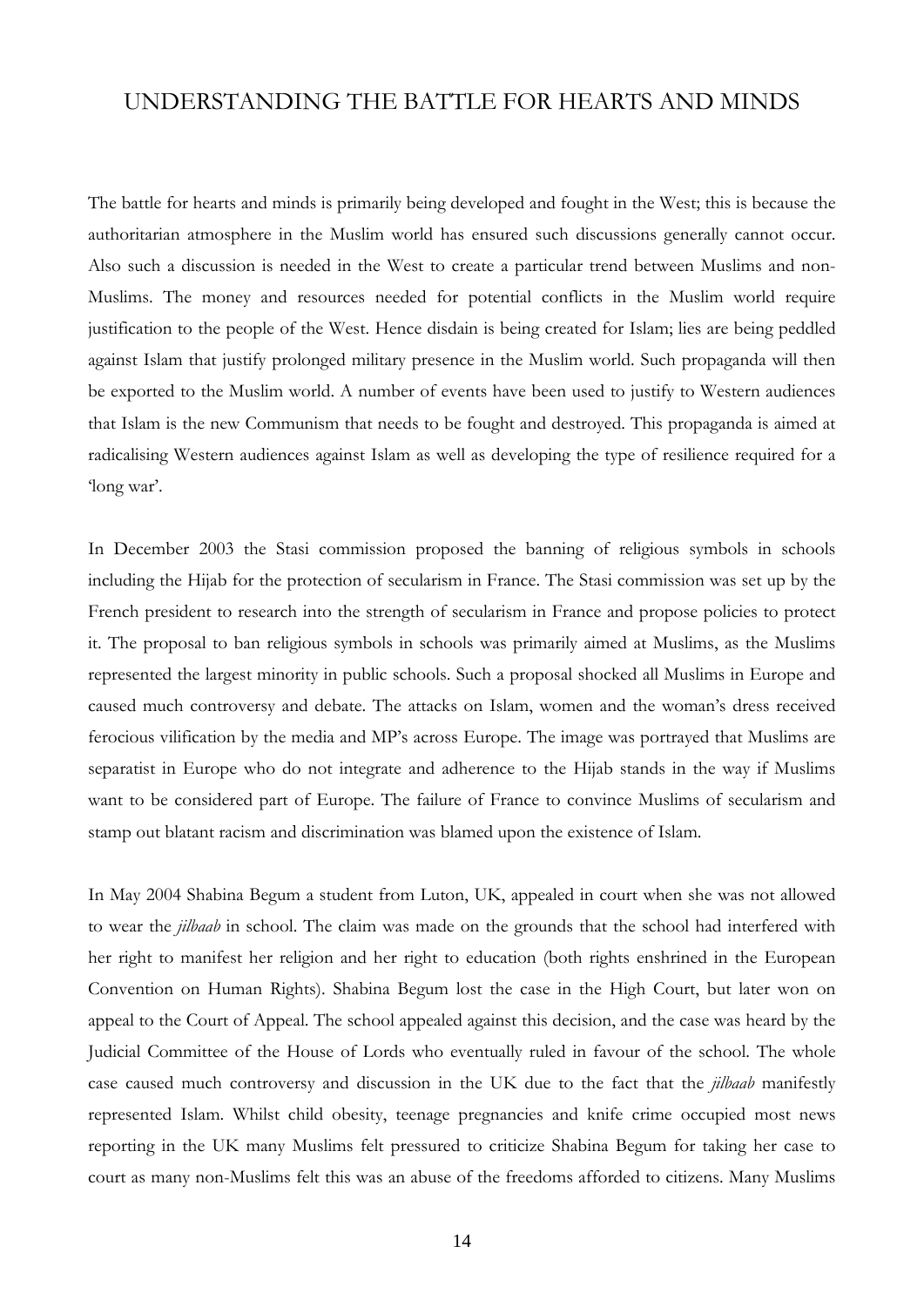# UNDERSTANDING THE BATTLE FOR HEARTS AND MINDS

The battle for hearts and minds is primarily being developed and fought in the West; this is because the authoritarian atmosphere in the Muslim world has ensured such discussions generally cannot occur. Also such a discussion is needed in the West to create a particular trend between Muslims and non-Muslims. The money and resources needed for potential conflicts in the Muslim world require justification to the people of the West. Hence disdain is being created for Islam; lies are being peddled against Islam that justify prolonged military presence in the Muslim world. Such propaganda will then be exported to the Muslim world. A number of events have been used to justify to Western audiences that Islam is the new Communism that needs to be fought and destroyed. This propaganda is aimed at radicalising Western audiences against Islam as well as developing the type of resilience required for a 'long war'.

In December 2003 the Stasi commission proposed the banning of religious symbols in schools including the Hijab for the protection of secularism in France. The Stasi commission was set up by the French president to research into the strength of secularism in France and propose policies to protect it. The proposal to ban religious symbols in schools was primarily aimed at Muslims, as the Muslims represented the largest minority in public schools. Such a proposal shocked all Muslims in Europe and caused much controversy and debate. The attacks on Islam, women and the woman's dress received ferocious vilification by the media and MP's across Europe. The image was portrayed that Muslims are separatist in Europe who do not integrate and adherence to the Hijab stands in the way if Muslims want to be considered part of Europe. The failure of France to convince Muslims of secularism and stamp out blatant racism and discrimination was blamed upon the existence of Islam.

In May 2004 Shabina Begum a student from Luton, UK, appealed in court when she was not allowed to wear the *jilbaab* in school. The claim was made on the grounds that the school had interfered with her right to manifest her religion and her right to education (both rights enshrined in the European Convention on Human Rights). Shabina Begum lost the case in the High Court, but later won on appeal to the Court of Appeal. The school appealed against this decision, and the case was heard by the Judicial Committee of the House of Lords who eventually ruled in favour of the school. The whole case caused much controversy and discussion in the UK due to the fact that the *jilbaab* manifestly represented Islam. Whilst child obesity, teenage pregnancies and knife crime occupied most news reporting in the UK many Muslims felt pressured to criticize Shabina Begum for taking her case to court as many non-Muslims felt this was an abuse of the freedoms afforded to citizens. Many Muslims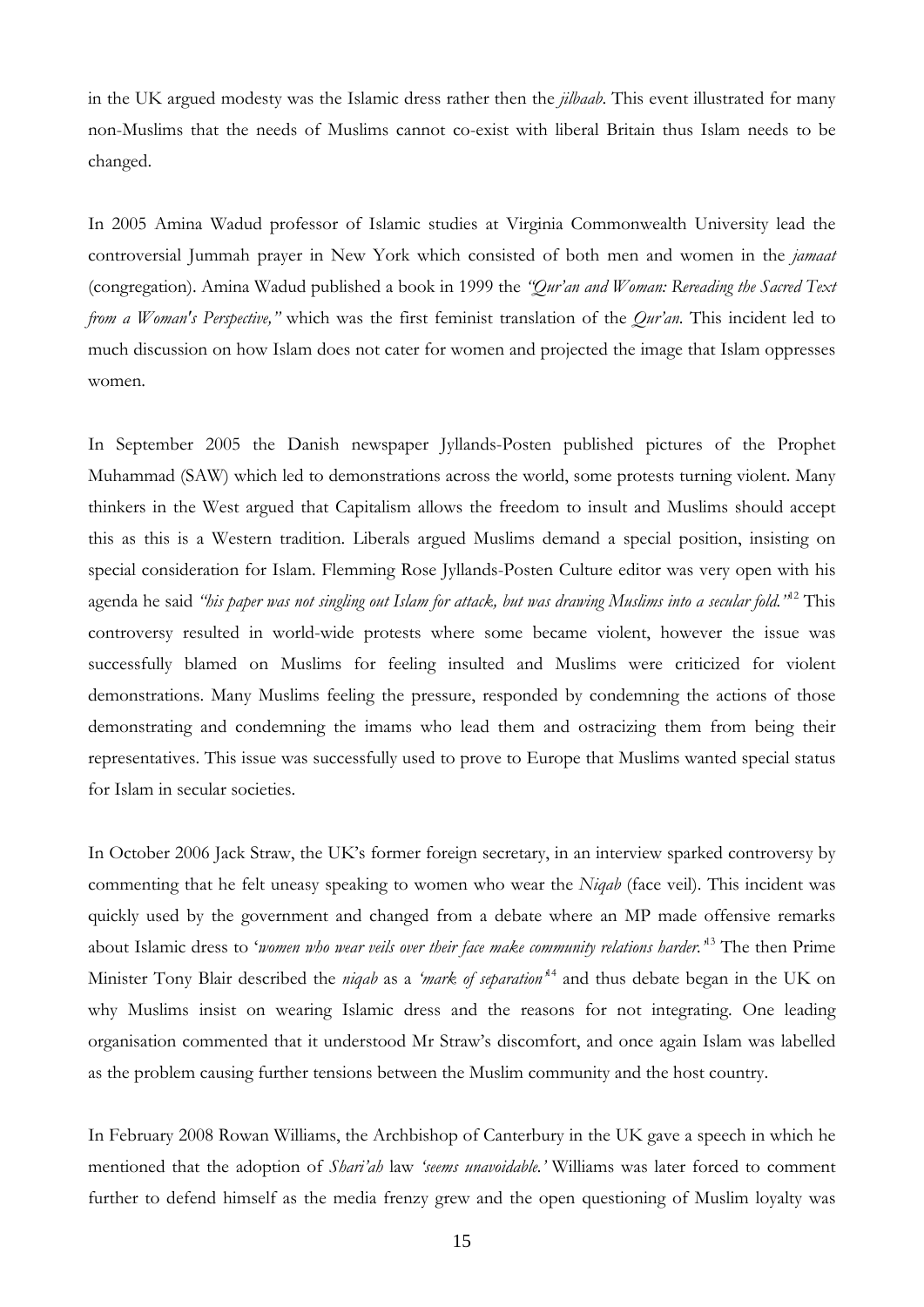in the UK argued modesty was the Islamic dress rather then the *jilbaab*. This event illustrated for many non-Muslims that the needs of Muslims cannot co-exist with liberal Britain thus Islam needs to be changed.

In 2005 Amina Wadud professor of Islamic studies at Virginia Commonwealth University lead the controversial Jummah prayer in New York which consisted of both men and women in the *jamaat* (congregation). Amina Wadud published a book in 1999 the *"Qur'an and Woman: Rereading the Sacred Text from a Woman's Perspective,"* which was the first feminist translation of the *Qur'an*. This incident led to much discussion on how Islam does not cater for women and projected the image that Islam oppresses women.

In September 2005 the Danish newspaper Jyllands-Posten published pictures of the Prophet Muhammad (SAW) which led to demonstrations across the world, some protests turning violent. Many thinkers in the West argued that Capitalism allows the freedom to insult and Muslims should accept this as this is a Western tradition. Liberals argued Muslims demand a special position, insisting on special consideration for Islam. Flemming Rose Jyllands-Posten Culture editor was very open with his agenda he said *"his paper was not singling out Islam for attack, but was drawing Muslims into a secular fold."*12 This controversy resulted in world-wide protests where some became violent, however the issue was successfully blamed on Muslims for feeling insulted and Muslims were criticized for violent demonstrations. Many Muslims feeling the pressure, responded by condemning the actions of those demonstrating and condemning the imams who lead them and ostracizing them from being their representatives. This issue was successfully used to prove to Europe that Muslims wanted special status for Islam in secular societies.

In October 2006 Jack Straw, the UK's former foreign secretary, in an interview sparked controversy by commenting that he felt uneasy speaking to women who wear the *Niqab* (face veil). This incident was quickly used by the government and changed from a debate where an MP made offensive remarks about Islamic dress to '*women who wear veils over their face make community relations harder.'*<sup>13</sup> The then Prime Minister Tony Blair described the *niqab* as a *'mark of separation'*14 and thus debate began in the UK on why Muslims insist on wearing Islamic dress and the reasons for not integrating. One leading organisation commented that it understood Mr Straw's discomfort, and once again Islam was labelled as the problem causing further tensions between the Muslim community and the host country.

In February 2008 Rowan Williams, the Archbishop of Canterbury in the UK gave a speech in which he mentioned that the adoption of *Shari'ah* law *'seems unavoidable.'* Williams was later forced to comment further to defend himself as the media frenzy grew and the open questioning of Muslim loyalty was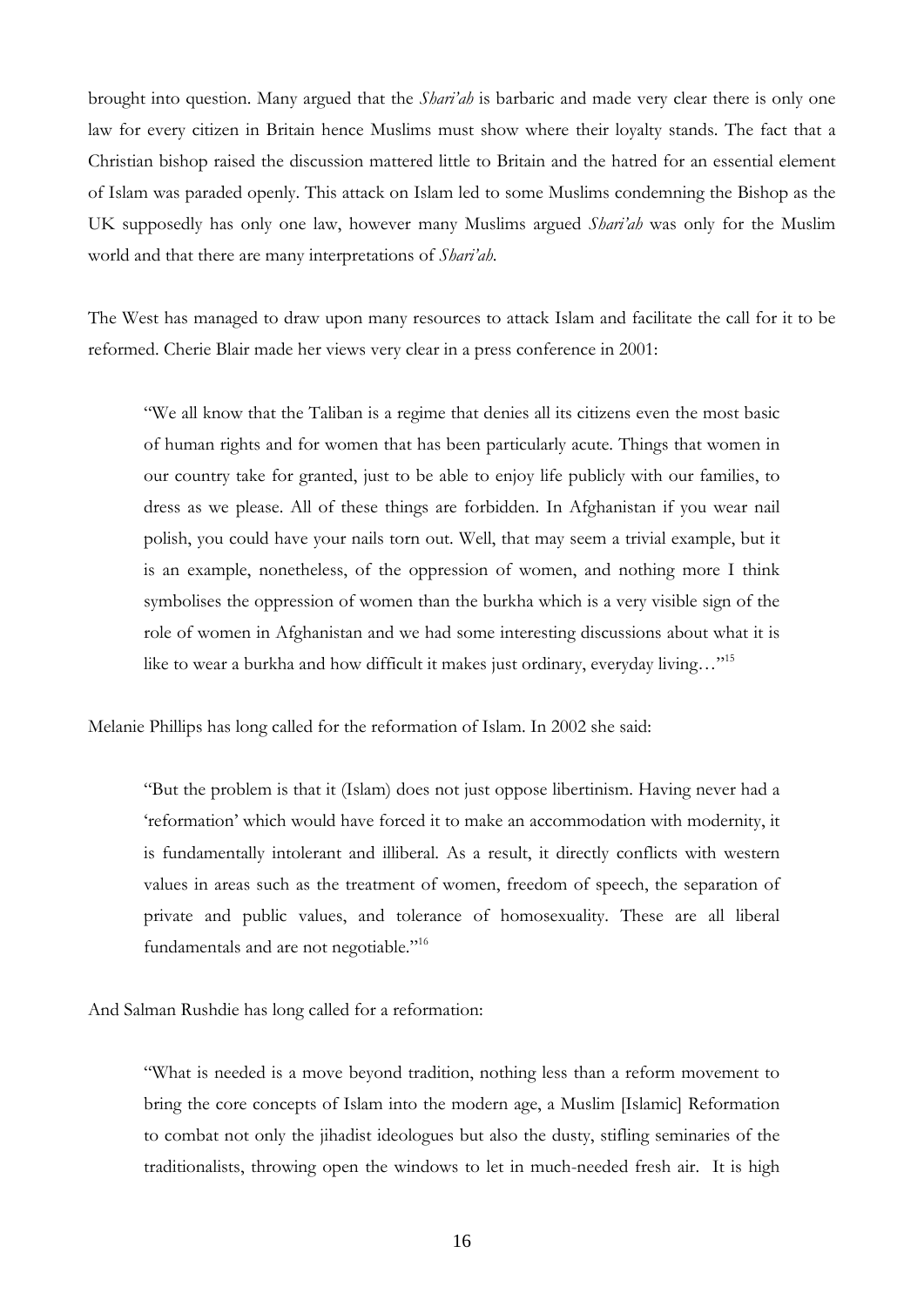brought into question. Many argued that the *Shari'ah* is barbaric and made very clear there is only one law for every citizen in Britain hence Muslims must show where their loyalty stands. The fact that a Christian bishop raised the discussion mattered little to Britain and the hatred for an essential element of Islam was paraded openly. This attack on Islam led to some Muslims condemning the Bishop as the UK supposedly has only one law, however many Muslims argued *Shari'ah* was only for the Muslim world and that there are many interpretations of *Shari'ah*.

The West has managed to draw upon many resources to attack Islam and facilitate the call for it to be reformed. Cherie Blair made her views very clear in a press conference in 2001:

"We all know that the Taliban is a regime that denies all its citizens even the most basic of human rights and for women that has been particularly acute. Things that women in our country take for granted, just to be able to enjoy life publicly with our families, to dress as we please. All of these things are forbidden. In Afghanistan if you wear nail polish, you could have your nails torn out. Well, that may seem a trivial example, but it is an example, nonetheless, of the oppression of women, and nothing more I think symbolises the oppression of women than the burkha which is a very visible sign of the role of women in Afghanistan and we had some interesting discussions about what it is like to wear a burkha and how difficult it makes just ordinary, everyday living…"15

Melanie Phillips has long called for the reformation of Islam. In 2002 she said:

"But the problem is that it (Islam) does not just oppose libertinism. Having never had a 'reformation' which would have forced it to make an accommodation with modernity, it is fundamentally intolerant and illiberal. As a result, it directly conflicts with western values in areas such as the treatment of women, freedom of speech, the separation of private and public values, and tolerance of homosexuality. These are all liberal fundamentals and are not negotiable."16

And Salman Rushdie has long called for a reformation:

"What is needed is a move beyond tradition, nothing less than a reform movement to bring the core concepts of Islam into the modern age, a Muslim [Islamic] Reformation to combat not only the jihadist ideologues but also the dusty, stifling seminaries of the traditionalists, throwing open the windows to let in much-needed fresh air. It is high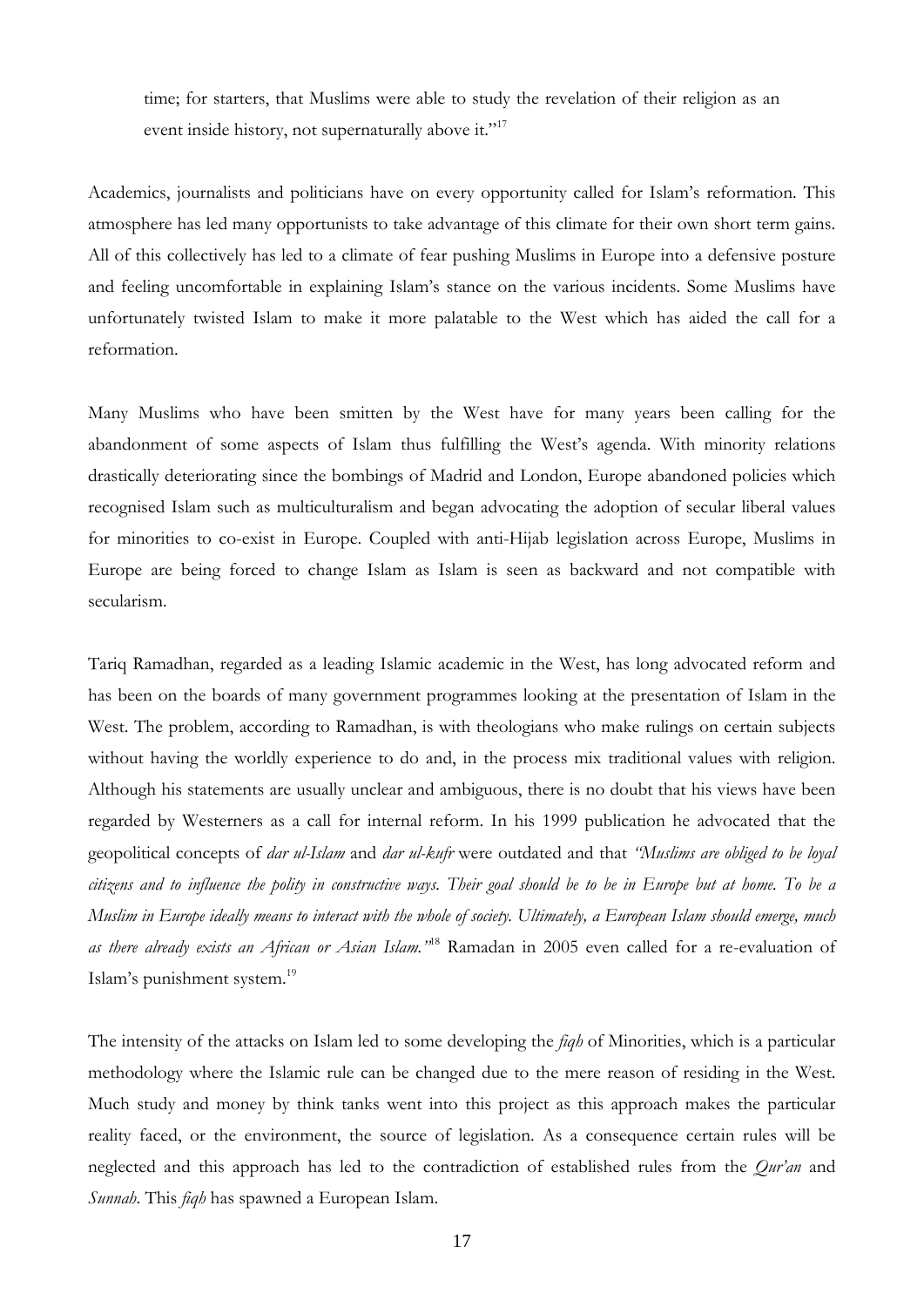time; for starters, that Muslims were able to study the revelation of their religion as an event inside history, not supernaturally above it."<sup>17</sup>

Academics, journalists and politicians have on every opportunity called for Islam's reformation. This atmosphere has led many opportunists to take advantage of this climate for their own short term gains. All of this collectively has led to a climate of fear pushing Muslims in Europe into a defensive posture and feeling uncomfortable in explaining Islam's stance on the various incidents. Some Muslims have unfortunately twisted Islam to make it more palatable to the West which has aided the call for a reformation.

Many Muslims who have been smitten by the West have for many years been calling for the abandonment of some aspects of Islam thus fulfilling the West's agenda. With minority relations drastically deteriorating since the bombings of Madrid and London, Europe abandoned policies which recognised Islam such as multiculturalism and began advocating the adoption of secular liberal values for minorities to co-exist in Europe. Coupled with anti-Hijab legislation across Europe, Muslims in Europe are being forced to change Islam as Islam is seen as backward and not compatible with secularism.

Tariq Ramadhan, regarded as a leading Islamic academic in the West, has long advocated reform and has been on the boards of many government programmes looking at the presentation of Islam in the West. The problem, according to Ramadhan, is with theologians who make rulings on certain subjects without having the worldly experience to do and, in the process mix traditional values with religion. Although his statements are usually unclear and ambiguous, there is no doubt that his views have been regarded by Westerners as a call for internal reform. In his 1999 publication he advocated that the geopolitical concepts of *dar ul-Islam* and *dar ul-kufr* were outdated and that *"Muslims are obliged to be loyal citizens and to influence the polity in constructive ways. Their goal should be to be in Europe but at home. To be a Muslim in Europe ideally means to interact with the whole of society. Ultimately, a European Islam should emerge, much as there already exists an African or Asian Islam."*<sup>18</sup> Ramadan in 2005 even called for a re-evaluation of Islam's punishment system.19

The intensity of the attacks on Islam led to some developing the *fiqh* of Minorities, which is a particular methodology where the Islamic rule can be changed due to the mere reason of residing in the West. Much study and money by think tanks went into this project as this approach makes the particular reality faced, or the environment, the source of legislation. As a consequence certain rules will be neglected and this approach has led to the contradiction of established rules from the *Qur'an* and *Sunnah*. This *fiqh* has spawned a European Islam.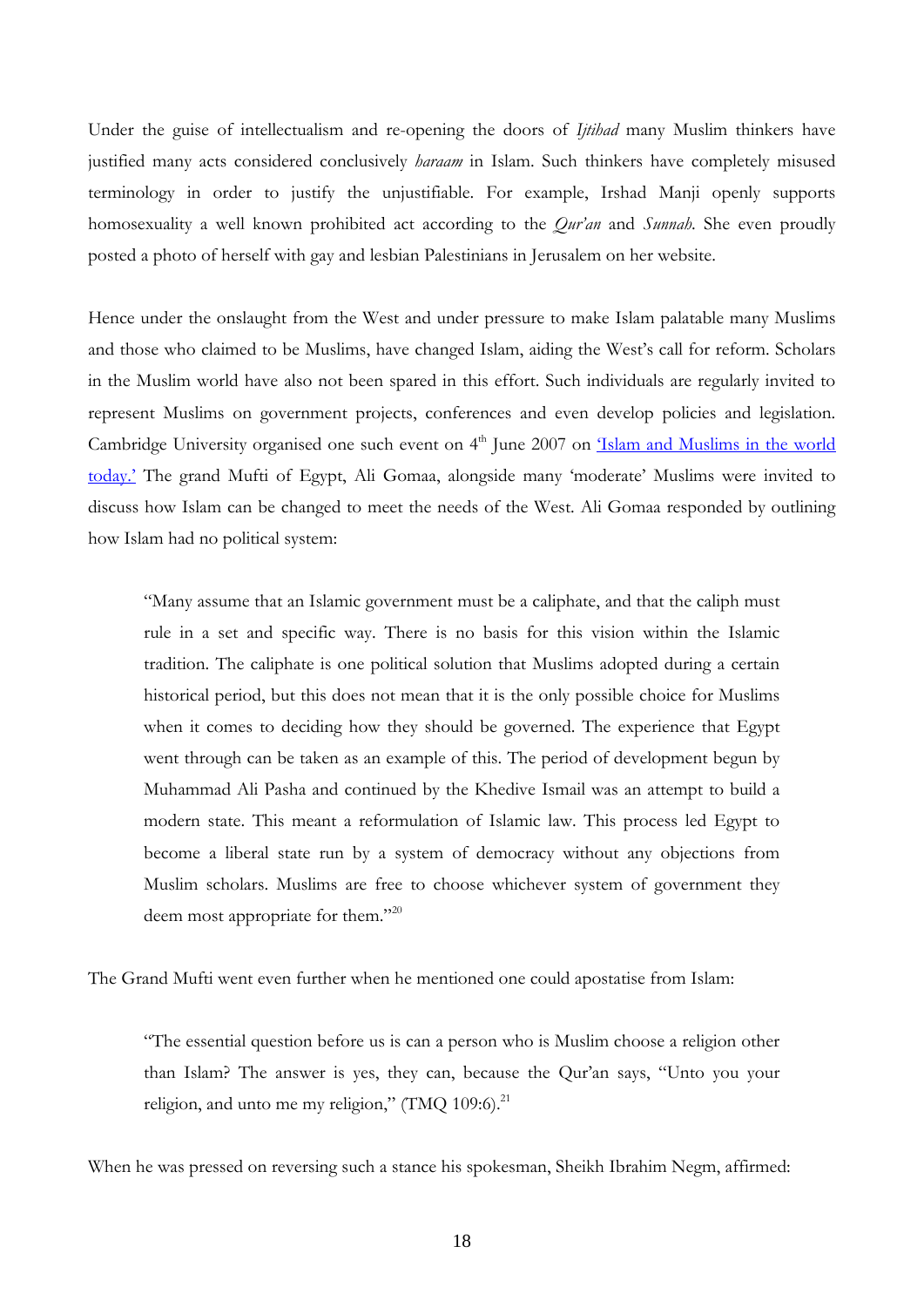Under the guise of intellectualism and re-opening the doors of *Ijtihad* many Muslim thinkers have justified many acts considered conclusively *haraam* in Islam. Such thinkers have completely misused terminology in order to justify the unjustifiable. For example, Irshad Manji openly supports homosexuality a well known prohibited act according to the *Qur'an* and *Sunnah*. She even proudly posted a photo of herself with gay and lesbian Palestinians in Jerusalem on her website.

Hence under the onslaught from the West and under pressure to make Islam palatable many Muslims and those who claimed to be Muslims, have changed Islam, aiding the West's call for reform. Scholars in the Muslim world have also not been spared in this effort. Such individuals are regularly invited to represent Muslims on government projects, conferences and even develop policies and legislation. Cambridge University organised one such event on 4<sup>th</sup> June 2007 on 'Islam and Muslims in the world today.' The grand Mufti of Egypt, Ali Gomaa, alongside many 'moderate' Muslims were invited to discuss how Islam can be changed to meet the needs of the West. Ali Gomaa responded by outlining how Islam had no political system:

"Many assume that an Islamic government must be a caliphate, and that the caliph must rule in a set and specific way. There is no basis for this vision within the Islamic tradition. The caliphate is one political solution that Muslims adopted during a certain historical period, but this does not mean that it is the only possible choice for Muslims when it comes to deciding how they should be governed. The experience that Egypt went through can be taken as an example of this. The period of development begun by Muhammad Ali Pasha and continued by the Khedive Ismail was an attempt to build a modern state. This meant a reformulation of Islamic law. This process led Egypt to become a liberal state run by a system of democracy without any objections from Muslim scholars. Muslims are free to choose whichever system of government they deem most appropriate for them."<sup>20</sup>

The Grand Mufti went even further when he mentioned one could apostatise from Islam:

"The essential question before us is can a person who is Muslim choose a religion other than Islam? The answer is yes, they can, because the Qur'an says, "Unto you your religion, and unto me my religion," (TMQ 109:6).<sup>21</sup>

When he was pressed on reversing such a stance his spokesman, Sheikh Ibrahim Negm, affirmed: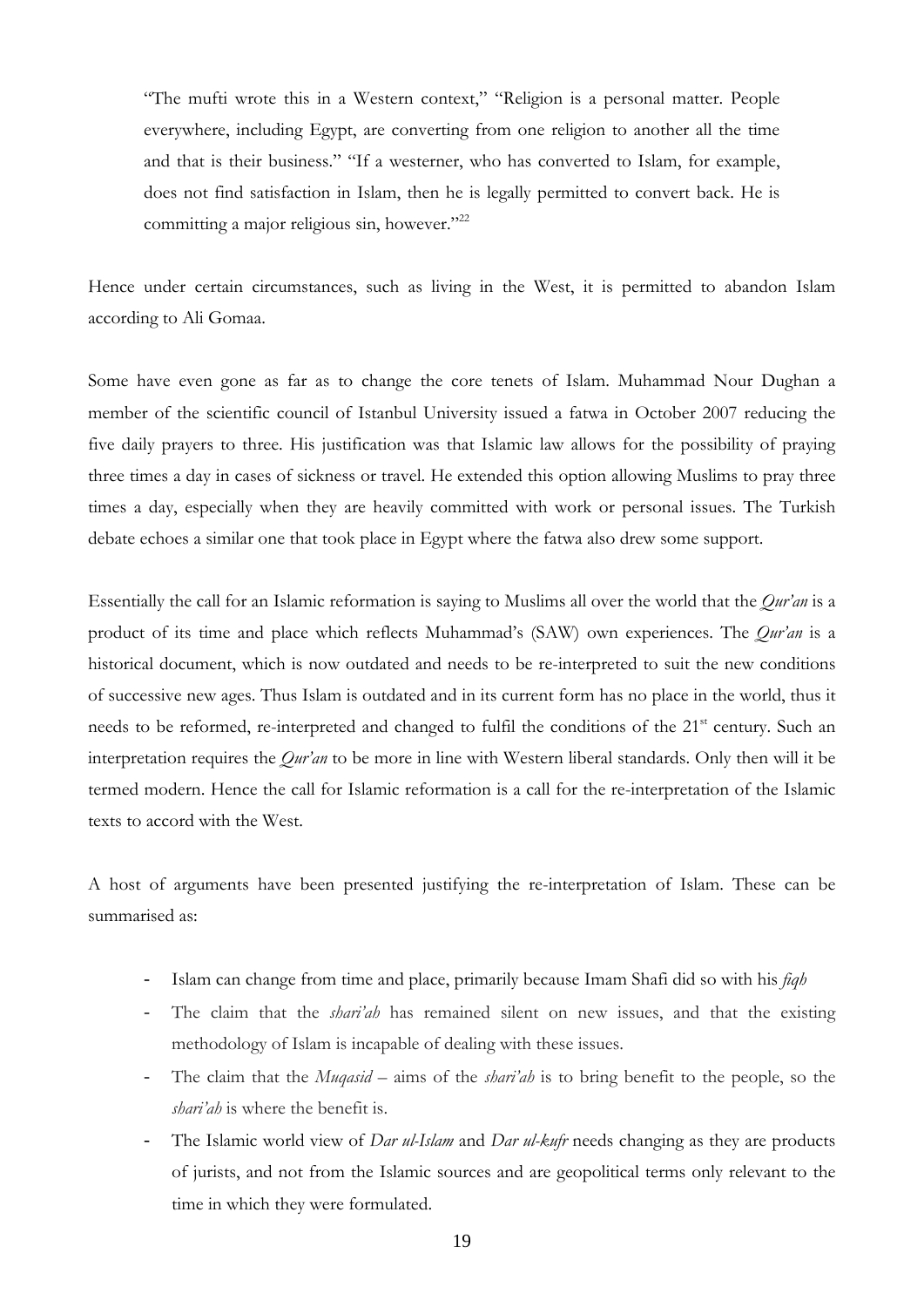"The mufti wrote this in a Western context," "Religion is a personal matter. People everywhere, including Egypt, are converting from one religion to another all the time and that is their business." "If a westerner, who has converted to Islam, for example, does not find satisfaction in Islam, then he is legally permitted to convert back. He is committing a major religious sin, however."<sup>22</sup>

Hence under certain circumstances, such as living in the West, it is permitted to abandon Islam according to Ali Gomaa.

Some have even gone as far as to change the core tenets of Islam. Muhammad Nour Dughan a member of the scientific council of Istanbul University issued a fatwa in October 2007 reducing the five daily prayers to three. His justification was that Islamic law allows for the possibility of praying three times a day in cases of sickness or travel. He extended this option allowing Muslims to pray three times a day, especially when they are heavily committed with work or personal issues. The Turkish debate echoes a similar one that took place in Egypt where the fatwa also drew some support.

Essentially the call for an Islamic reformation is saying to Muslims all over the world that the *Qur'an* is a product of its time and place which reflects Muhammad's (SAW) own experiences. The *Qur'an* is a historical document, which is now outdated and needs to be re-interpreted to suit the new conditions of successive new ages. Thus Islam is outdated and in its current form has no place in the world, thus it needs to be reformed, re-interpreted and changed to fulfil the conditions of the 21<sup>st</sup> century. Such an interpretation requires the *Qur'an* to be more in line with Western liberal standards. Only then will it be termed modern. Hence the call for Islamic reformation is a call for the re-interpretation of the Islamic texts to accord with the West.

A host of arguments have been presented justifying the re-interpretation of Islam. These can be summarised as:

- Islam can change from time and place, primarily because Imam Shafi did so with his *fiqh*
- The claim that the *shari'ah* has remained silent on new issues, and that the existing methodology of Islam is incapable of dealing with these issues.
- The claim that the *Muqasid*  aims of the *shari'ah* is to bring benefit to the people, so the *shari'ah* is where the benefit is.
- The Islamic world view of *Dar ul-Islam* and *Dar ul-kufr* needs changing as they are products of jurists, and not from the Islamic sources and are geopolitical terms only relevant to the time in which they were formulated.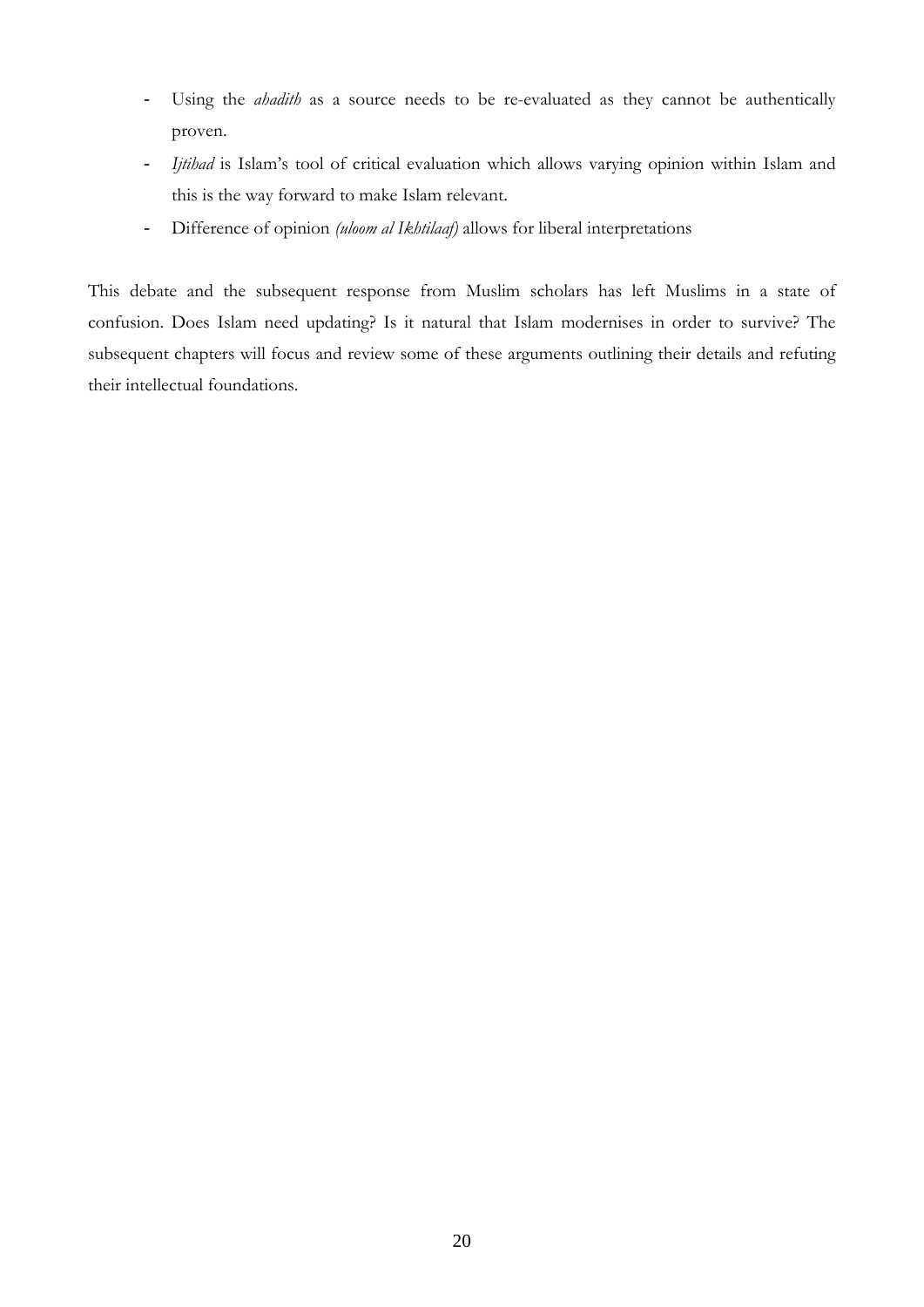- Using the *ahadith* as a source needs to be re-evaluated as they cannot be authentically proven.
- *Ijtihad* is Islam's tool of critical evaluation which allows varying opinion within Islam and this is the way forward to make Islam relevant.
- Difference of opinion *(uloom al Ikhtilaaf)* allows for liberal interpretations

This debate and the subsequent response from Muslim scholars has left Muslims in a state of confusion. Does Islam need updating? Is it natural that Islam modernises in order to survive? The subsequent chapters will focus and review some of these arguments outlining their details and refuting their intellectual foundations.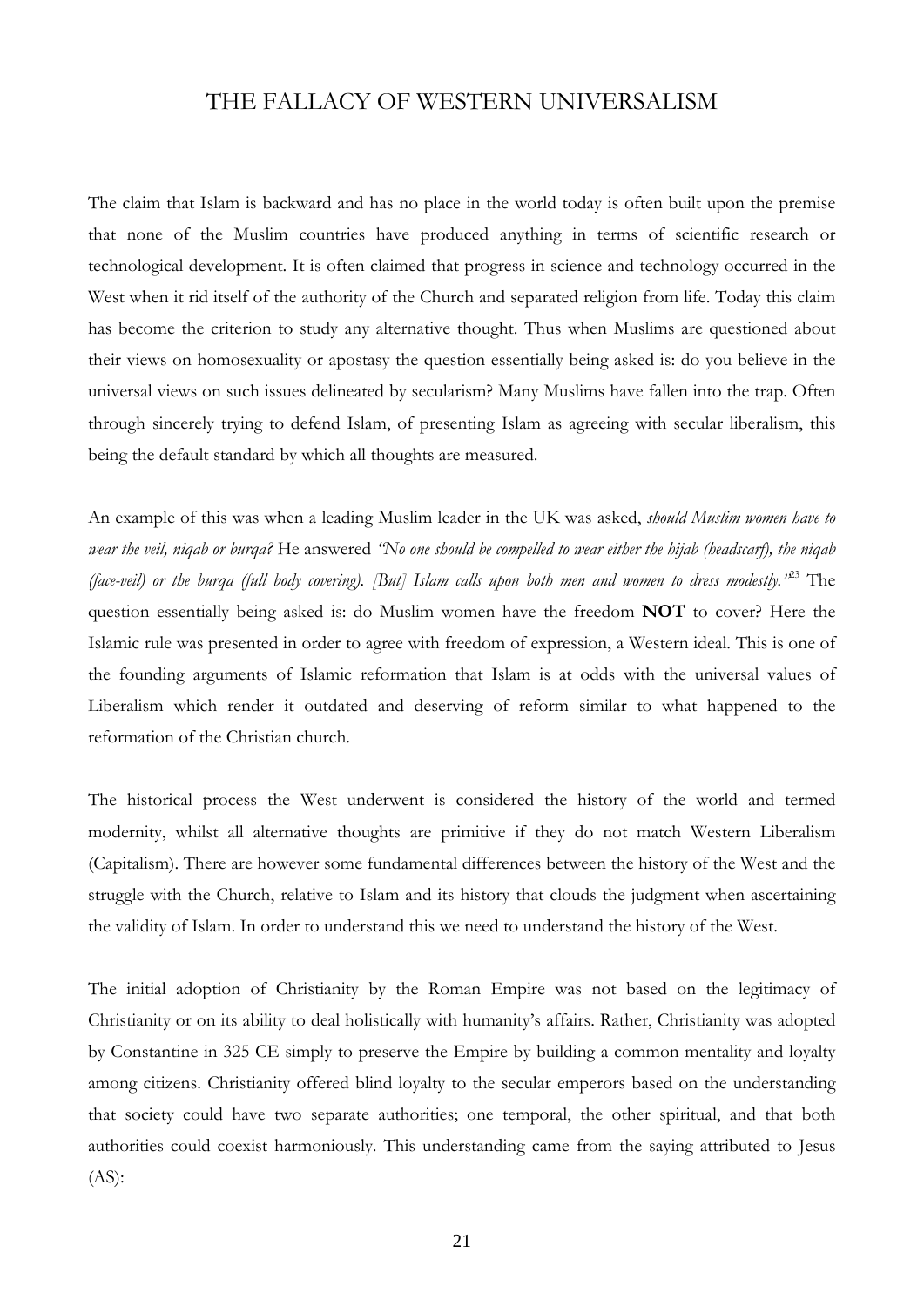# THE FALLACY OF WESTERN UNIVERSALISM

The claim that Islam is backward and has no place in the world today is often built upon the premise that none of the Muslim countries have produced anything in terms of scientific research or technological development. It is often claimed that progress in science and technology occurred in the West when it rid itself of the authority of the Church and separated religion from life. Today this claim has become the criterion to study any alternative thought. Thus when Muslims are questioned about their views on homosexuality or apostasy the question essentially being asked is: do you believe in the universal views on such issues delineated by secularism? Many Muslims have fallen into the trap. Often through sincerely trying to defend Islam, of presenting Islam as agreeing with secular liberalism, this being the default standard by which all thoughts are measured.

An example of this was when a leading Muslim leader in the UK was asked, *should Muslim women have to wear the veil, niqab or burqa?* He answered *"No one should be compelled to wear either the hijab (headscarf), the niqab (face-veil) or the burqa (full body covering). [But] Islam calls upon both men and women to dress modestly."*<sup>23</sup> The question essentially being asked is: do Muslim women have the freedom **NOT** to cover? Here the Islamic rule was presented in order to agree with freedom of expression, a Western ideal. This is one of the founding arguments of Islamic reformation that Islam is at odds with the universal values of Liberalism which render it outdated and deserving of reform similar to what happened to the reformation of the Christian church.

The historical process the West underwent is considered the history of the world and termed modernity, whilst all alternative thoughts are primitive if they do not match Western Liberalism (Capitalism). There are however some fundamental differences between the history of the West and the struggle with the Church, relative to Islam and its history that clouds the judgment when ascertaining the validity of Islam. In order to understand this we need to understand the history of the West.

The initial adoption of Christianity by the Roman Empire was not based on the legitimacy of Christianity or on its ability to deal holistically with humanity's affairs. Rather, Christianity was adopted by Constantine in 325 CE simply to preserve the Empire by building a common mentality and loyalty among citizens. Christianity offered blind loyalty to the secular emperors based on the understanding that society could have two separate authorities; one temporal, the other spiritual, and that both authorities could coexist harmoniously. This understanding came from the saying attributed to Jesus (AS):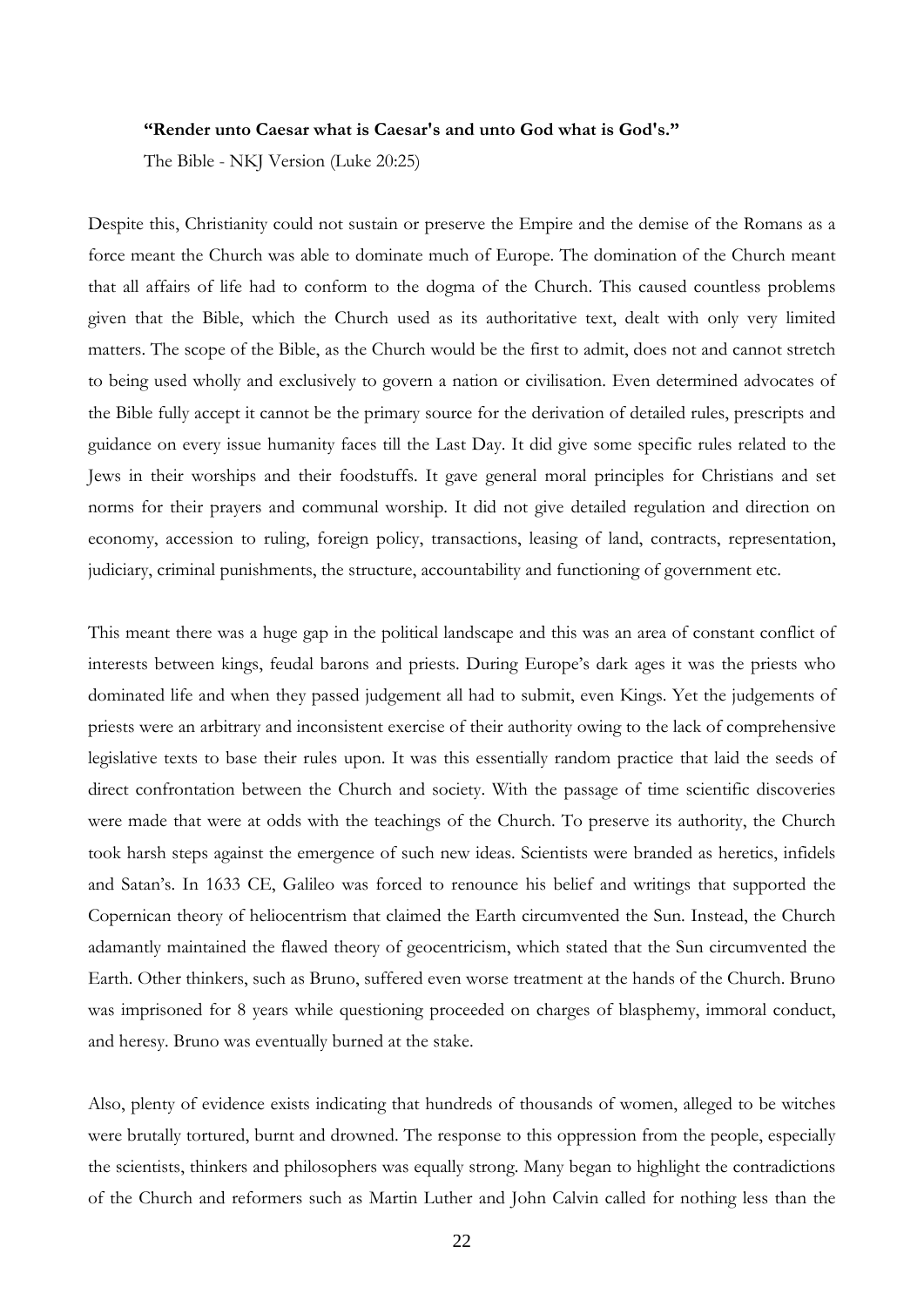#### **"Render unto Caesar what is Caesar's and unto God what is God's."**

The Bible - NKJ Version (Luke 20:25)

Despite this, Christianity could not sustain or preserve the Empire and the demise of the Romans as a force meant the Church was able to dominate much of Europe. The domination of the Church meant that all affairs of life had to conform to the dogma of the Church. This caused countless problems given that the Bible, which the Church used as its authoritative text, dealt with only very limited matters. The scope of the Bible, as the Church would be the first to admit, does not and cannot stretch to being used wholly and exclusively to govern a nation or civilisation. Even determined advocates of the Bible fully accept it cannot be the primary source for the derivation of detailed rules, prescripts and guidance on every issue humanity faces till the Last Day. It did give some specific rules related to the Jews in their worships and their foodstuffs. It gave general moral principles for Christians and set norms for their prayers and communal worship. It did not give detailed regulation and direction on economy, accession to ruling, foreign policy, transactions, leasing of land, contracts, representation, judiciary, criminal punishments, the structure, accountability and functioning of government etc.

This meant there was a huge gap in the political landscape and this was an area of constant conflict of interests between kings, feudal barons and priests. During Europe's dark ages it was the priests who dominated life and when they passed judgement all had to submit, even Kings. Yet the judgements of priests were an arbitrary and inconsistent exercise of their authority owing to the lack of comprehensive legislative texts to base their rules upon. It was this essentially random practice that laid the seeds of direct confrontation between the Church and society. With the passage of time scientific discoveries were made that were at odds with the teachings of the Church. To preserve its authority, the Church took harsh steps against the emergence of such new ideas. Scientists were branded as heretics, infidels and Satan's. In 1633 CE, Galileo was forced to renounce his belief and writings that supported the Copernican theory of heliocentrism that claimed the Earth circumvented the Sun. Instead, the Church adamantly maintained the flawed theory of geocentricism, which stated that the Sun circumvented the Earth. Other thinkers, such as Bruno, suffered even worse treatment at the hands of the Church. Bruno was imprisoned for 8 years while questioning proceeded on charges of blasphemy, immoral conduct, and heresy. Bruno was eventually burned at the stake.

Also, plenty of evidence exists indicating that hundreds of thousands of women, alleged to be witches were brutally tortured, burnt and drowned. The response to this oppression from the people, especially the scientists, thinkers and philosophers was equally strong. Many began to highlight the contradictions of the Church and reformers such as Martin Luther and John Calvin called for nothing less than the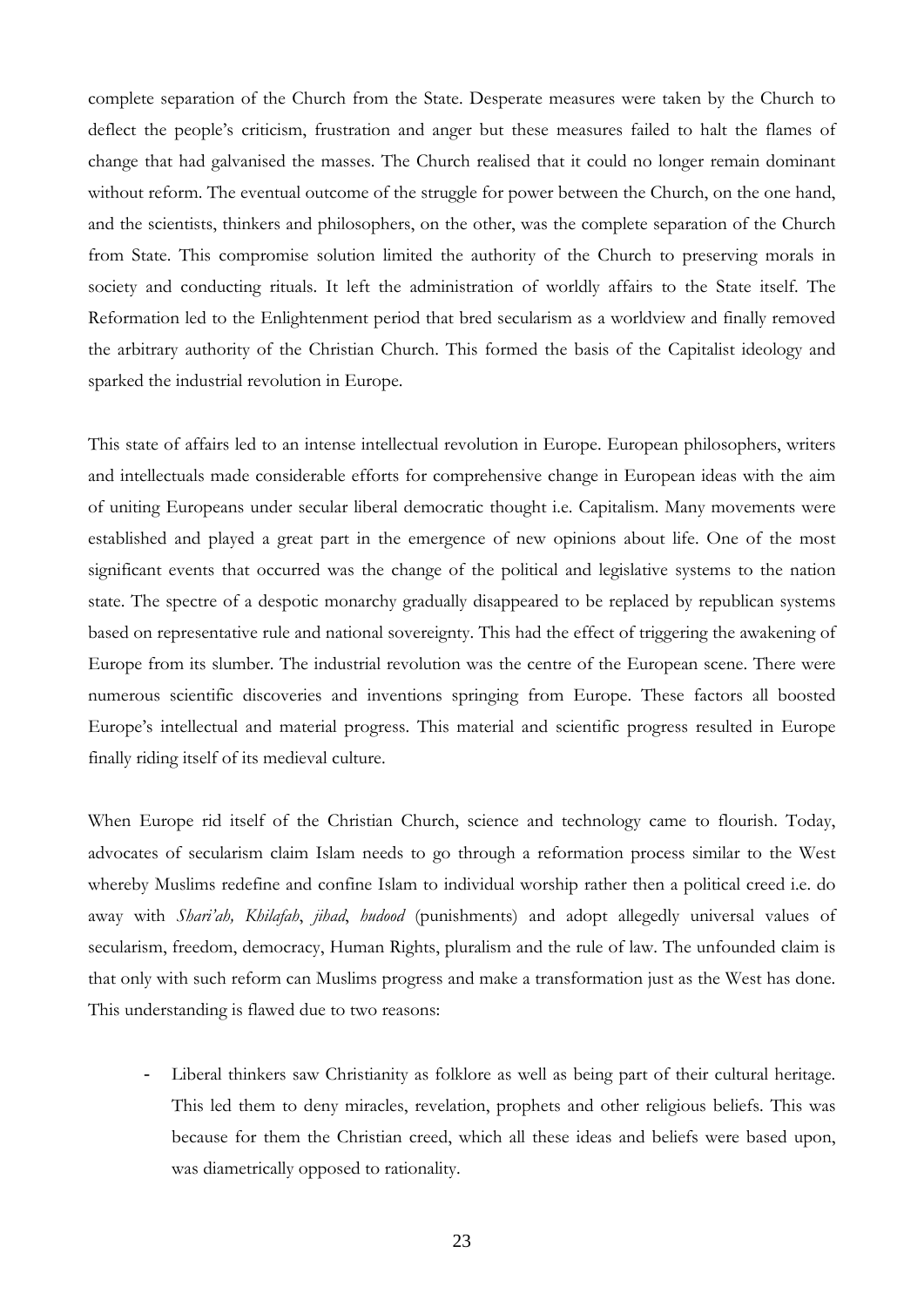complete separation of the Church from the State. Desperate measures were taken by the Church to deflect the people's criticism, frustration and anger but these measures failed to halt the flames of change that had galvanised the masses. The Church realised that it could no longer remain dominant without reform. The eventual outcome of the struggle for power between the Church, on the one hand, and the scientists, thinkers and philosophers, on the other, was the complete separation of the Church from State. This compromise solution limited the authority of the Church to preserving morals in society and conducting rituals. It left the administration of worldly affairs to the State itself. The Reformation led to the Enlightenment period that bred secularism as a worldview and finally removed the arbitrary authority of the Christian Church. This formed the basis of the Capitalist ideology and sparked the industrial revolution in Europe.

This state of affairs led to an intense intellectual revolution in Europe. European philosophers, writers and intellectuals made considerable efforts for comprehensive change in European ideas with the aim of uniting Europeans under secular liberal democratic thought i.e. Capitalism. Many movements were established and played a great part in the emergence of new opinions about life. One of the most significant events that occurred was the change of the political and legislative systems to the nation state. The spectre of a despotic monarchy gradually disappeared to be replaced by republican systems based on representative rule and national sovereignty. This had the effect of triggering the awakening of Europe from its slumber. The industrial revolution was the centre of the European scene. There were numerous scientific discoveries and inventions springing from Europe. These factors all boosted Europe's intellectual and material progress. This material and scientific progress resulted in Europe finally riding itself of its medieval culture.

When Europe rid itself of the Christian Church, science and technology came to flourish. Today, advocates of secularism claim Islam needs to go through a reformation process similar to the West whereby Muslims redefine and confine Islam to individual worship rather then a political creed i.e. do away with *Shari'ah, Khilafah*, *jihad*, *hudood* (punishments) and adopt allegedly universal values of secularism, freedom, democracy, Human Rights, pluralism and the rule of law. The unfounded claim is that only with such reform can Muslims progress and make a transformation just as the West has done. This understanding is flawed due to two reasons:

Liberal thinkers saw Christianity as folklore as well as being part of their cultural heritage. This led them to deny miracles, revelation, prophets and other religious beliefs. This was because for them the Christian creed, which all these ideas and beliefs were based upon, was diametrically opposed to rationality.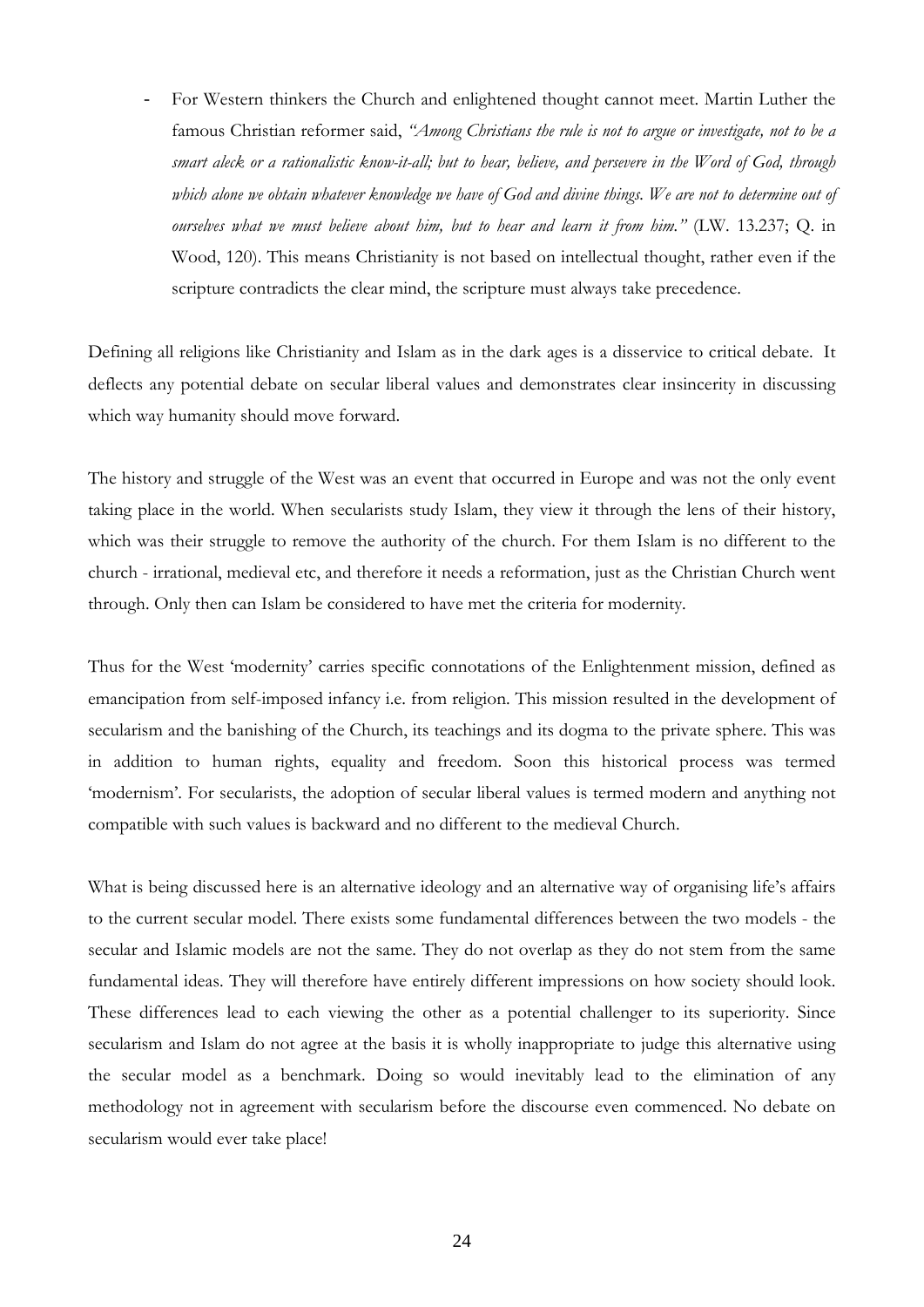- For Western thinkers the Church and enlightened thought cannot meet. Martin Luther the famous Christian reformer said, *"Among Christians the rule is not to argue or investigate, not to be a smart aleck or a rationalistic know-it-all; but to hear, believe, and persevere in the Word of God, through which alone we obtain whatever knowledge we have of God and divine things. We are not to determine out of ourselves what we must believe about him, but to hear and learn it from him."* (LW. 13.237; Q. in Wood, 120). This means Christianity is not based on intellectual thought, rather even if the scripture contradicts the clear mind, the scripture must always take precedence.

Defining all religions like Christianity and Islam as in the dark ages is a disservice to critical debate. It deflects any potential debate on secular liberal values and demonstrates clear insincerity in discussing which way humanity should move forward.

The history and struggle of the West was an event that occurred in Europe and was not the only event taking place in the world. When secularists study Islam, they view it through the lens of their history, which was their struggle to remove the authority of the church. For them Islam is no different to the church - irrational, medieval etc, and therefore it needs a reformation, just as the Christian Church went through. Only then can Islam be considered to have met the criteria for modernity.

Thus for the West 'modernity' carries specific connotations of the Enlightenment mission, defined as emancipation from self-imposed infancy i.e. from religion. This mission resulted in the development of secularism and the banishing of the Church, its teachings and its dogma to the private sphere. This was in addition to human rights, equality and freedom. Soon this historical process was termed 'modernism'. For secularists, the adoption of secular liberal values is termed modern and anything not compatible with such values is backward and no different to the medieval Church.

What is being discussed here is an alternative ideology and an alternative way of organising life's affairs to the current secular model. There exists some fundamental differences between the two models - the secular and Islamic models are not the same. They do not overlap as they do not stem from the same fundamental ideas. They will therefore have entirely different impressions on how society should look. These differences lead to each viewing the other as a potential challenger to its superiority. Since secularism and Islam do not agree at the basis it is wholly inappropriate to judge this alternative using the secular model as a benchmark. Doing so would inevitably lead to the elimination of any methodology not in agreement with secularism before the discourse even commenced. No debate on secularism would ever take place!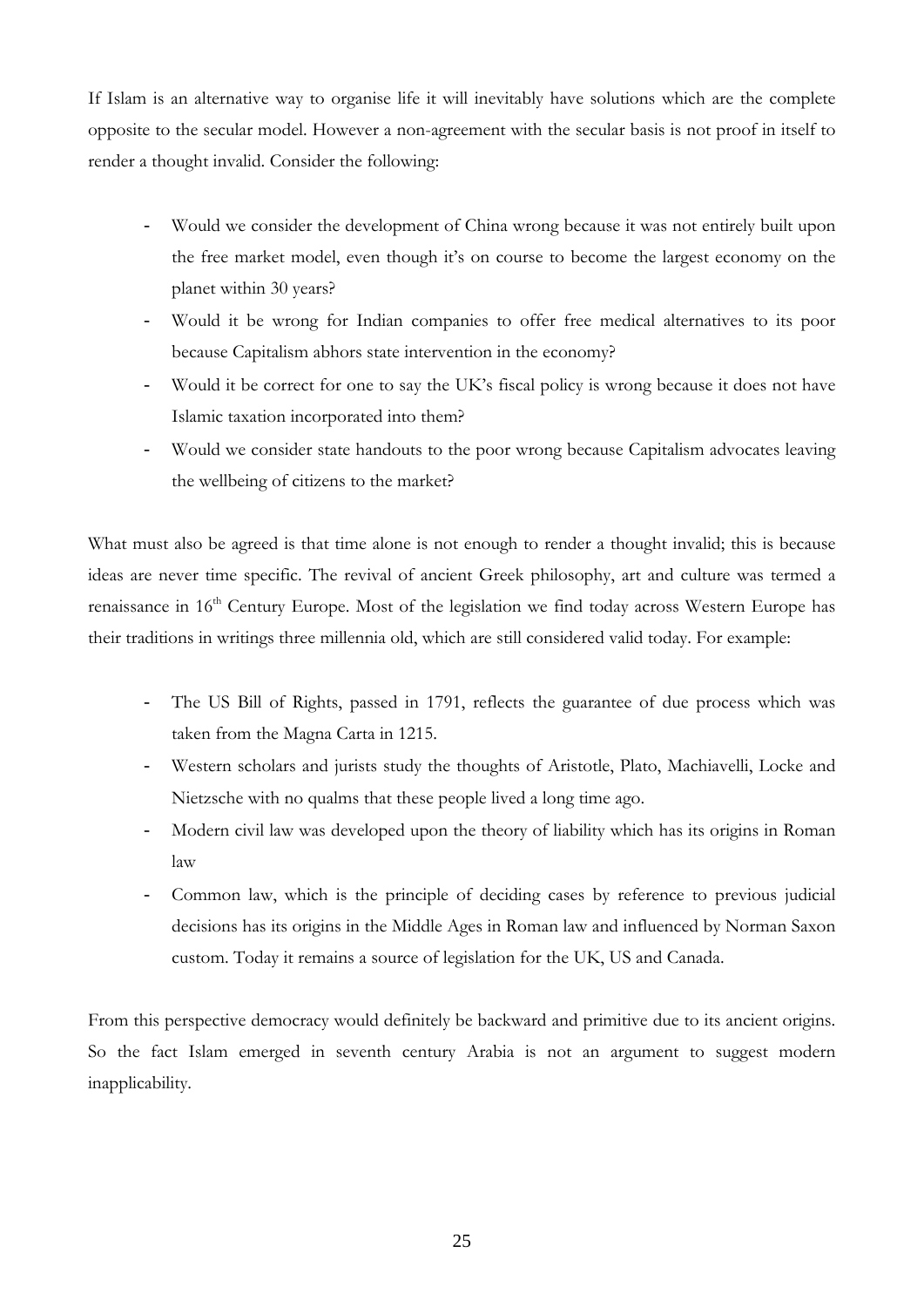If Islam is an alternative way to organise life it will inevitably have solutions which are the complete opposite to the secular model. However a non-agreement with the secular basis is not proof in itself to render a thought invalid. Consider the following:

- Would we consider the development of China wrong because it was not entirely built upon the free market model, even though it's on course to become the largest economy on the planet within 30 years?
- Would it be wrong for Indian companies to offer free medical alternatives to its poor because Capitalism abhors state intervention in the economy?
- Would it be correct for one to say the UK's fiscal policy is wrong because it does not have Islamic taxation incorporated into them?
- Would we consider state handouts to the poor wrong because Capitalism advocates leaving the wellbeing of citizens to the market?

What must also be agreed is that time alone is not enough to render a thought invalid; this is because ideas are never time specific. The revival of ancient Greek philosophy, art and culture was termed a renaissance in 16<sup>th</sup> Century Europe. Most of the legislation we find today across Western Europe has their traditions in writings three millennia old, which are still considered valid today. For example:

- The US Bill of Rights, passed in 1791, reflects the guarantee of due process which was taken from the Magna Carta in 1215.
- Western scholars and jurists study the thoughts of Aristotle, Plato, Machiavelli, Locke and Nietzsche with no qualms that these people lived a long time ago.
- Modern civil law was developed upon the theory of liability which has its origins in Roman law
- Common law, which is the principle of deciding cases by reference to previous judicial decisions has its origins in the Middle Ages in Roman law and influenced by Norman Saxon custom. Today it remains a source of legislation for the UK, US and Canada.

From this perspective democracy would definitely be backward and primitive due to its ancient origins. So the fact Islam emerged in seventh century Arabia is not an argument to suggest modern inapplicability.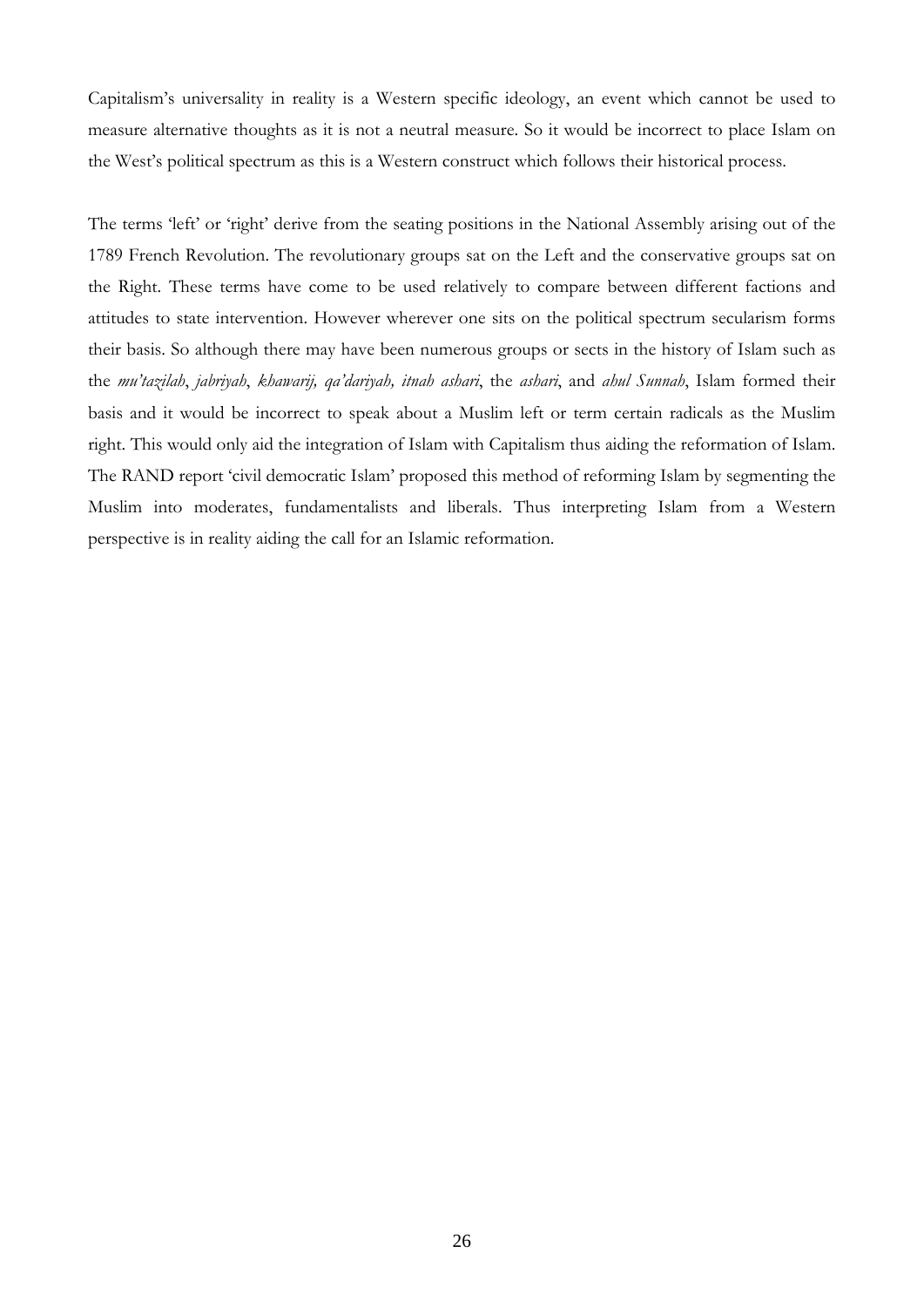Capitalism's universality in reality is a Western specific ideology, an event which cannot be used to measure alternative thoughts as it is not a neutral measure. So it would be incorrect to place Islam on the West's political spectrum as this is a Western construct which follows their historical process.

The terms 'left' or 'right' derive from the seating positions in the National Assembly arising out of the 1789 French Revolution. The revolutionary groups sat on the Left and the conservative groups sat on the Right. These terms have come to be used relatively to compare between different factions and attitudes to state intervention. However wherever one sits on the political spectrum secularism forms their basis. So although there may have been numerous groups or sects in the history of Islam such as the *mu'tazilah*, *jabriyah*, *khawarij, qa'dariyah, itnah ashari*, the *ashari*, and *ahul Sunnah*, Islam formed their basis and it would be incorrect to speak about a Muslim left or term certain radicals as the Muslim right. This would only aid the integration of Islam with Capitalism thus aiding the reformation of Islam. The RAND report 'civil democratic Islam' proposed this method of reforming Islam by segmenting the Muslim into moderates, fundamentalists and liberals. Thus interpreting Islam from a Western perspective is in reality aiding the call for an Islamic reformation.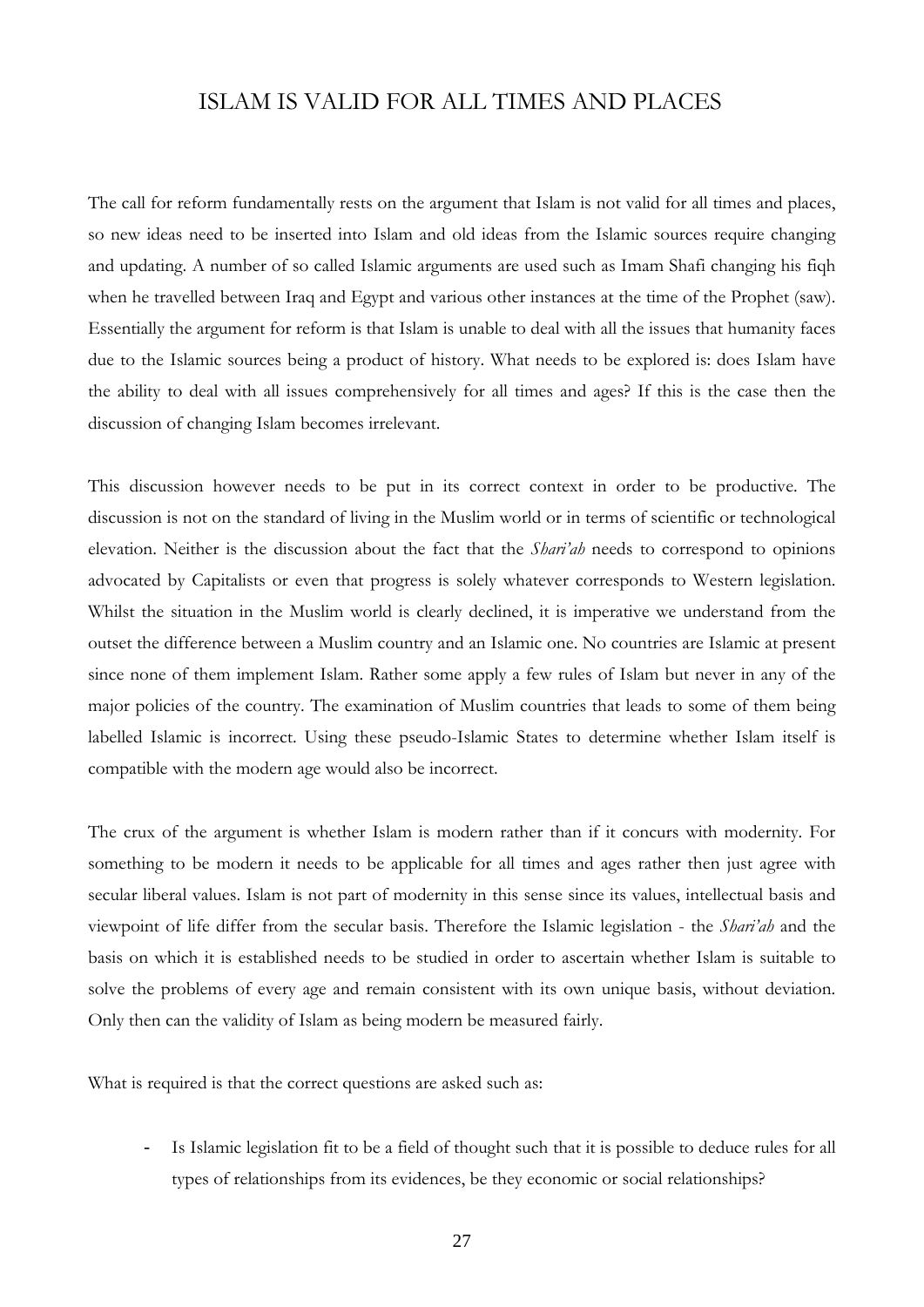# ISLAM IS VALID FOR ALL TIMES AND PLACES

The call for reform fundamentally rests on the argument that Islam is not valid for all times and places, so new ideas need to be inserted into Islam and old ideas from the Islamic sources require changing and updating. A number of so called Islamic arguments are used such as Imam Shafi changing his fiqh when he travelled between Iraq and Egypt and various other instances at the time of the Prophet (saw). Essentially the argument for reform is that Islam is unable to deal with all the issues that humanity faces due to the Islamic sources being a product of history. What needs to be explored is: does Islam have the ability to deal with all issues comprehensively for all times and ages? If this is the case then the discussion of changing Islam becomes irrelevant.

This discussion however needs to be put in its correct context in order to be productive. The discussion is not on the standard of living in the Muslim world or in terms of scientific or technological elevation. Neither is the discussion about the fact that the *Shari'ah* needs to correspond to opinions advocated by Capitalists or even that progress is solely whatever corresponds to Western legislation. Whilst the situation in the Muslim world is clearly declined, it is imperative we understand from the outset the difference between a Muslim country and an Islamic one. No countries are Islamic at present since none of them implement Islam. Rather some apply a few rules of Islam but never in any of the major policies of the country. The examination of Muslim countries that leads to some of them being labelled Islamic is incorrect. Using these pseudo-Islamic States to determine whether Islam itself is compatible with the modern age would also be incorrect.

The crux of the argument is whether Islam is modern rather than if it concurs with modernity. For something to be modern it needs to be applicable for all times and ages rather then just agree with secular liberal values. Islam is not part of modernity in this sense since its values, intellectual basis and viewpoint of life differ from the secular basis. Therefore the Islamic legislation - the *Shari'ah* and the basis on which it is established needs to be studied in order to ascertain whether Islam is suitable to solve the problems of every age and remain consistent with its own unique basis, without deviation. Only then can the validity of Islam as being modern be measured fairly.

What is required is that the correct questions are asked such as:

Is Islamic legislation fit to be a field of thought such that it is possible to deduce rules for all types of relationships from its evidences, be they economic or social relationships?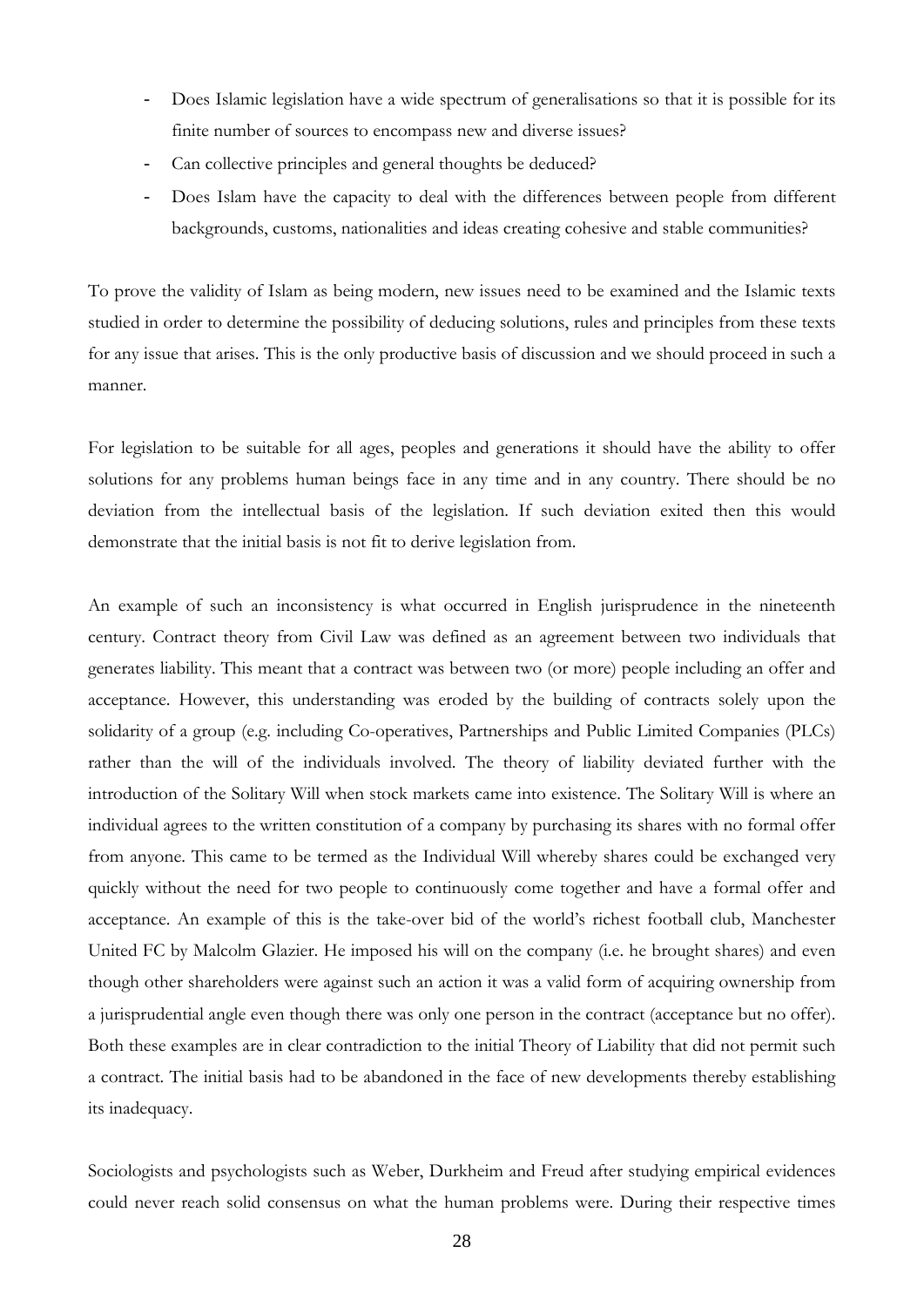- Does Islamic legislation have a wide spectrum of generalisations so that it is possible for its finite number of sources to encompass new and diverse issues?
- Can collective principles and general thoughts be deduced?
- Does Islam have the capacity to deal with the differences between people from different backgrounds, customs, nationalities and ideas creating cohesive and stable communities?

To prove the validity of Islam as being modern, new issues need to be examined and the Islamic texts studied in order to determine the possibility of deducing solutions, rules and principles from these texts for any issue that arises. This is the only productive basis of discussion and we should proceed in such a manner.

For legislation to be suitable for all ages, peoples and generations it should have the ability to offer solutions for any problems human beings face in any time and in any country. There should be no deviation from the intellectual basis of the legislation. If such deviation exited then this would demonstrate that the initial basis is not fit to derive legislation from.

An example of such an inconsistency is what occurred in English jurisprudence in the nineteenth century. Contract theory from Civil Law was defined as an agreement between two individuals that generates liability. This meant that a contract was between two (or more) people including an offer and acceptance. However, this understanding was eroded by the building of contracts solely upon the solidarity of a group (e.g. including Co-operatives, Partnerships and Public Limited Companies (PLCs) rather than the will of the individuals involved. The theory of liability deviated further with the introduction of the Solitary Will when stock markets came into existence. The Solitary Will is where an individual agrees to the written constitution of a company by purchasing its shares with no formal offer from anyone. This came to be termed as the Individual Will whereby shares could be exchanged very quickly without the need for two people to continuously come together and have a formal offer and acceptance. An example of this is the take-over bid of the world's richest football club, Manchester United FC by Malcolm Glazier. He imposed his will on the company (i.e. he brought shares) and even though other shareholders were against such an action it was a valid form of acquiring ownership from a jurisprudential angle even though there was only one person in the contract (acceptance but no offer). Both these examples are in clear contradiction to the initial Theory of Liability that did not permit such a contract. The initial basis had to be abandoned in the face of new developments thereby establishing its inadequacy.

Sociologists and psychologists such as Weber, Durkheim and Freud after studying empirical evidences could never reach solid consensus on what the human problems were. During their respective times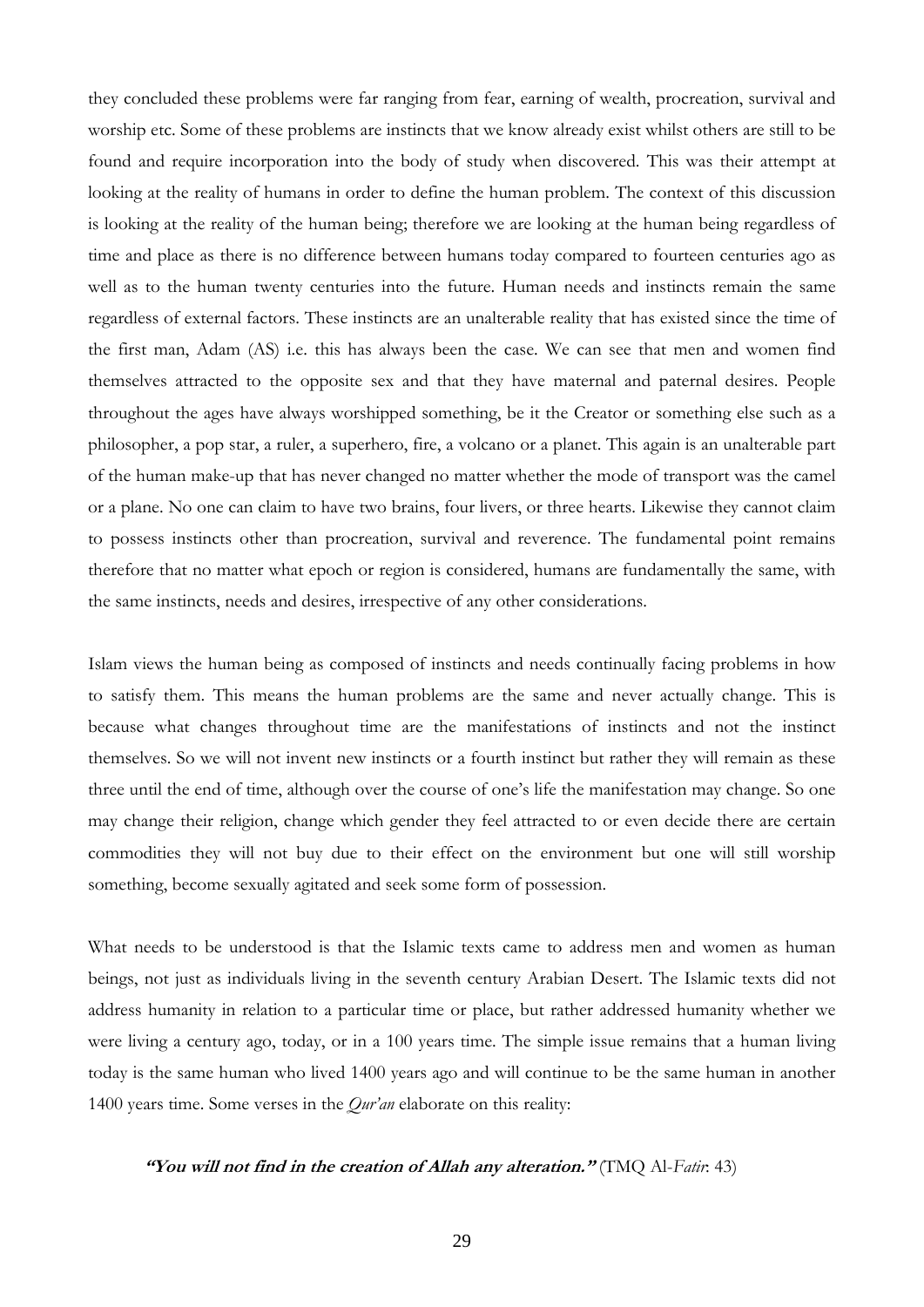they concluded these problems were far ranging from fear, earning of wealth, procreation, survival and worship etc. Some of these problems are instincts that we know already exist whilst others are still to be found and require incorporation into the body of study when discovered. This was their attempt at looking at the reality of humans in order to define the human problem. The context of this discussion is looking at the reality of the human being; therefore we are looking at the human being regardless of time and place as there is no difference between humans today compared to fourteen centuries ago as well as to the human twenty centuries into the future. Human needs and instincts remain the same regardless of external factors. These instincts are an unalterable reality that has existed since the time of the first man, Adam (AS) i.e. this has always been the case. We can see that men and women find themselves attracted to the opposite sex and that they have maternal and paternal desires. People throughout the ages have always worshipped something, be it the Creator or something else such as a philosopher, a pop star, a ruler, a superhero, fire, a volcano or a planet. This again is an unalterable part of the human make-up that has never changed no matter whether the mode of transport was the camel or a plane. No one can claim to have two brains, four livers, or three hearts. Likewise they cannot claim to possess instincts other than procreation, survival and reverence. The fundamental point remains therefore that no matter what epoch or region is considered, humans are fundamentally the same, with the same instincts, needs and desires, irrespective of any other considerations.

Islam views the human being as composed of instincts and needs continually facing problems in how to satisfy them. This means the human problems are the same and never actually change. This is because what changes throughout time are the manifestations of instincts and not the instinct themselves. So we will not invent new instincts or a fourth instinct but rather they will remain as these three until the end of time, although over the course of one's life the manifestation may change. So one may change their religion, change which gender they feel attracted to or even decide there are certain commodities they will not buy due to their effect on the environment but one will still worship something, become sexually agitated and seek some form of possession.

What needs to be understood is that the Islamic texts came to address men and women as human beings, not just as individuals living in the seventh century Arabian Desert. The Islamic texts did not address humanity in relation to a particular time or place, but rather addressed humanity whether we were living a century ago, today, or in a 100 years time. The simple issue remains that a human living today is the same human who lived 1400 years ago and will continue to be the same human in another 1400 years time. Some verses in the *Qur'an* elaborate on this reality:

#### **"You will not find in the creation of Allah any alteration."** (TMQ Al-*Fatir*: 43)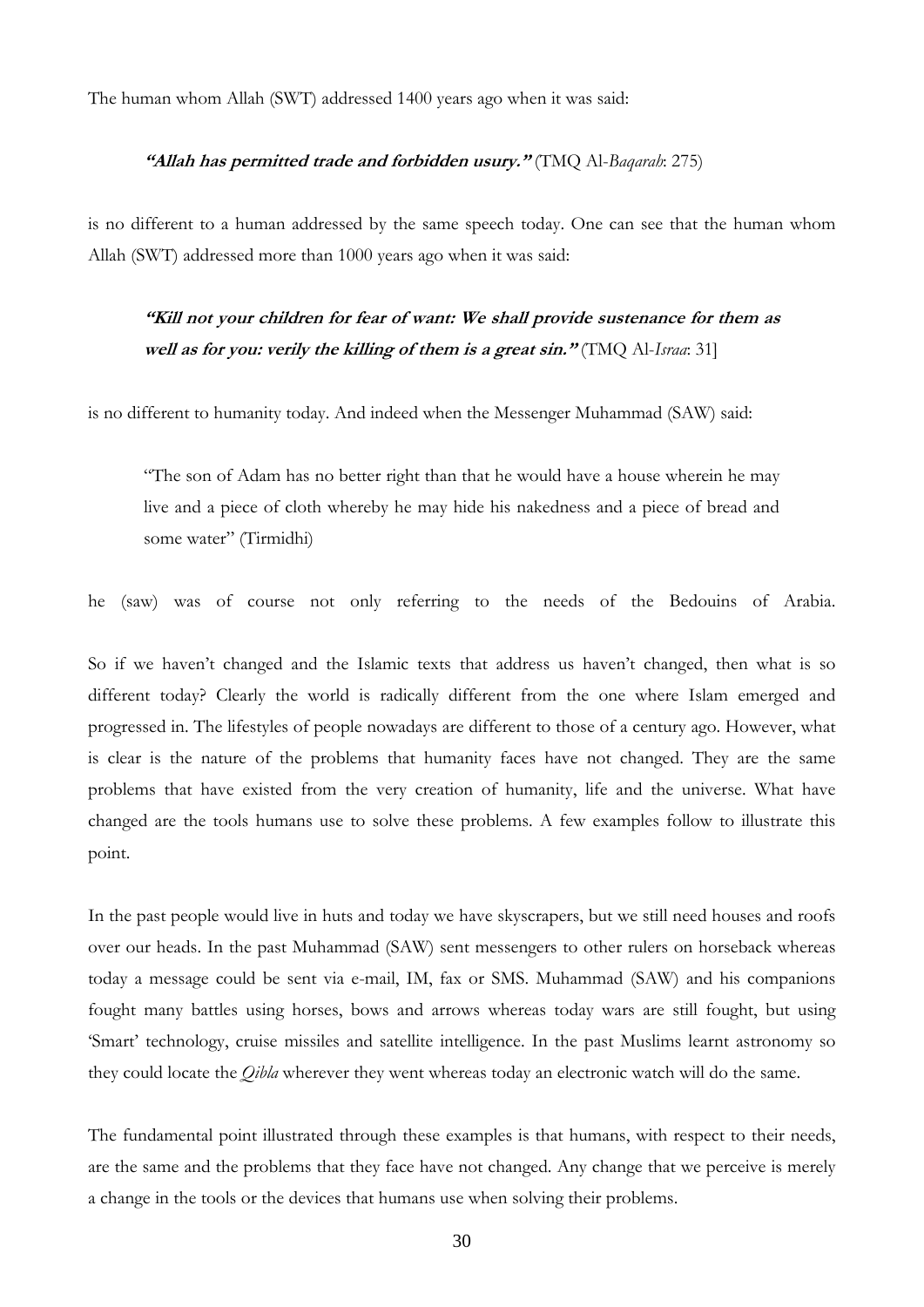The human whom Allah (SWT) addressed 1400 years ago when it was said:

#### **"Allah has permitted trade and forbidden usury."** (TMQ Al-*Baqarah*: 275)

is no different to a human addressed by the same speech today. One can see that the human whom Allah (SWT) addressed more than 1000 years ago when it was said:

**"Kill not your children for fear of want: We shall provide sustenance for them as well as for you: verily the killing of them is a great sin."** (TMQ Al-*Israa*: 31]

is no different to humanity today. And indeed when the Messenger Muhammad (SAW) said:

"The son of Adam has no better right than that he would have a house wherein he may live and a piece of cloth whereby he may hide his nakedness and a piece of bread and some water" (Tirmidhi)

he (saw) was of course not only referring to the needs of the Bedouins of Arabia.

So if we haven't changed and the Islamic texts that address us haven't changed, then what is so different today? Clearly the world is radically different from the one where Islam emerged and progressed in. The lifestyles of people nowadays are different to those of a century ago. However, what is clear is the nature of the problems that humanity faces have not changed. They are the same problems that have existed from the very creation of humanity, life and the universe. What have changed are the tools humans use to solve these problems. A few examples follow to illustrate this point.

In the past people would live in huts and today we have skyscrapers, but we still need houses and roofs over our heads. In the past Muhammad (SAW) sent messengers to other rulers on horseback whereas today a message could be sent via e-mail, IM, fax or SMS. Muhammad (SAW) and his companions fought many battles using horses, bows and arrows whereas today wars are still fought, but using 'Smart' technology, cruise missiles and satellite intelligence. In the past Muslims learnt astronomy so they could locate the *Qibla* wherever they went whereas today an electronic watch will do the same.

The fundamental point illustrated through these examples is that humans, with respect to their needs, are the same and the problems that they face have not changed. Any change that we perceive is merely a change in the tools or the devices that humans use when solving their problems.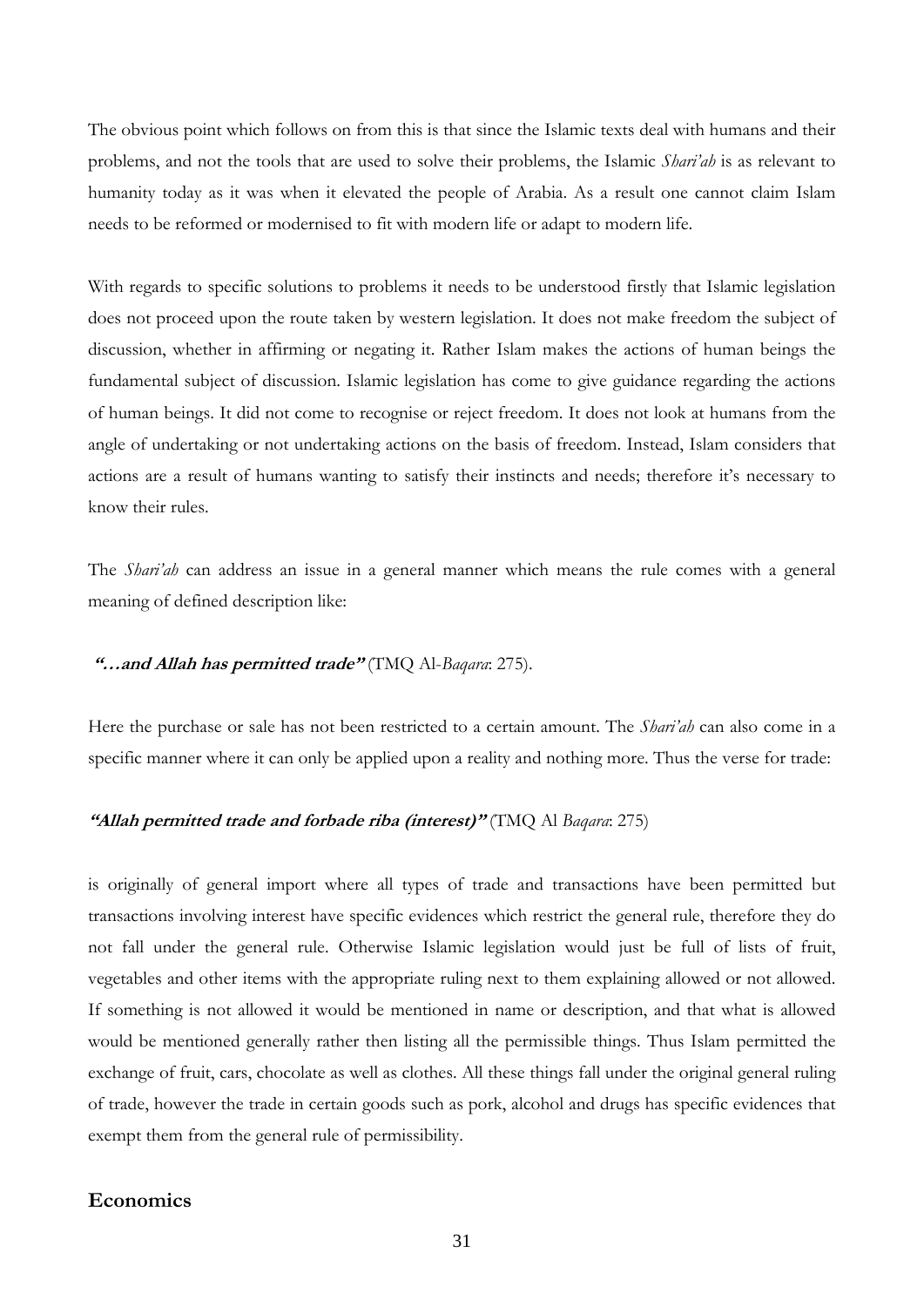The obvious point which follows on from this is that since the Islamic texts deal with humans and their problems, and not the tools that are used to solve their problems, the Islamic *Shari'ah* is as relevant to humanity today as it was when it elevated the people of Arabia. As a result one cannot claim Islam needs to be reformed or modernised to fit with modern life or adapt to modern life.

With regards to specific solutions to problems it needs to be understood firstly that Islamic legislation does not proceed upon the route taken by western legislation. It does not make freedom the subject of discussion, whether in affirming or negating it. Rather Islam makes the actions of human beings the fundamental subject of discussion. Islamic legislation has come to give guidance regarding the actions of human beings. It did not come to recognise or reject freedom. It does not look at humans from the angle of undertaking or not undertaking actions on the basis of freedom. Instead, Islam considers that actions are a result of humans wanting to satisfy their instincts and needs; therefore it's necessary to know their rules.

The *Shari'ah* can address an issue in a general manner which means the rule comes with a general meaning of defined description like:

#### **"…and Allah has permitted trade"** (TMQ Al-*Baqara*: 275).

Here the purchase or sale has not been restricted to a certain amount. The *Shari'ah* can also come in a specific manner where it can only be applied upon a reality and nothing more. Thus the verse for trade:

#### **"Allah permitted trade and forbade riba (interest)"** (TMQ Al *Baqara*: 275)

is originally of general import where all types of trade and transactions have been permitted but transactions involving interest have specific evidences which restrict the general rule, therefore they do not fall under the general rule. Otherwise Islamic legislation would just be full of lists of fruit, vegetables and other items with the appropriate ruling next to them explaining allowed or not allowed. If something is not allowed it would be mentioned in name or description, and that what is allowed would be mentioned generally rather then listing all the permissible things. Thus Islam permitted the exchange of fruit, cars, chocolate as well as clothes. All these things fall under the original general ruling of trade, however the trade in certain goods such as pork, alcohol and drugs has specific evidences that exempt them from the general rule of permissibility.

#### **Economics**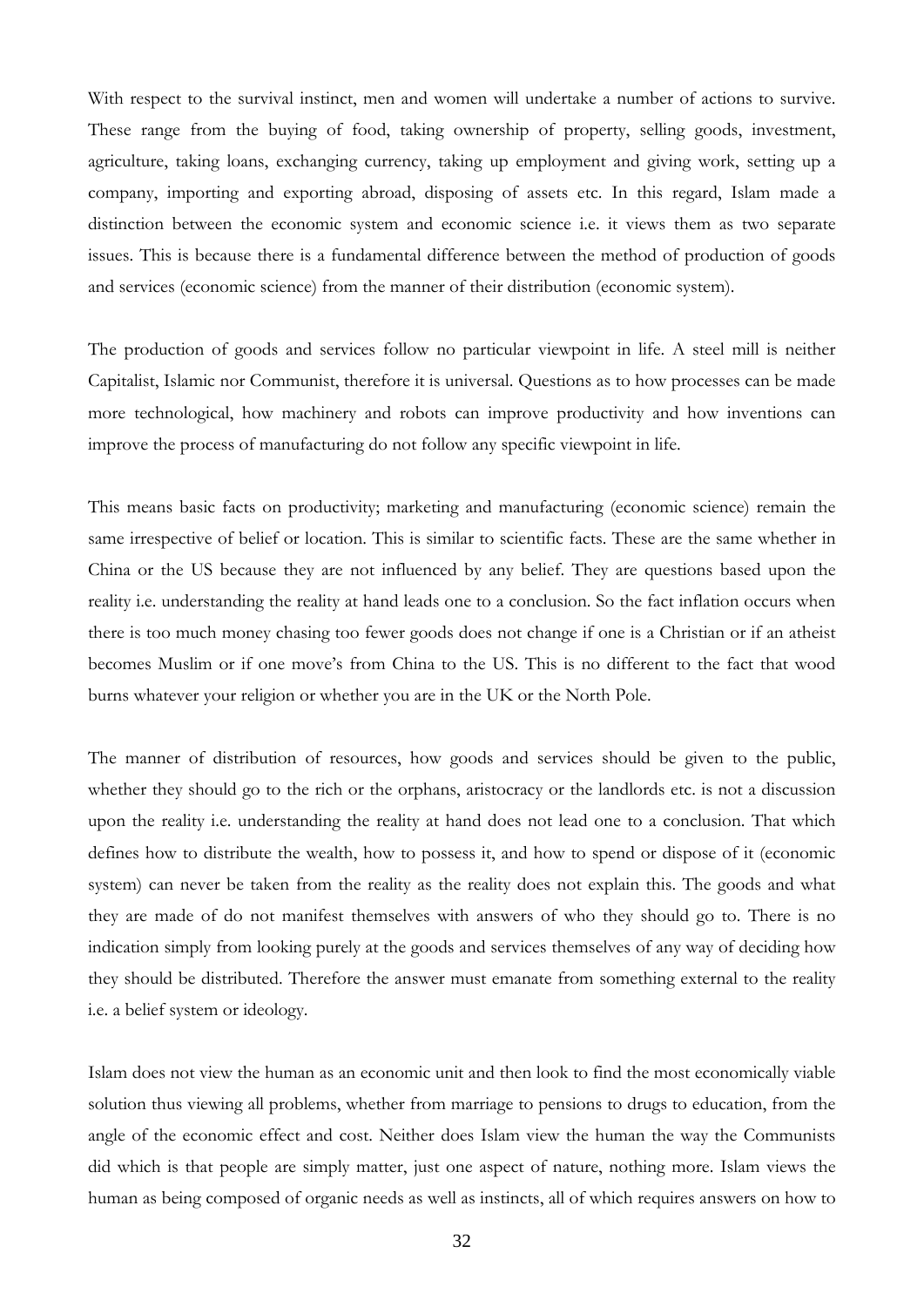With respect to the survival instinct, men and women will undertake a number of actions to survive. These range from the buying of food, taking ownership of property, selling goods, investment, agriculture, taking loans, exchanging currency, taking up employment and giving work, setting up a company, importing and exporting abroad, disposing of assets etc. In this regard, Islam made a distinction between the economic system and economic science i.e. it views them as two separate issues. This is because there is a fundamental difference between the method of production of goods and services (economic science) from the manner of their distribution (economic system).

The production of goods and services follow no particular viewpoint in life. A steel mill is neither Capitalist, Islamic nor Communist, therefore it is universal. Questions as to how processes can be made more technological, how machinery and robots can improve productivity and how inventions can improve the process of manufacturing do not follow any specific viewpoint in life.

This means basic facts on productivity; marketing and manufacturing (economic science) remain the same irrespective of belief or location. This is similar to scientific facts. These are the same whether in China or the US because they are not influenced by any belief. They are questions based upon the reality i.e. understanding the reality at hand leads one to a conclusion. So the fact inflation occurs when there is too much money chasing too fewer goods does not change if one is a Christian or if an atheist becomes Muslim or if one move's from China to the US. This is no different to the fact that wood burns whatever your religion or whether you are in the UK or the North Pole.

The manner of distribution of resources, how goods and services should be given to the public, whether they should go to the rich or the orphans, aristocracy or the landlords etc. is not a discussion upon the reality i.e. understanding the reality at hand does not lead one to a conclusion. That which defines how to distribute the wealth, how to possess it, and how to spend or dispose of it (economic system) can never be taken from the reality as the reality does not explain this. The goods and what they are made of do not manifest themselves with answers of who they should go to. There is no indication simply from looking purely at the goods and services themselves of any way of deciding how they should be distributed. Therefore the answer must emanate from something external to the reality i.e. a belief system or ideology.

Islam does not view the human as an economic unit and then look to find the most economically viable solution thus viewing all problems, whether from marriage to pensions to drugs to education, from the angle of the economic effect and cost. Neither does Islam view the human the way the Communists did which is that people are simply matter, just one aspect of nature, nothing more. Islam views the human as being composed of organic needs as well as instincts, all of which requires answers on how to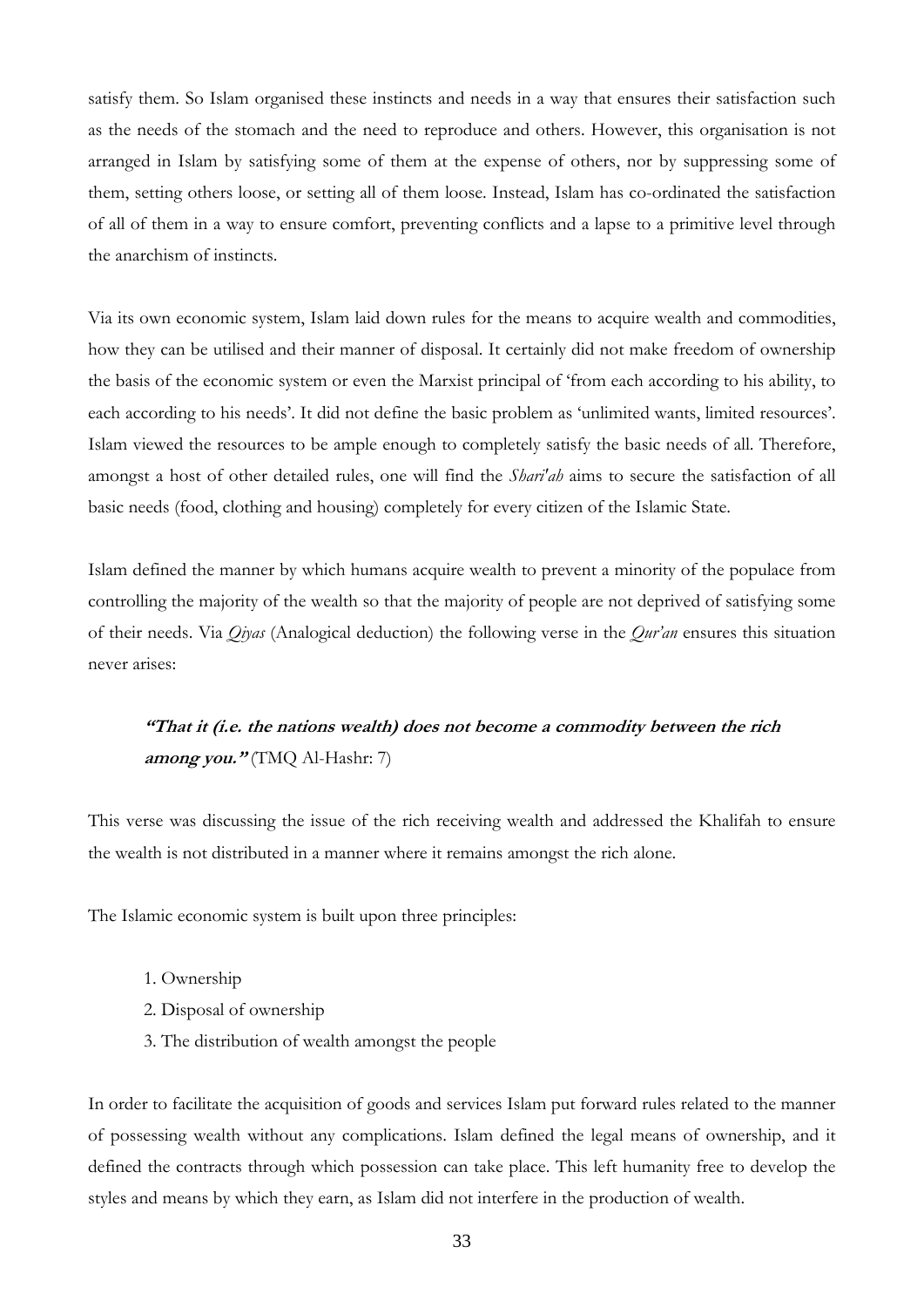satisfy them. So Islam organised these instincts and needs in a way that ensures their satisfaction such as the needs of the stomach and the need to reproduce and others. However, this organisation is not arranged in Islam by satisfying some of them at the expense of others, nor by suppressing some of them, setting others loose, or setting all of them loose. Instead, Islam has co-ordinated the satisfaction of all of them in a way to ensure comfort, preventing conflicts and a lapse to a primitive level through the anarchism of instincts.

Via its own economic system, Islam laid down rules for the means to acquire wealth and commodities, how they can be utilised and their manner of disposal. It certainly did not make freedom of ownership the basis of the economic system or even the Marxist principal of 'from each according to his ability, to each according to his needs'. It did not define the basic problem as 'unlimited wants, limited resources'. Islam viewed the resources to be ample enough to completely satisfy the basic needs of all. Therefore, amongst a host of other detailed rules, one will find the *Shari'ah* aims to secure the satisfaction of all basic needs (food, clothing and housing) completely for every citizen of the Islamic State.

Islam defined the manner by which humans acquire wealth to prevent a minority of the populace from controlling the majority of the wealth so that the majority of people are not deprived of satisfying some of their needs. Via *Qiyas* (Analogical deduction) the following verse in the *Qur'an* ensures this situation never arises:

# **"That it (i.e. the nations wealth) does not become a commodity between the rich among you."** (TMQ Al-Hashr: 7)

This verse was discussing the issue of the rich receiving wealth and addressed the Khalifah to ensure the wealth is not distributed in a manner where it remains amongst the rich alone.

The Islamic economic system is built upon three principles:

- 1. Ownership
- 2. Disposal of ownership
- 3. The distribution of wealth amongst the people

In order to facilitate the acquisition of goods and services Islam put forward rules related to the manner of possessing wealth without any complications. Islam defined the legal means of ownership, and it defined the contracts through which possession can take place. This left humanity free to develop the styles and means by which they earn, as Islam did not interfere in the production of wealth.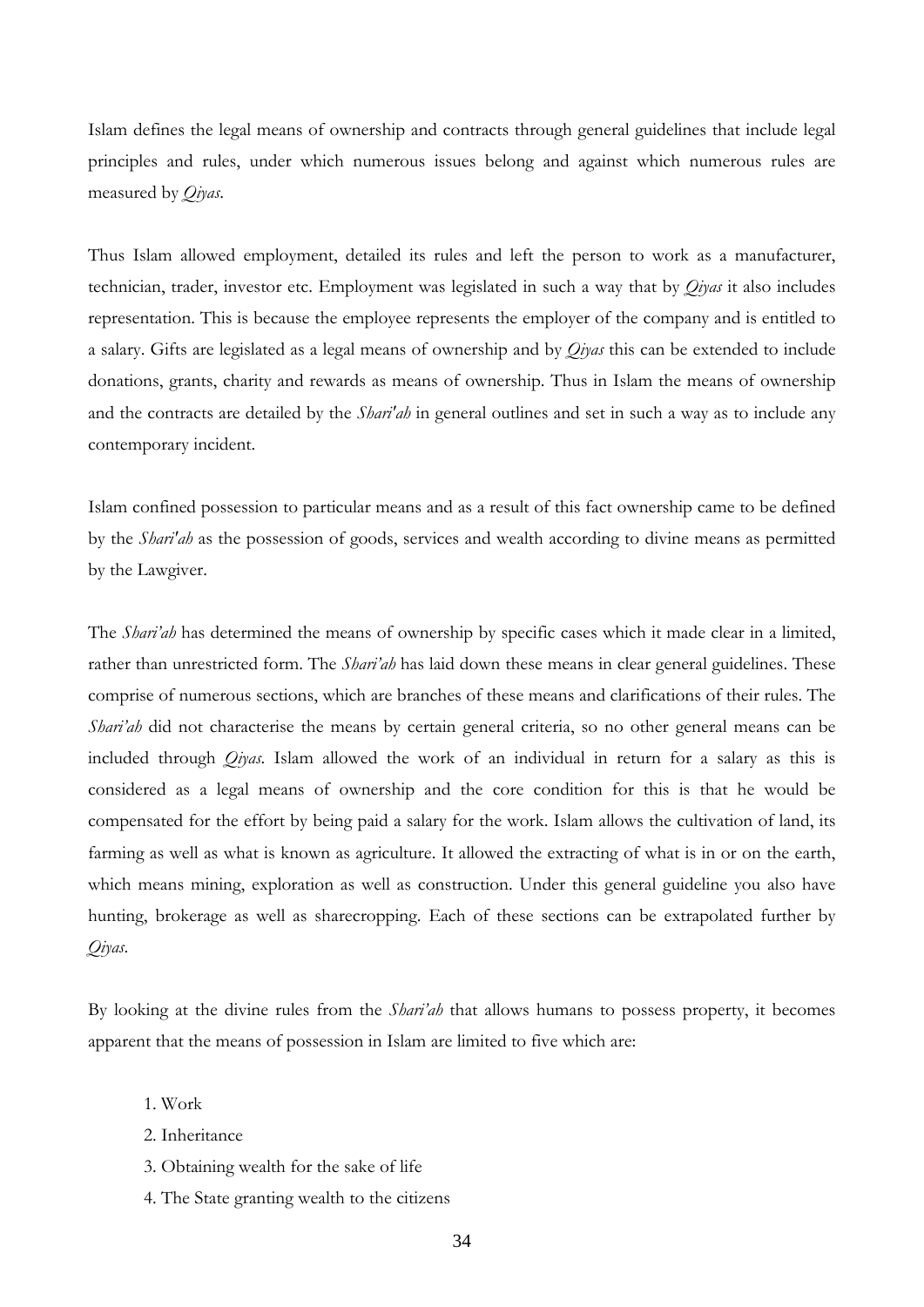Islam defines the legal means of ownership and contracts through general guidelines that include legal principles and rules, under which numerous issues belong and against which numerous rules are measured by *Qiyas*.

Thus Islam allowed employment, detailed its rules and left the person to work as a manufacturer, technician, trader, investor etc. Employment was legislated in such a way that by *Qiyas* it also includes representation. This is because the employee represents the employer of the company and is entitled to a salary. Gifts are legislated as a legal means of ownership and by *Qiyas* this can be extended to include donations, grants, charity and rewards as means of ownership. Thus in Islam the means of ownership and the contracts are detailed by the *Shari'ah* in general outlines and set in such a way as to include any contemporary incident.

Islam confined possession to particular means and as a result of this fact ownership came to be defined by the *Shari'ah* as the possession of goods, services and wealth according to divine means as permitted by the Lawgiver.

The *Shari'ah* has determined the means of ownership by specific cases which it made clear in a limited, rather than unrestricted form. The *Shari'ah* has laid down these means in clear general guidelines. These comprise of numerous sections, which are branches of these means and clarifications of their rules. The *Shari'ah* did not characterise the means by certain general criteria, so no other general means can be included through *Qiyas*. Islam allowed the work of an individual in return for a salary as this is considered as a legal means of ownership and the core condition for this is that he would be compensated for the effort by being paid a salary for the work. Islam allows the cultivation of land, its farming as well as what is known as agriculture. It allowed the extracting of what is in or on the earth, which means mining, exploration as well as construction. Under this general guideline you also have hunting, brokerage as well as sharecropping. Each of these sections can be extrapolated further by *Qiyas*.

By looking at the divine rules from the *Shari'ah* that allows humans to possess property, it becomes apparent that the means of possession in Islam are limited to five which are:

- 1. Work
- 2. Inheritance
- 3. Obtaining wealth for the sake of life
- 4. The State granting wealth to the citizens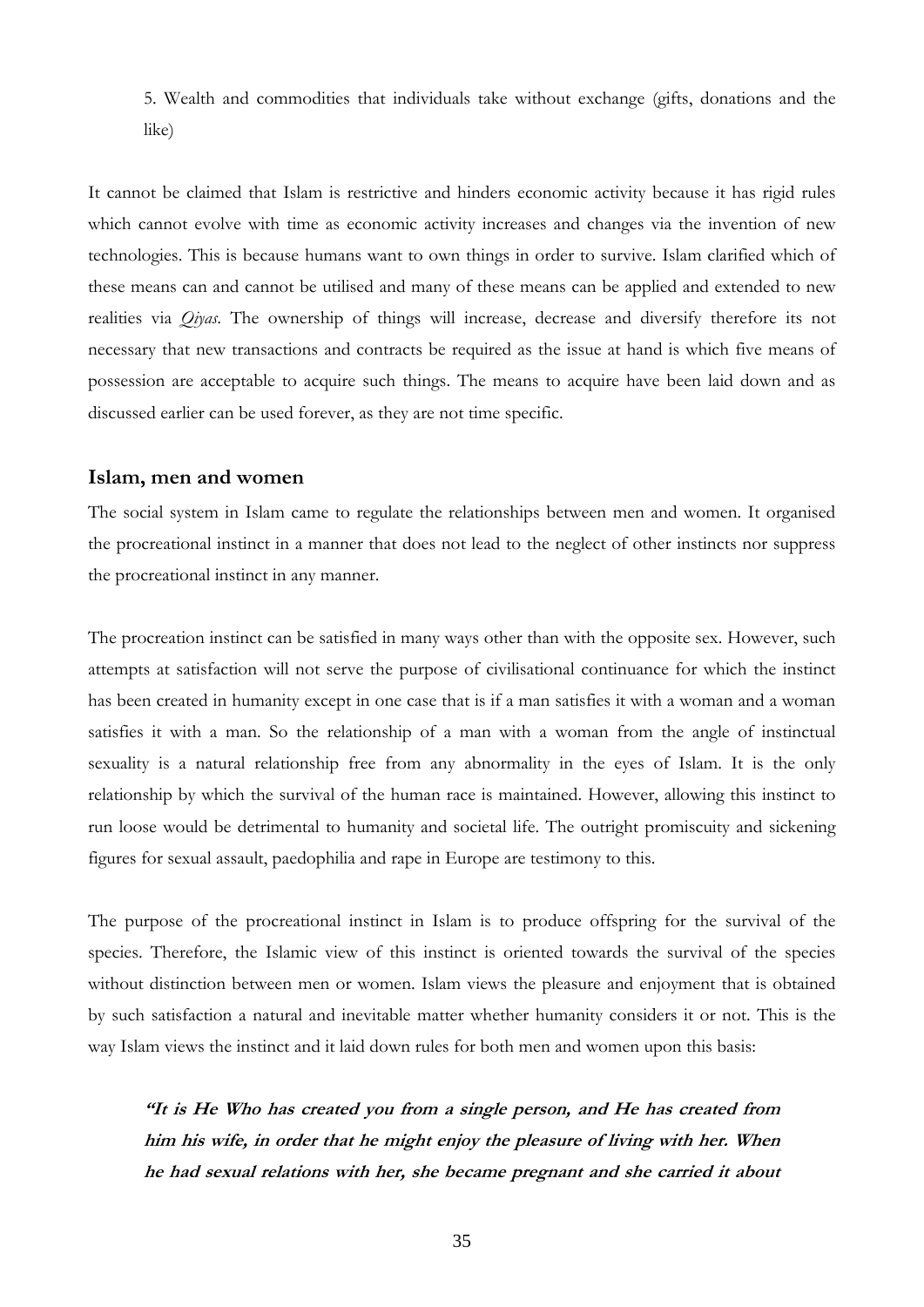5. Wealth and commodities that individuals take without exchange (gifts, donations and the like)

It cannot be claimed that Islam is restrictive and hinders economic activity because it has rigid rules which cannot evolve with time as economic activity increases and changes via the invention of new technologies. This is because humans want to own things in order to survive. Islam clarified which of these means can and cannot be utilised and many of these means can be applied and extended to new realities via *Qiyas*. The ownership of things will increase, decrease and diversify therefore its not necessary that new transactions and contracts be required as the issue at hand is which five means of possession are acceptable to acquire such things. The means to acquire have been laid down and as discussed earlier can be used forever, as they are not time specific.

#### **Islam, men and women**

The social system in Islam came to regulate the relationships between men and women. It organised the procreational instinct in a manner that does not lead to the neglect of other instincts nor suppress the procreational instinct in any manner.

The procreation instinct can be satisfied in many ways other than with the opposite sex. However, such attempts at satisfaction will not serve the purpose of civilisational continuance for which the instinct has been created in humanity except in one case that is if a man satisfies it with a woman and a woman satisfies it with a man. So the relationship of a man with a woman from the angle of instinctual sexuality is a natural relationship free from any abnormality in the eyes of Islam. It is the only relationship by which the survival of the human race is maintained. However, allowing this instinct to run loose would be detrimental to humanity and societal life. The outright promiscuity and sickening figures for sexual assault, paedophilia and rape in Europe are testimony to this.

The purpose of the procreational instinct in Islam is to produce offspring for the survival of the species. Therefore, the Islamic view of this instinct is oriented towards the survival of the species without distinction between men or women. Islam views the pleasure and enjoyment that is obtained by such satisfaction a natural and inevitable matter whether humanity considers it or not. This is the way Islam views the instinct and it laid down rules for both men and women upon this basis:

**"It is He Who has created you from a single person, and He has created from him his wife, in order that he might enjoy the pleasure of living with her. When he had sexual relations with her, she became pregnant and she carried it about**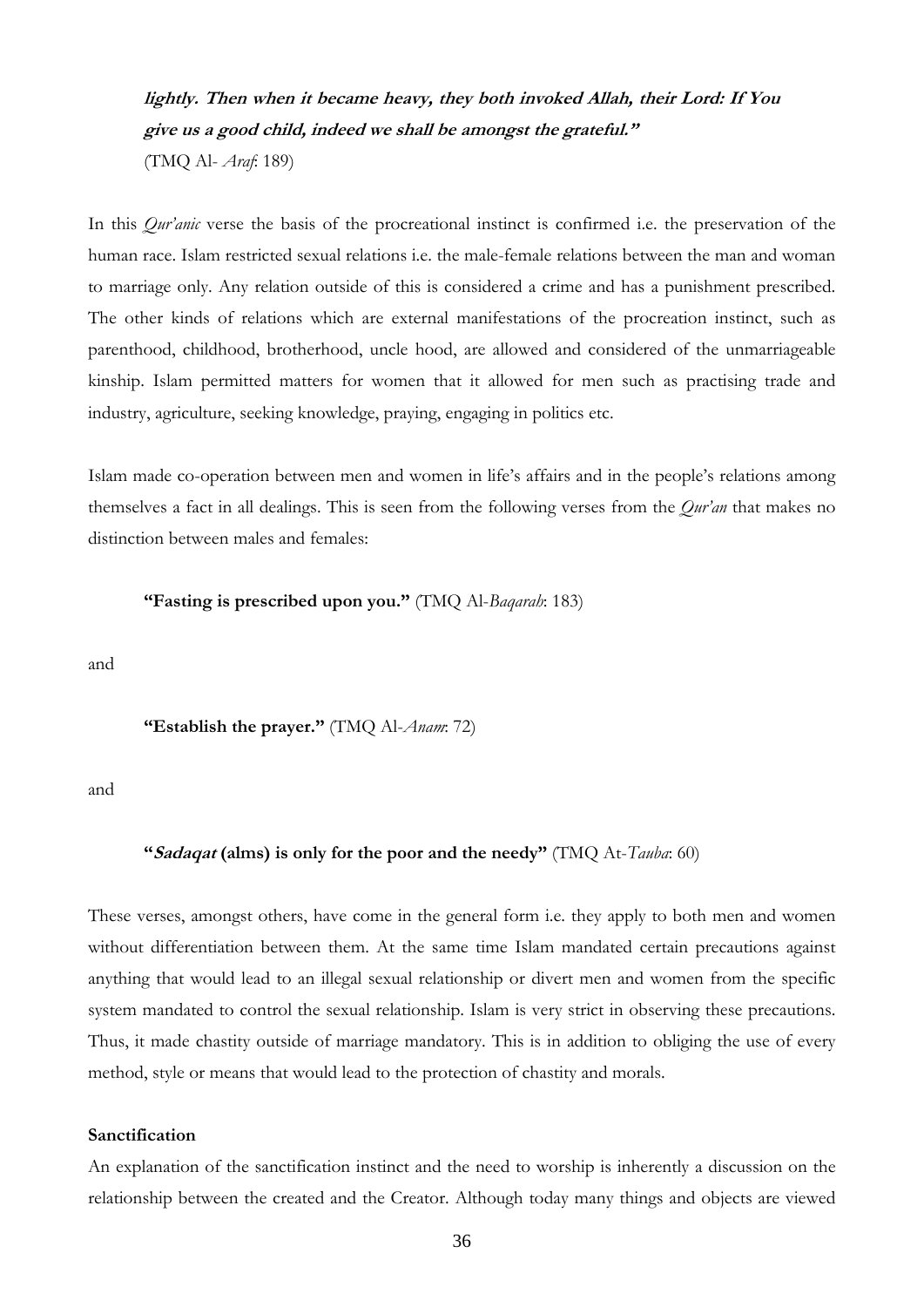**lightly. Then when it became heavy, they both invoked Allah, their Lord: If You give us a good child, indeed we shall be amongst the grateful."** (TMQ Al- *Araf*: 189)

In this *Qur'anic* verse the basis of the procreational instinct is confirmed i.e. the preservation of the human race. Islam restricted sexual relations i.e. the male-female relations between the man and woman to marriage only. Any relation outside of this is considered a crime and has a punishment prescribed. The other kinds of relations which are external manifestations of the procreation instinct, such as parenthood, childhood, brotherhood, uncle hood, are allowed and considered of the unmarriageable kinship. Islam permitted matters for women that it allowed for men such as practising trade and industry, agriculture, seeking knowledge, praying, engaging in politics etc.

Islam made co-operation between men and women in life's affairs and in the people's relations among themselves a fact in all dealings. This is seen from the following verses from the *Qur'an* that makes no distinction between males and females:

**"Fasting is prescribed upon you."** (TMQ Al-*Baqarah*: 183)

and

**"Establish the prayer."** (TMQ Al-*Anam*: 72)

and

#### **"Sadaqat (alms) is only for the poor and the needy"** (TMQ At-*Tauba*: 60)

These verses, amongst others, have come in the general form i.e. they apply to both men and women without differentiation between them. At the same time Islam mandated certain precautions against anything that would lead to an illegal sexual relationship or divert men and women from the specific system mandated to control the sexual relationship. Islam is very strict in observing these precautions. Thus, it made chastity outside of marriage mandatory. This is in addition to obliging the use of every method, style or means that would lead to the protection of chastity and morals.

#### **Sanctification**

An explanation of the sanctification instinct and the need to worship is inherently a discussion on the relationship between the created and the Creator. Although today many things and objects are viewed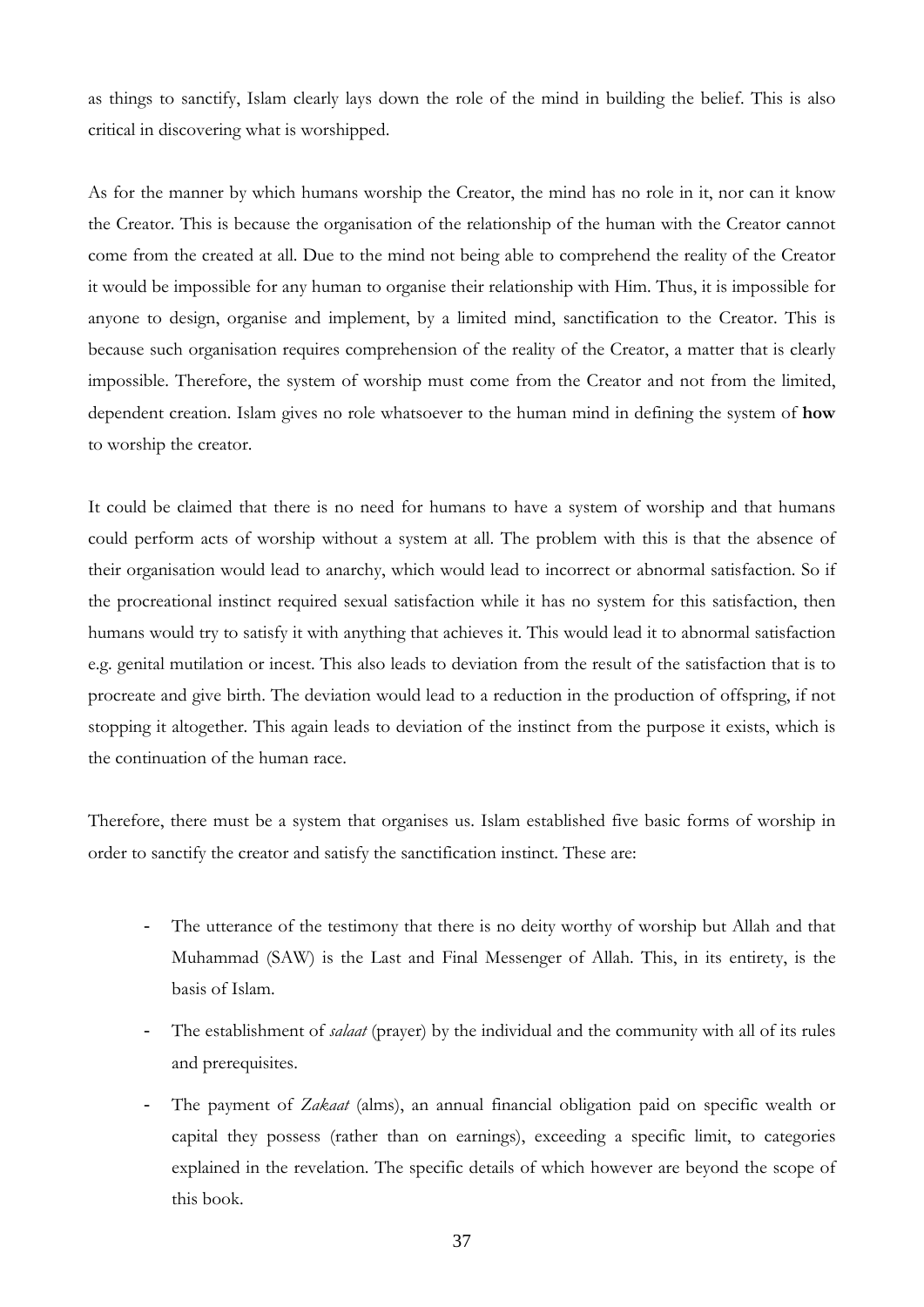as things to sanctify, Islam clearly lays down the role of the mind in building the belief. This is also critical in discovering what is worshipped.

As for the manner by which humans worship the Creator, the mind has no role in it, nor can it know the Creator. This is because the organisation of the relationship of the human with the Creator cannot come from the created at all. Due to the mind not being able to comprehend the reality of the Creator it would be impossible for any human to organise their relationship with Him. Thus, it is impossible for anyone to design, organise and implement, by a limited mind, sanctification to the Creator. This is because such organisation requires comprehension of the reality of the Creator, a matter that is clearly impossible. Therefore, the system of worship must come from the Creator and not from the limited, dependent creation. Islam gives no role whatsoever to the human mind in defining the system of **how** to worship the creator.

It could be claimed that there is no need for humans to have a system of worship and that humans could perform acts of worship without a system at all. The problem with this is that the absence of their organisation would lead to anarchy, which would lead to incorrect or abnormal satisfaction. So if the procreational instinct required sexual satisfaction while it has no system for this satisfaction, then humans would try to satisfy it with anything that achieves it. This would lead it to abnormal satisfaction e.g. genital mutilation or incest. This also leads to deviation from the result of the satisfaction that is to procreate and give birth. The deviation would lead to a reduction in the production of offspring, if not stopping it altogether. This again leads to deviation of the instinct from the purpose it exists, which is the continuation of the human race.

Therefore, there must be a system that organises us. Islam established five basic forms of worship in order to sanctify the creator and satisfy the sanctification instinct. These are:

- The utterance of the testimony that there is no deity worthy of worship but Allah and that Muhammad (SAW) is the Last and Final Messenger of Allah. This, in its entirety, is the basis of Islam.
- The establishment of *salaat* (prayer) by the individual and the community with all of its rules and prerequisites.
- The payment of *Zakaat* (alms), an annual financial obligation paid on specific wealth or capital they possess (rather than on earnings), exceeding a specific limit, to categories explained in the revelation. The specific details of which however are beyond the scope of this book.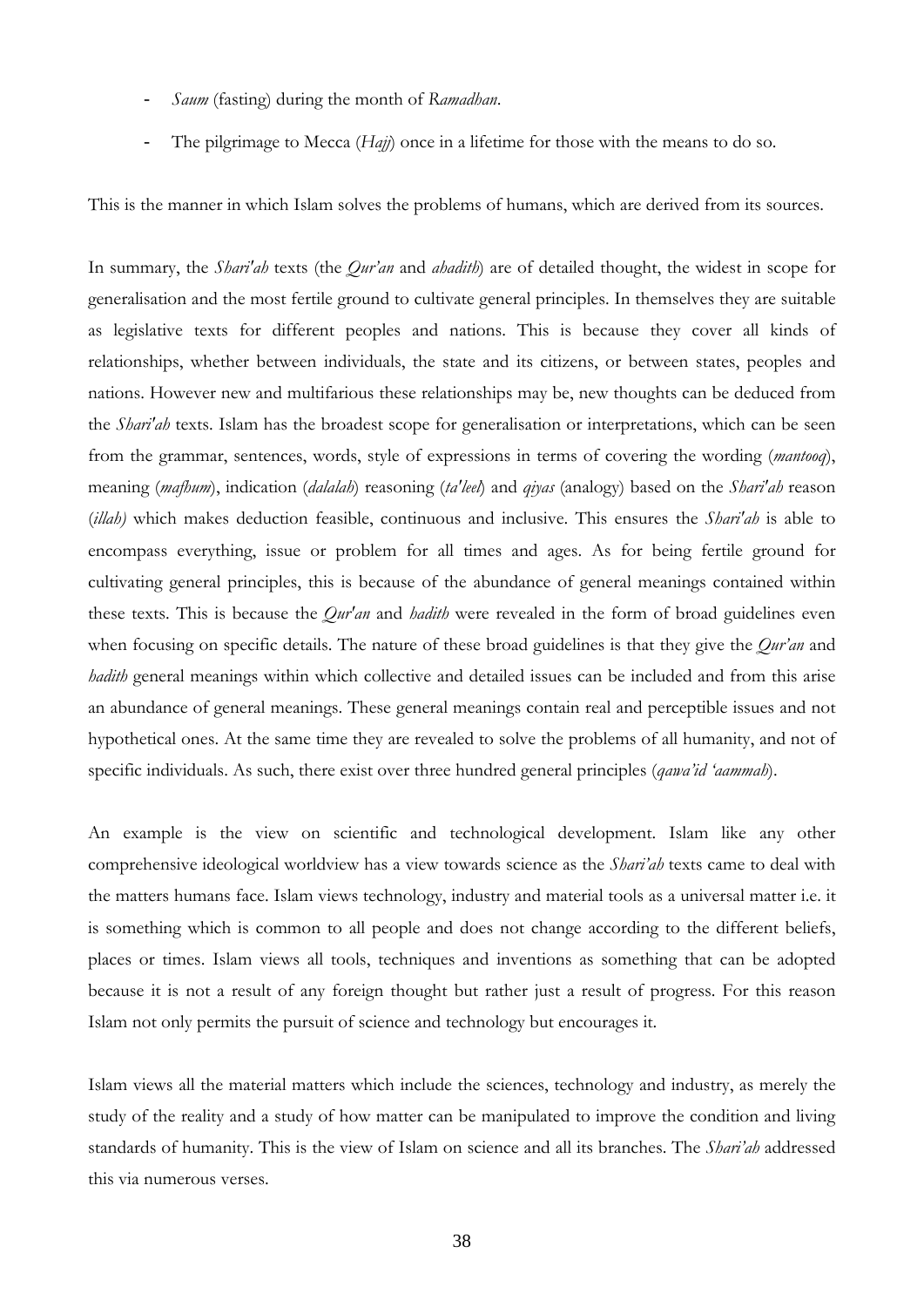- *Saum* (fasting) during the month of *Ramadhan*.
- The pilgrimage to Mecca (*Hajj*) once in a lifetime for those with the means to do so.

This is the manner in which Islam solves the problems of humans, which are derived from its sources.

In summary, the *Shari'ah* texts (the *Qur'an* and *ahadith*) are of detailed thought, the widest in scope for generalisation and the most fertile ground to cultivate general principles. In themselves they are suitable as legislative texts for different peoples and nations. This is because they cover all kinds of relationships, whether between individuals, the state and its citizens, or between states, peoples and nations. However new and multifarious these relationships may be, new thoughts can be deduced from the *Shari'ah* texts. Islam has the broadest scope for generalisation or interpretations, which can be seen from the grammar, sentences, words, style of expressions in terms of covering the wording (*mantooq*), meaning (*mafhum*), indication (*dalalah*) reasoning (*ta'leel*) and *qiyas* (analogy) based on the *Shari'ah* reason (*illah)* which makes deduction feasible, continuous and inclusive. This ensures the *Shari'ah* is able to encompass everything, issue or problem for all times and ages. As for being fertile ground for cultivating general principles, this is because of the abundance of general meanings contained within these texts. This is because the *Qur'an* and *hadith* were revealed in the form of broad guidelines even when focusing on specific details. The nature of these broad guidelines is that they give the *Qur'an* and *hadith* general meanings within which collective and detailed issues can be included and from this arise an abundance of general meanings. These general meanings contain real and perceptible issues and not hypothetical ones. At the same time they are revealed to solve the problems of all humanity, and not of specific individuals. As such, there exist over three hundred general principles (*qawa'id 'aammah*).

An example is the view on scientific and technological development. Islam like any other comprehensive ideological worldview has a view towards science as the *Shari'ah* texts came to deal with the matters humans face. Islam views technology, industry and material tools as a universal matter i.e. it is something which is common to all people and does not change according to the different beliefs, places or times. Islam views all tools, techniques and inventions as something that can be adopted because it is not a result of any foreign thought but rather just a result of progress. For this reason Islam not only permits the pursuit of science and technology but encourages it.

Islam views all the material matters which include the sciences, technology and industry, as merely the study of the reality and a study of how matter can be manipulated to improve the condition and living standards of humanity. This is the view of Islam on science and all its branches. The *Shari'ah* addressed this via numerous verses.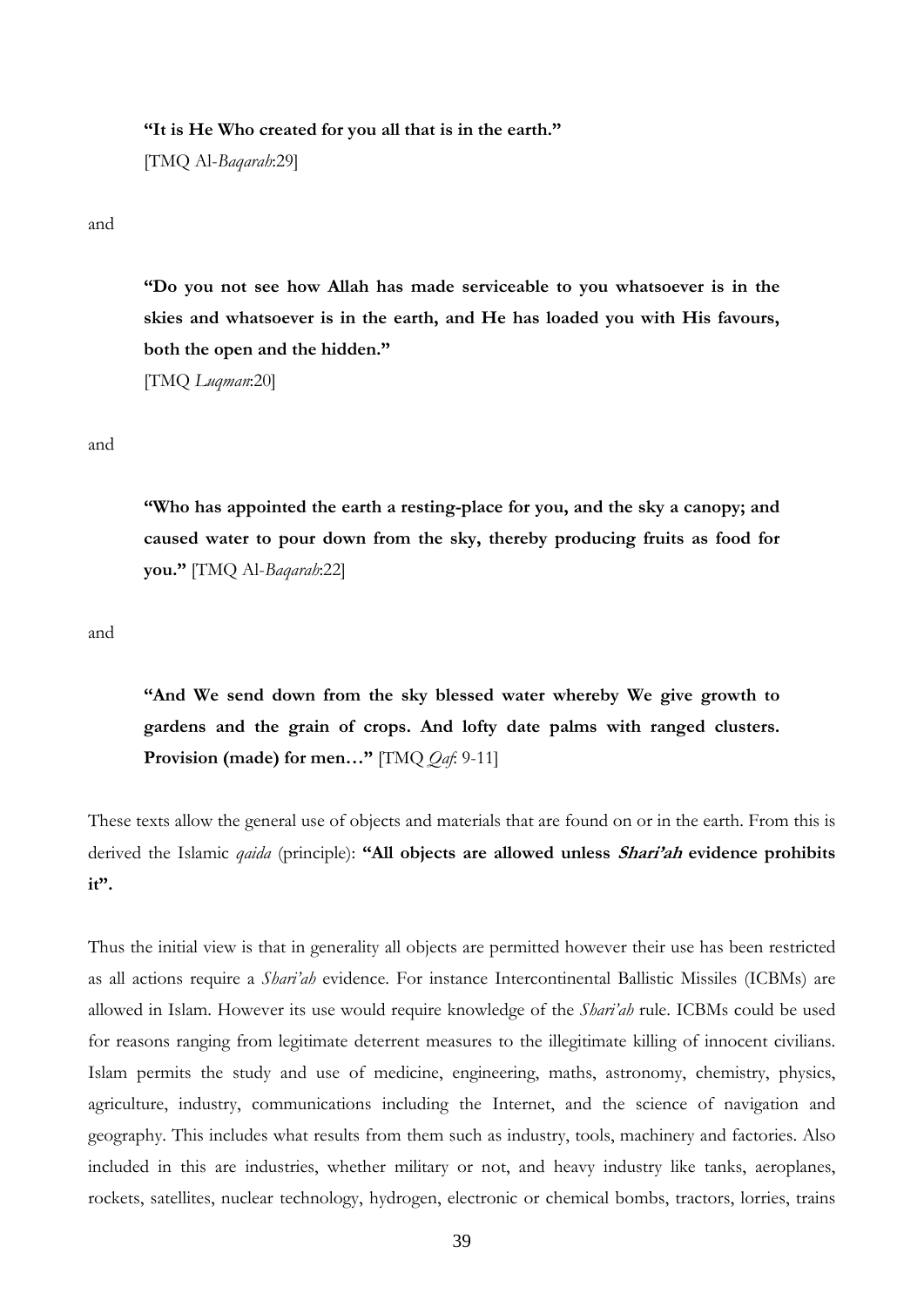**"It is He Who created for you all that is in the earth."**  [TMQ Al-*Baqarah*:29]

and

**"Do you not see how Allah has made serviceable to you whatsoever is in the skies and whatsoever is in the earth, and He has loaded you with His favours, both the open and the hidden."** 

[TMQ *Luqman*:20]

#### and

**"Who has appointed the earth a resting-place for you, and the sky a canopy; and caused water to pour down from the sky, thereby producing fruits as food for you."** [TMQ Al-*Baqarah*:22]

and

**"And We send down from the sky blessed water whereby We give growth to gardens and the grain of crops. And lofty date palms with ranged clusters. Provision (made) for men…"** [TMQ *Qaf*: 9-11]

These texts allow the general use of objects and materials that are found on or in the earth. From this is derived the Islamic *qaida* (principle): **"All objects are allowed unless Shari'ah evidence prohibits it".** 

Thus the initial view is that in generality all objects are permitted however their use has been restricted as all actions require a *Shari'ah* evidence. For instance Intercontinental Ballistic Missiles (ICBMs) are allowed in Islam. However its use would require knowledge of the *Shari'ah* rule. ICBMs could be used for reasons ranging from legitimate deterrent measures to the illegitimate killing of innocent civilians. Islam permits the study and use of medicine, engineering, maths, astronomy, chemistry, physics, agriculture, industry, communications including the Internet, and the science of navigation and geography. This includes what results from them such as industry, tools, machinery and factories. Also included in this are industries, whether military or not, and heavy industry like tanks, aeroplanes, rockets, satellites, nuclear technology, hydrogen, electronic or chemical bombs, tractors, lorries, trains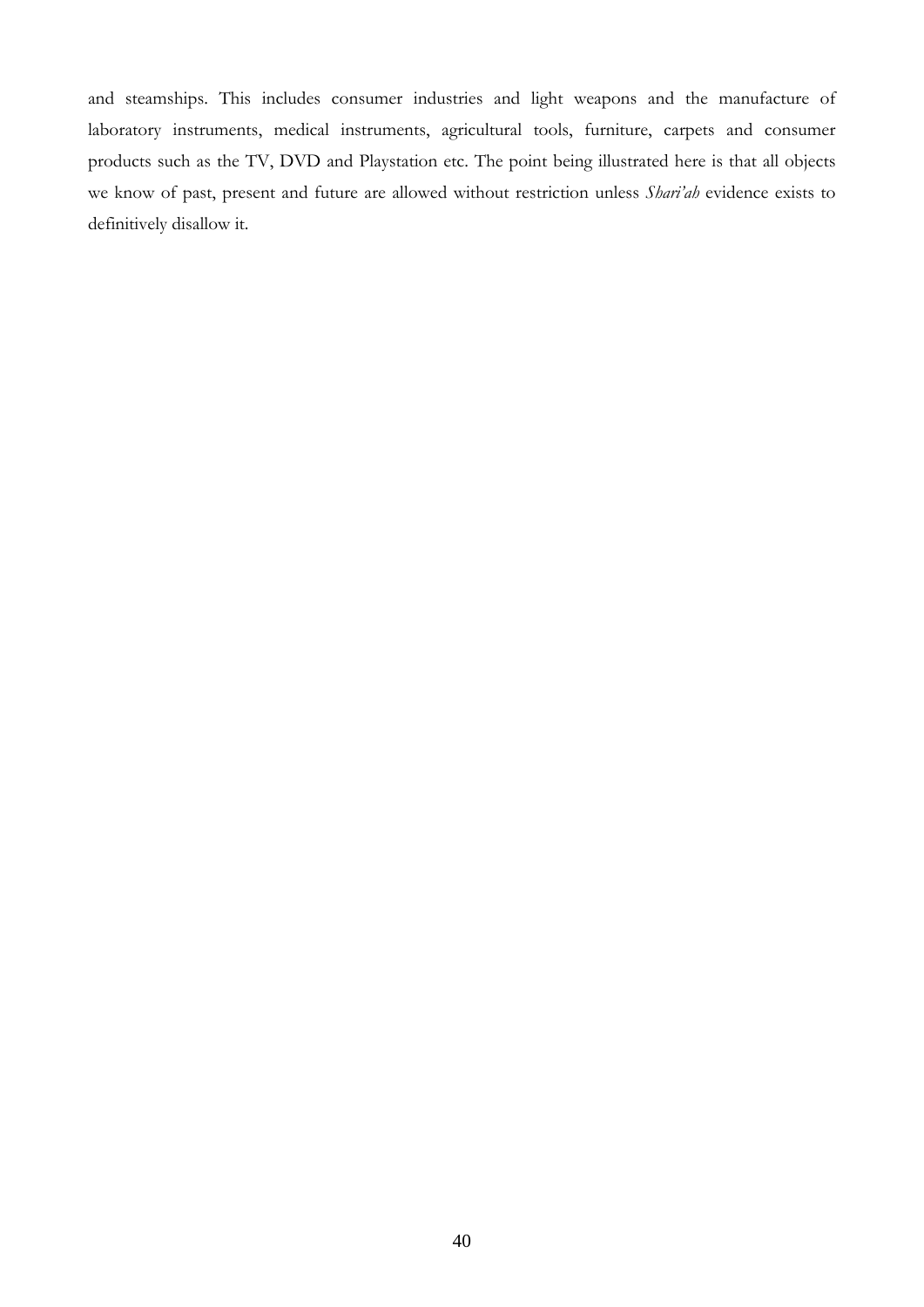and steamships. This includes consumer industries and light weapons and the manufacture of laboratory instruments, medical instruments, agricultural tools, furniture, carpets and consumer products such as the TV, DVD and Playstation etc. The point being illustrated here is that all objects we know of past, present and future are allowed without restriction unless *Shari'ah* evidence exists to definitively disallow it.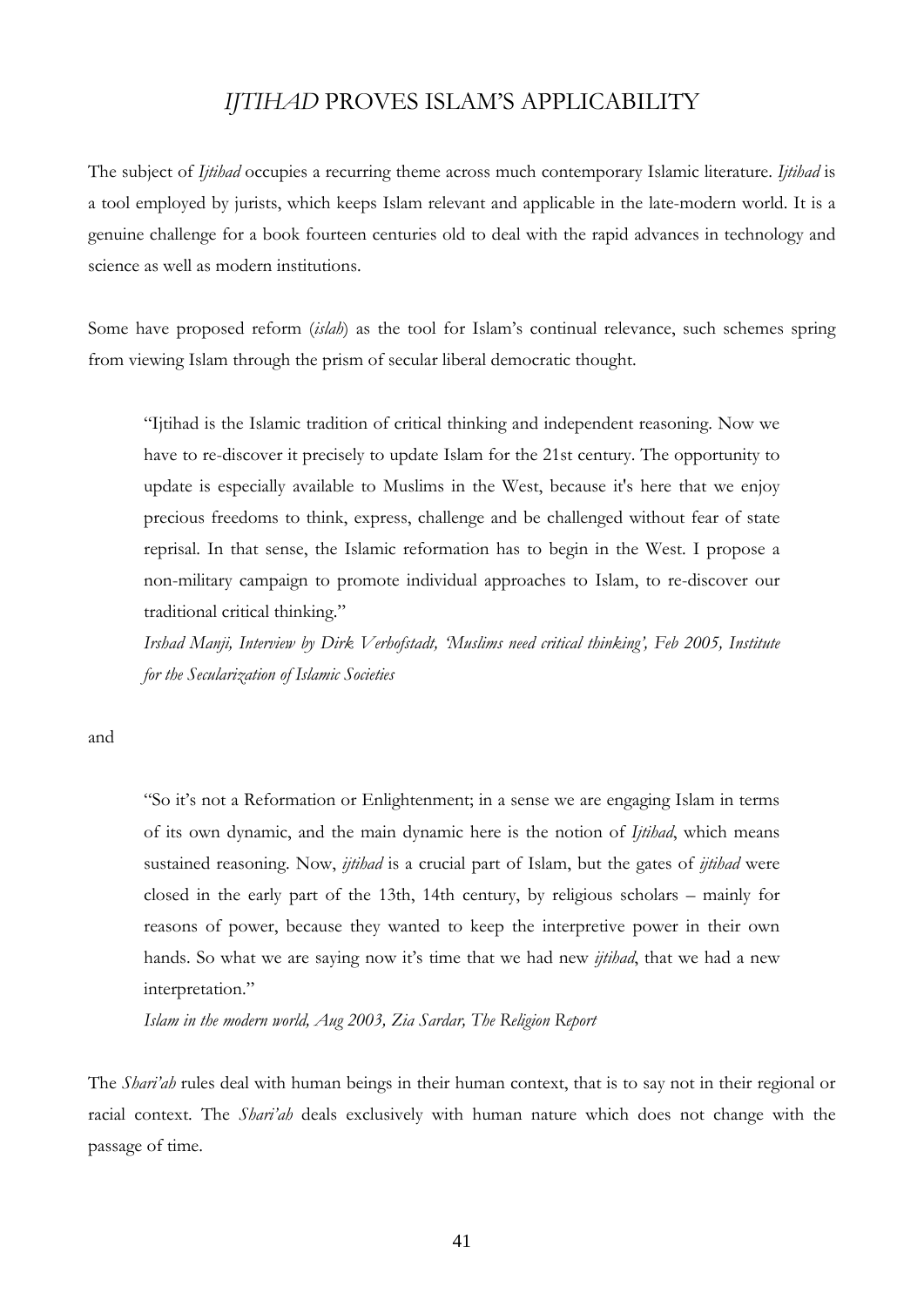# *IJTIHAD* PROVES ISLAM'S APPLICABILITY

The subject of *Ijtihad* occupies a recurring theme across much contemporary Islamic literature. *Ijtihad* is a tool employed by jurists, which keeps Islam relevant and applicable in the late-modern world. It is a genuine challenge for a book fourteen centuries old to deal with the rapid advances in technology and science as well as modern institutions.

Some have proposed reform (*islah*) as the tool for Islam's continual relevance, such schemes spring from viewing Islam through the prism of secular liberal democratic thought.

"Ijtihad is the Islamic tradition of critical thinking and independent reasoning. Now we have to re-discover it precisely to update Islam for the 21st century. The opportunity to update is especially available to Muslims in the West, because it's here that we enjoy precious freedoms to think, express, challenge and be challenged without fear of state reprisal. In that sense, the Islamic reformation has to begin in the West. I propose a non-military campaign to promote individual approaches to Islam, to re-discover our traditional critical thinking."

*Irshad Manji, Interview by Dirk Verhofstadt, 'Muslims need critical thinking', Feb 2005, Institute for the Secularization of Islamic Societies* 

and

"So it's not a Reformation or Enlightenment; in a sense we are engaging Islam in terms of its own dynamic, and the main dynamic here is the notion of *Ijtihad*, which means sustained reasoning. Now, *ijtihad* is a crucial part of Islam, but the gates of *ijtihad* were closed in the early part of the 13th, 14th century, by religious scholars – mainly for reasons of power, because they wanted to keep the interpretive power in their own hands. So what we are saying now it's time that we had new *ijtihad*, that we had a new interpretation."

*Islam in the modern world, Aug 2003, Zia Sardar, The Religion Report* 

The *Shari'ah* rules deal with human beings in their human context, that is to say not in their regional or racial context. The *Shari'ah* deals exclusively with human nature which does not change with the passage of time.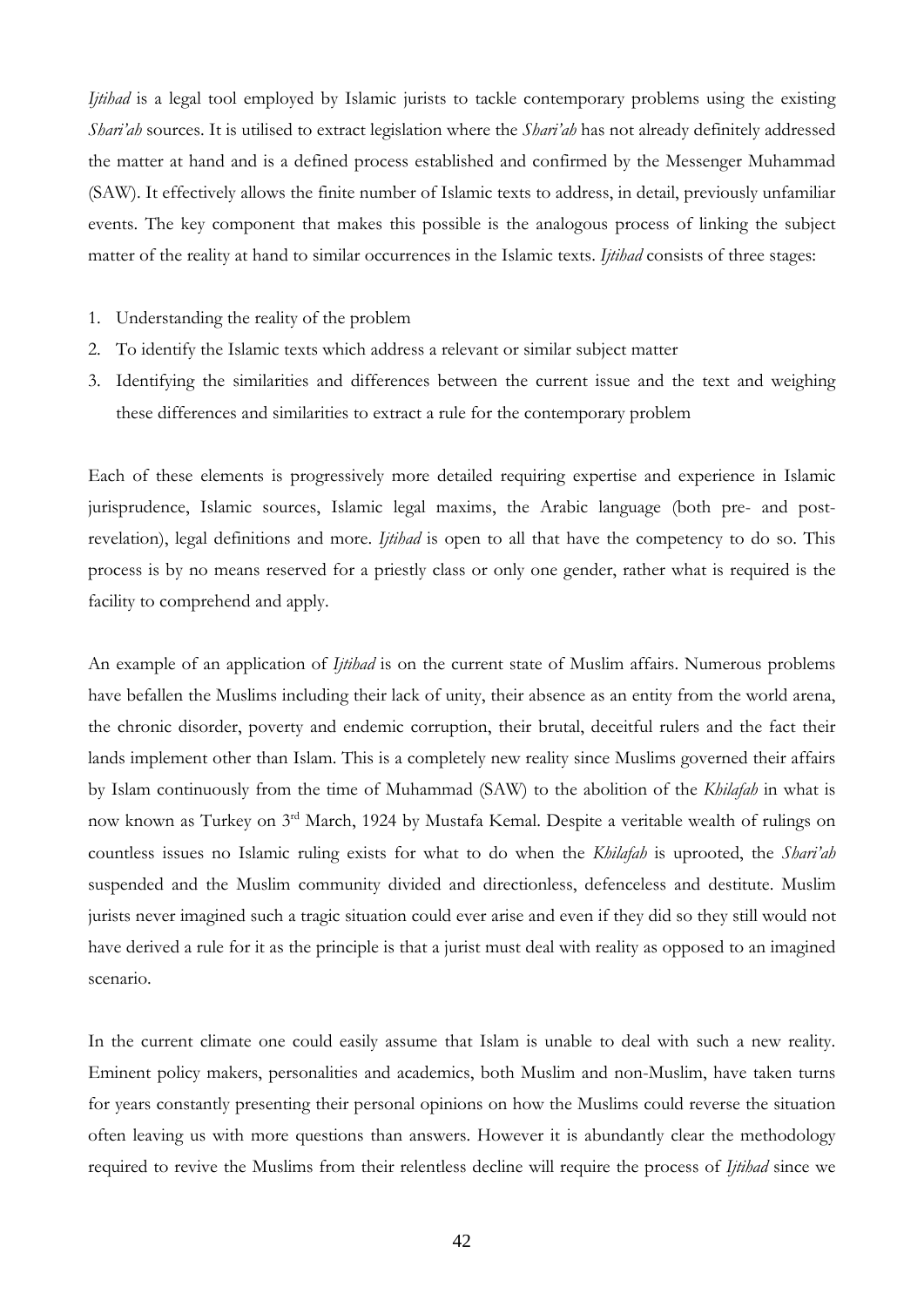*Ijtihad* is a legal tool employed by Islamic jurists to tackle contemporary problems using the existing *Shari'ah* sources. It is utilised to extract legislation where the *Shari'ah* has not already definitely addressed the matter at hand and is a defined process established and confirmed by the Messenger Muhammad (SAW). It effectively allows the finite number of Islamic texts to address, in detail, previously unfamiliar events. The key component that makes this possible is the analogous process of linking the subject matter of the reality at hand to similar occurrences in the Islamic texts. *Ijtihad* consists of three stages:

- 1. Understanding the reality of the problem
- 2. To identify the Islamic texts which address a relevant or similar subject matter
- 3. Identifying the similarities and differences between the current issue and the text and weighing these differences and similarities to extract a rule for the contemporary problem

Each of these elements is progressively more detailed requiring expertise and experience in Islamic jurisprudence, Islamic sources, Islamic legal maxims, the Arabic language (both pre- and postrevelation), legal definitions and more. *Ijtihad* is open to all that have the competency to do so. This process is by no means reserved for a priestly class or only one gender, rather what is required is the facility to comprehend and apply.

An example of an application of *Ijtihad* is on the current state of Muslim affairs. Numerous problems have befallen the Muslims including their lack of unity, their absence as an entity from the world arena, the chronic disorder, poverty and endemic corruption, their brutal, deceitful rulers and the fact their lands implement other than Islam. This is a completely new reality since Muslims governed their affairs by Islam continuously from the time of Muhammad (SAW) to the abolition of the *Khilafah* in what is now known as Turkey on 3rd March, 1924 by Mustafa Kemal. Despite a veritable wealth of rulings on countless issues no Islamic ruling exists for what to do when the *Khilafah* is uprooted, the *Shari'ah* suspended and the Muslim community divided and directionless, defenceless and destitute. Muslim jurists never imagined such a tragic situation could ever arise and even if they did so they still would not have derived a rule for it as the principle is that a jurist must deal with reality as opposed to an imagined scenario.

In the current climate one could easily assume that Islam is unable to deal with such a new reality. Eminent policy makers, personalities and academics, both Muslim and non-Muslim, have taken turns for years constantly presenting their personal opinions on how the Muslims could reverse the situation often leaving us with more questions than answers. However it is abundantly clear the methodology required to revive the Muslims from their relentless decline will require the process of *Ijtihad* since we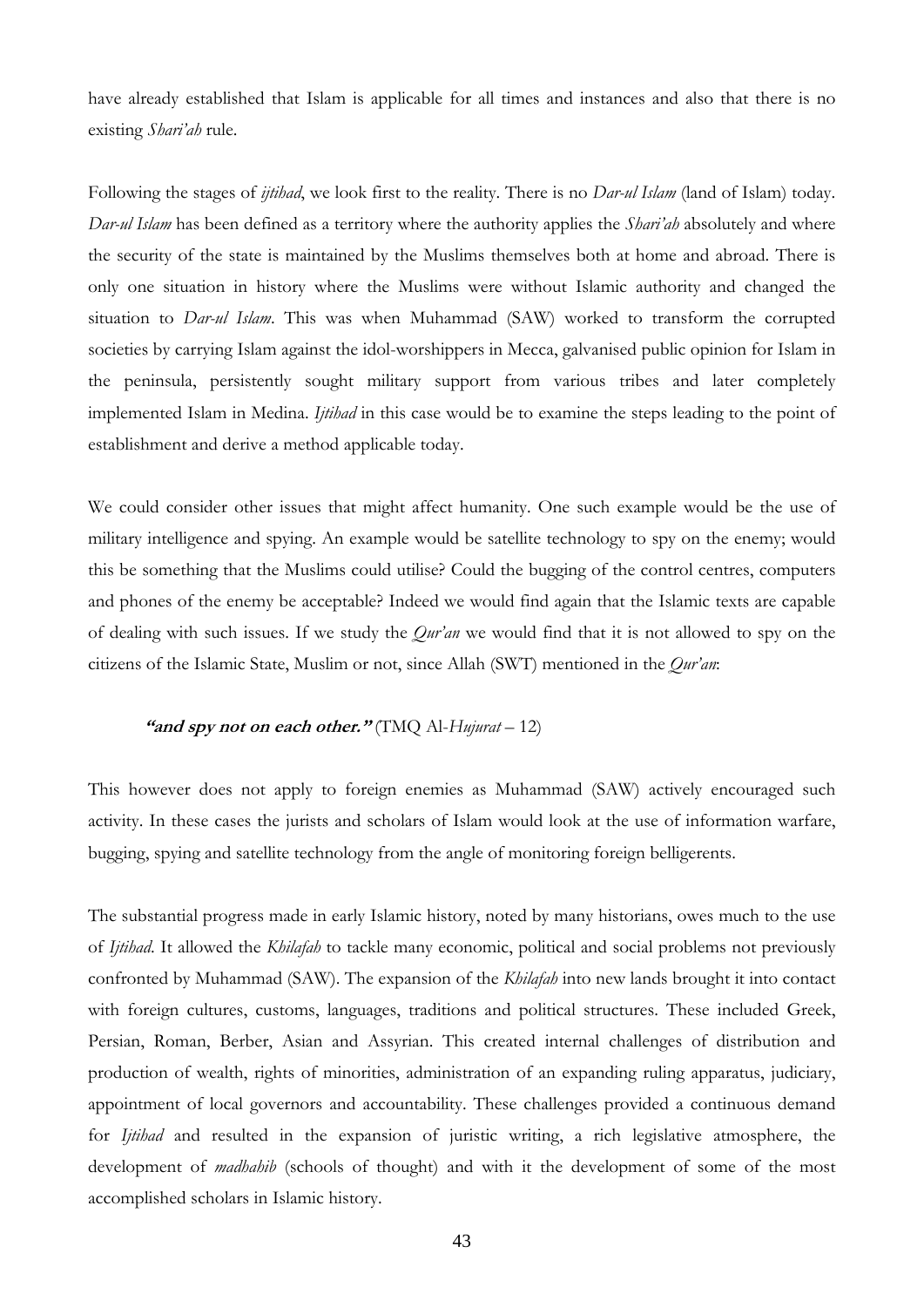have already established that Islam is applicable for all times and instances and also that there is no existing *Shari'ah* rule.

Following the stages of *ijtihad*, we look first to the reality. There is no *Dar-ul Islam* (land of Islam) today. *Dar-ul Islam* has been defined as a territory where the authority applies the *Shari'ah* absolutely and where the security of the state is maintained by the Muslims themselves both at home and abroad. There is only one situation in history where the Muslims were without Islamic authority and changed the situation to *Dar-ul Islam*. This was when Muhammad (SAW) worked to transform the corrupted societies by carrying Islam against the idol-worshippers in Mecca, galvanised public opinion for Islam in the peninsula, persistently sought military support from various tribes and later completely implemented Islam in Medina. *Ijtihad* in this case would be to examine the steps leading to the point of establishment and derive a method applicable today.

We could consider other issues that might affect humanity. One such example would be the use of military intelligence and spying. An example would be satellite technology to spy on the enemy; would this be something that the Muslims could utilise? Could the bugging of the control centres, computers and phones of the enemy be acceptable? Indeed we would find again that the Islamic texts are capable of dealing with such issues. If we study the *Qur'an* we would find that it is not allowed to spy on the citizens of the Islamic State, Muslim or not, since Allah (SWT) mentioned in the *Qur'an*:

#### **"and spy not on each other."** (TMQ Al-*Hujurat* – 12)

This however does not apply to foreign enemies as Muhammad (SAW) actively encouraged such activity. In these cases the jurists and scholars of Islam would look at the use of information warfare, bugging, spying and satellite technology from the angle of monitoring foreign belligerents.

The substantial progress made in early Islamic history, noted by many historians, owes much to the use of *Ijtihad*. It allowed the *Khilafah* to tackle many economic, political and social problems not previously confronted by Muhammad (SAW). The expansion of the *Khilafah* into new lands brought it into contact with foreign cultures, customs, languages, traditions and political structures. These included Greek, Persian, Roman, Berber, Asian and Assyrian. This created internal challenges of distribution and production of wealth, rights of minorities, administration of an expanding ruling apparatus, judiciary, appointment of local governors and accountability. These challenges provided a continuous demand for *Ijtihad* and resulted in the expansion of juristic writing, a rich legislative atmosphere, the development of *madhahib* (schools of thought) and with it the development of some of the most accomplished scholars in Islamic history.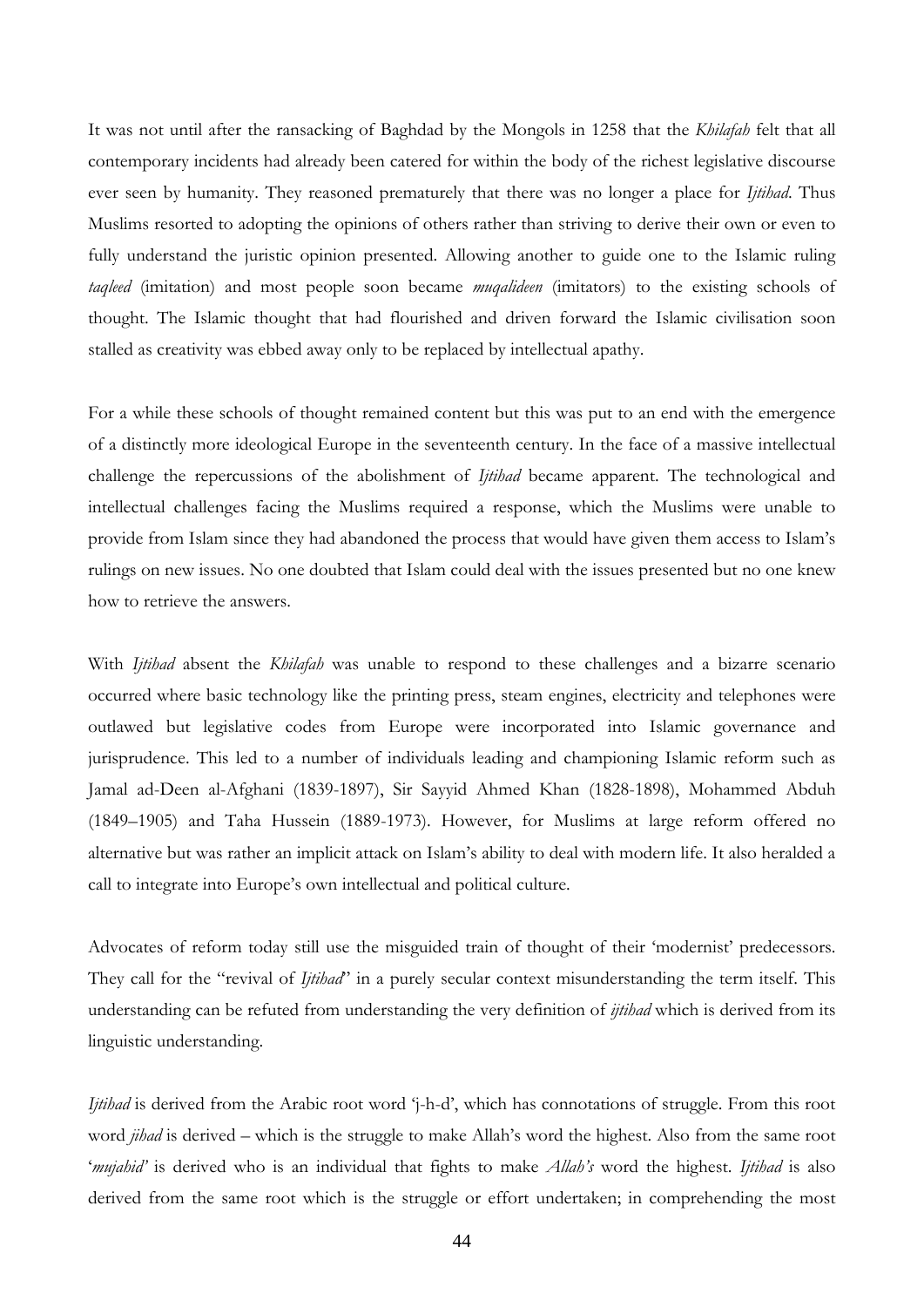It was not until after the ransacking of Baghdad by the Mongols in 1258 that the *Khilafah* felt that all contemporary incidents had already been catered for within the body of the richest legislative discourse ever seen by humanity. They reasoned prematurely that there was no longer a place for *Ijtihad*. Thus Muslims resorted to adopting the opinions of others rather than striving to derive their own or even to fully understand the juristic opinion presented. Allowing another to guide one to the Islamic ruling *taqleed* (imitation) and most people soon became *muqalideen* (imitators) to the existing schools of thought. The Islamic thought that had flourished and driven forward the Islamic civilisation soon stalled as creativity was ebbed away only to be replaced by intellectual apathy.

For a while these schools of thought remained content but this was put to an end with the emergence of a distinctly more ideological Europe in the seventeenth century. In the face of a massive intellectual challenge the repercussions of the abolishment of *Ijtihad* became apparent. The technological and intellectual challenges facing the Muslims required a response, which the Muslims were unable to provide from Islam since they had abandoned the process that would have given them access to Islam's rulings on new issues. No one doubted that Islam could deal with the issues presented but no one knew how to retrieve the answers.

With *Ijtihad* absent the *Khilafah* was unable to respond to these challenges and a bizarre scenario occurred where basic technology like the printing press, steam engines, electricity and telephones were outlawed but legislative codes from Europe were incorporated into Islamic governance and jurisprudence. This led to a number of individuals leading and championing Islamic reform such as Jamal ad-Deen al-Afghani (1839-1897), Sir Sayyid Ahmed Khan (1828-1898), Mohammed Abduh (1849–1905) and Taha Hussein (1889-1973). However, for Muslims at large reform offered no alternative but was rather an implicit attack on Islam's ability to deal with modern life. It also heralded a call to integrate into Europe's own intellectual and political culture.

Advocates of reform today still use the misguided train of thought of their 'modernist' predecessors. They call for the "revival of *Ijtihad*" in a purely secular context misunderstanding the term itself. This understanding can be refuted from understanding the very definition of *ijtihad* which is derived from its linguistic understanding.

*Ijtihad* is derived from the Arabic root word '<sub>j</sub>-h-d', which has connotations of struggle. From this root word *jihad* is derived – which is the struggle to make Allah's word the highest. Also from the same root '*mujahid'* is derived who is an individual that fights to make *Allah's* word the highest. *Ijtihad* is also derived from the same root which is the struggle or effort undertaken; in comprehending the most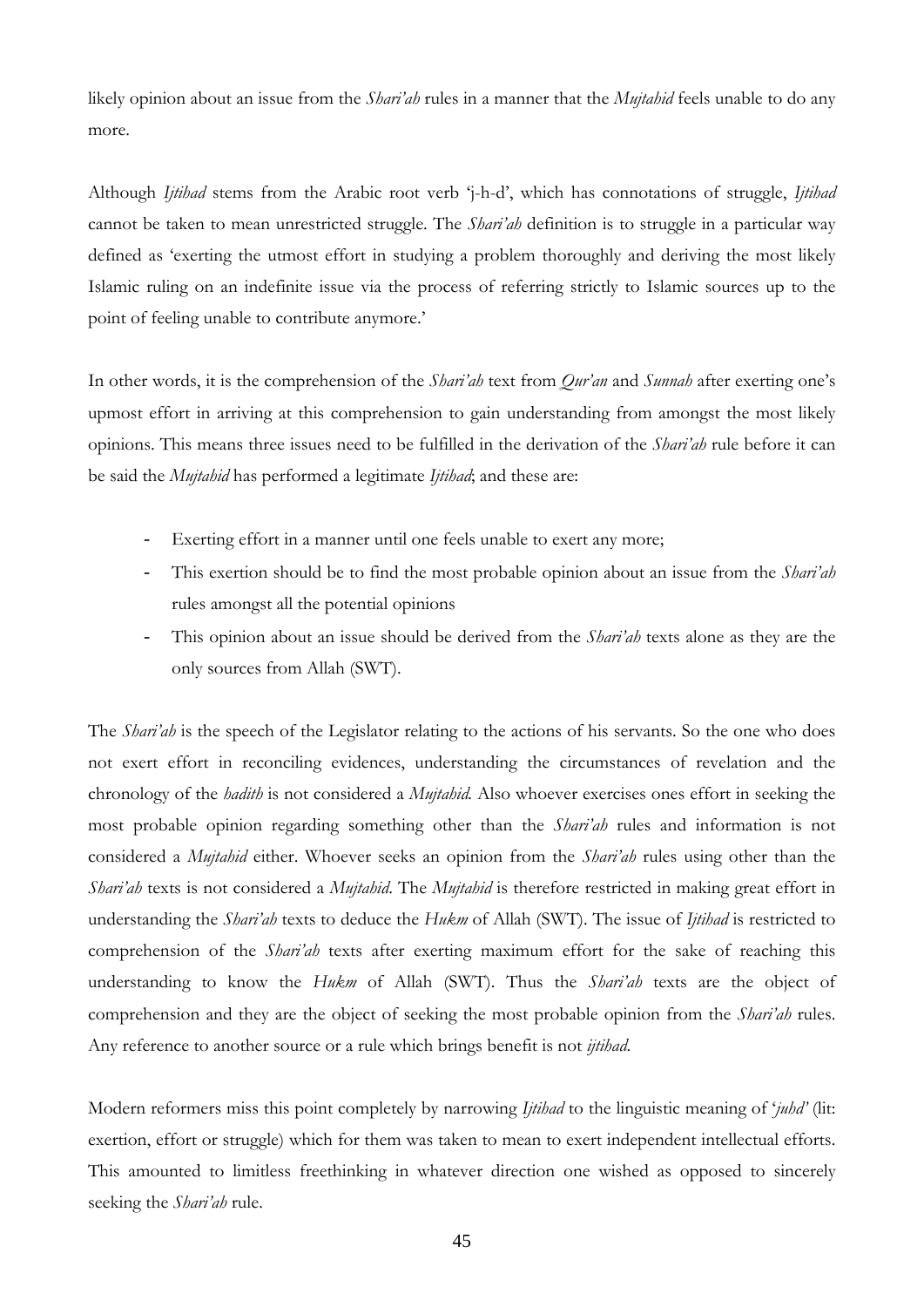likely opinion about an issue from the *Shari'ah* rules in a manner that the *Mujtahid* feels unable to do any more.

Although *Ijtihad* stems from the Arabic root verb 'j-h-d', which has connotations of struggle, *Ijtihad* cannot be taken to mean unrestricted struggle. The *Shari'ah* definition is to struggle in a particular way defined as 'exerting the utmost effort in studying a problem thoroughly and deriving the most likely Islamic ruling on an indefinite issue via the process of referring strictly to Islamic sources up to the point of feeling unable to contribute anymore.'

In other words, it is the comprehension of the *Shari'ah* text from *Qur'an* and *Sunnah* after exerting one's upmost effort in arriving at this comprehension to gain understanding from amongst the most likely opinions. This means three issues need to be fulfilled in the derivation of the *Shari'ah* rule before it can be said the *Mujtahid* has performed a legitimate *Ijtihad*; and these are:

- Exerting effort in a manner until one feels unable to exert any more;
- This exertion should be to find the most probable opinion about an issue from the *Shari'ah*  rules amongst all the potential opinions
- This opinion about an issue should be derived from the *Shari'ah* texts alone as they are the only sources from Allah (SWT).

The *Shari'ah* is the speech of the Legislator relating to the actions of his servants. So the one who does not exert effort in reconciling evidences, understanding the circumstances of revelation and the chronology of the *hadith* is not considered a *Mujtahid.* Also whoever exercises ones effort in seeking the most probable opinion regarding something other than the *Shari'ah* rules and information is not considered a *Mujtahid* either. Whoever seeks an opinion from the *Shari'ah* rules using other than the *Shari'ah* texts is not considered a *Mujtahid*. The *Mujtahid* is therefore restricted in making great effort in understanding the *Shari'ah* texts to deduce the *Hukm* of Allah (SWT). The issue of *Ijtihad* is restricted to comprehension of the *Shari'ah* texts after exerting maximum effort for the sake of reaching this understanding to know the *Hukm* of Allah (SWT). Thus the *Shari'ah* texts are the object of comprehension and they are the object of seeking the most probable opinion from the *Shari'ah* rules. Any reference to another source or a rule which brings benefit is not *ijtihad*.

Modern reformers miss this point completely by narrowing *Ijtihad* to the linguistic meaning of '*juhd'* (lit: exertion, effort or struggle) which for them was taken to mean to exert independent intellectual efforts. This amounted to limitless freethinking in whatever direction one wished as opposed to sincerely seeking the *Shari'ah* rule.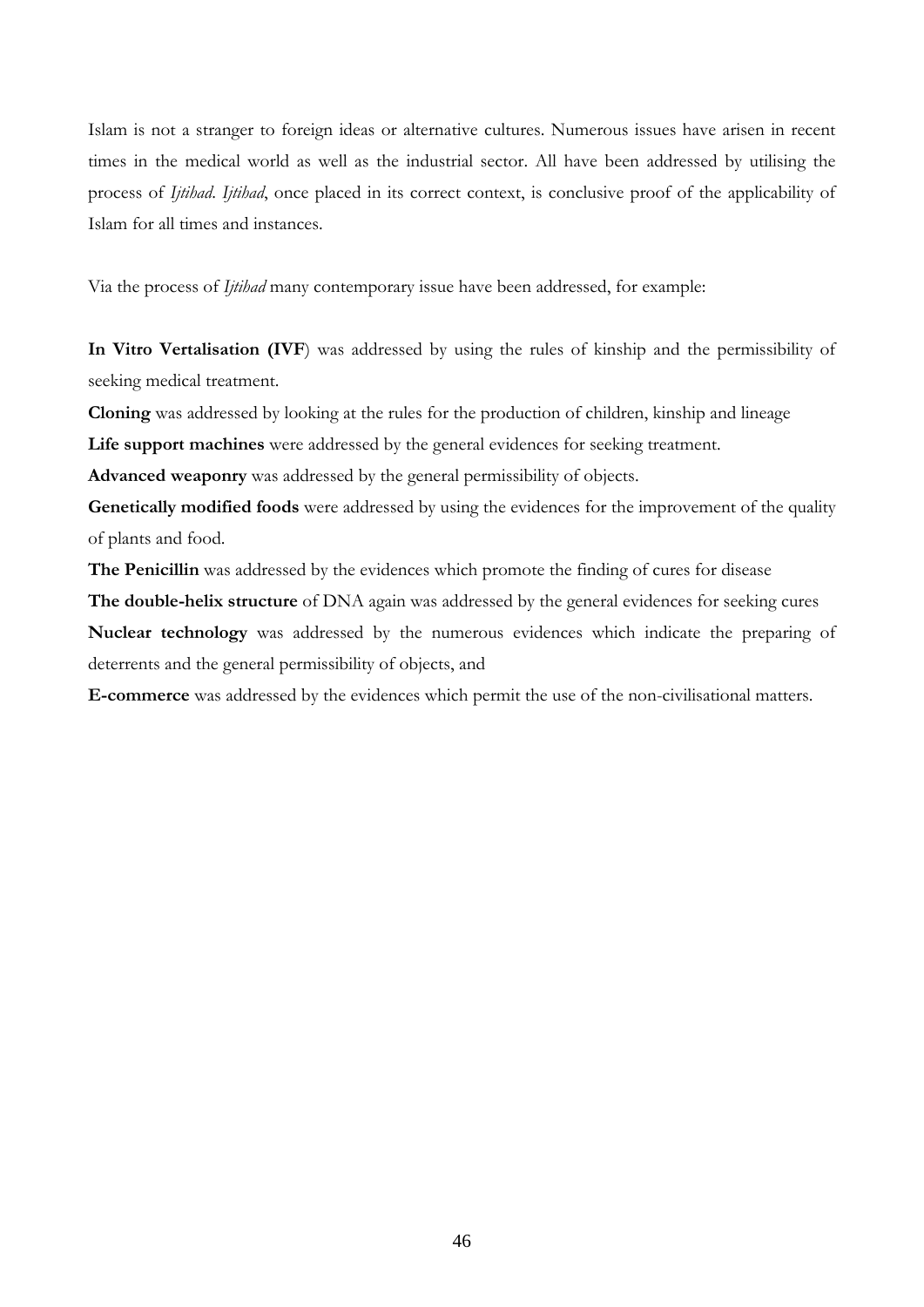Islam is not a stranger to foreign ideas or alternative cultures. Numerous issues have arisen in recent times in the medical world as well as the industrial sector. All have been addressed by utilising the process of *Ijtihad*. *Ijtihad*, once placed in its correct context, is conclusive proof of the applicability of Islam for all times and instances.

Via the process of *Ijtihad* many contemporary issue have been addressed, for example:

**In Vitro Vertalisation (IVF**) was addressed by using the rules of kinship and the permissibility of seeking medical treatment.

**Cloning** was addressed by looking at the rules for the production of children, kinship and lineage

**Life support machines** were addressed by the general evidences for seeking treatment.

**Advanced weaponry** was addressed by the general permissibility of objects.

**Genetically modified foods** were addressed by using the evidences for the improvement of the quality of plants and food.

**The Penicillin** was addressed by the evidences which promote the finding of cures for disease **The double-helix structure** of DNA again was addressed by the general evidences for seeking cures **Nuclear technology** was addressed by the numerous evidences which indicate the preparing of deterrents and the general permissibility of objects, and

**E-commerce** was addressed by the evidences which permit the use of the non-civilisational matters.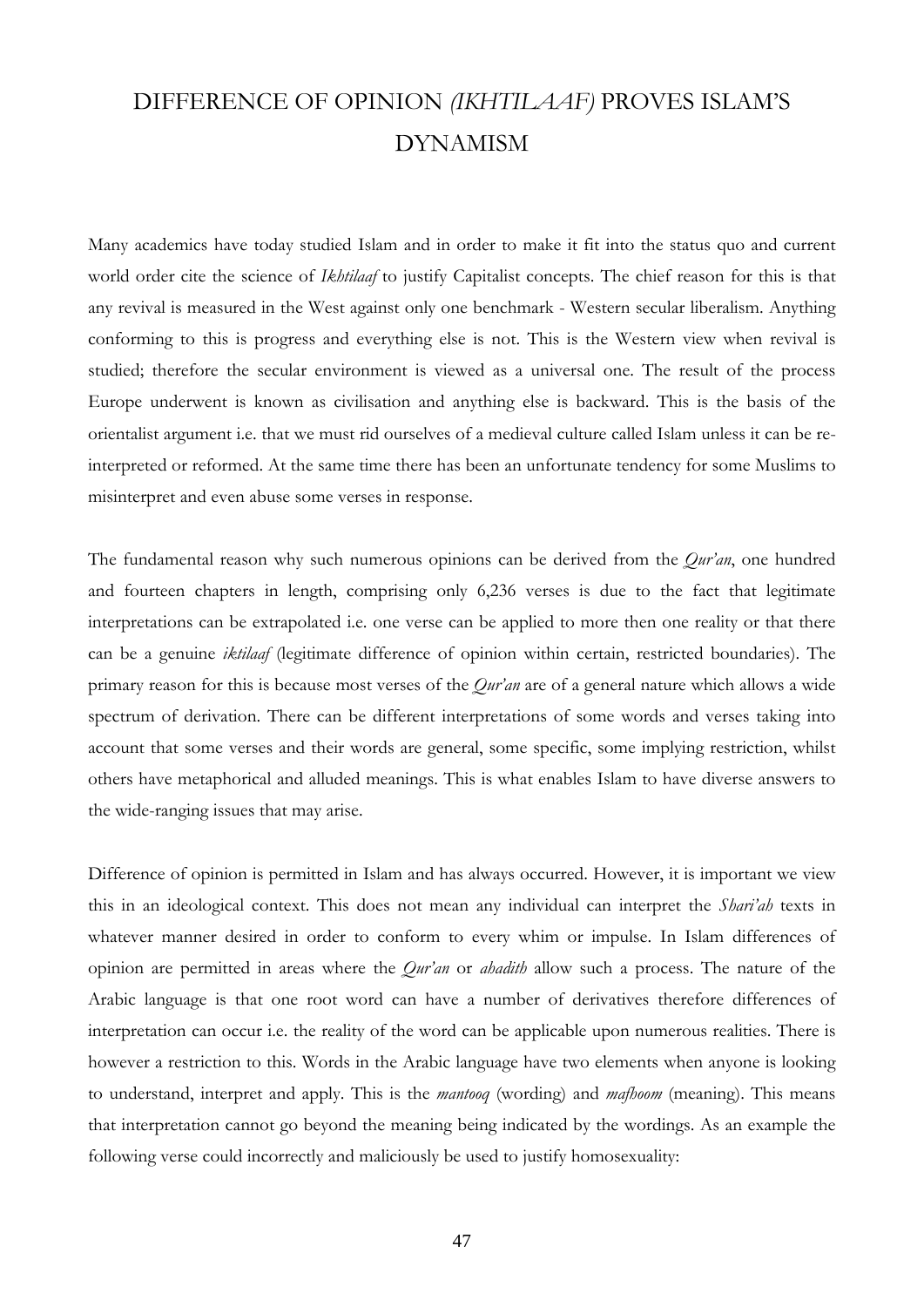# DIFFERENCE OF OPINION *(IKHTILAAF)* PROVES ISLAM'S DYNAMISM

Many academics have today studied Islam and in order to make it fit into the status quo and current world order cite the science of *Ikhtilaaf* to justify Capitalist concepts. The chief reason for this is that any revival is measured in the West against only one benchmark - Western secular liberalism. Anything conforming to this is progress and everything else is not. This is the Western view when revival is studied; therefore the secular environment is viewed as a universal one. The result of the process Europe underwent is known as civilisation and anything else is backward. This is the basis of the orientalist argument i.e. that we must rid ourselves of a medieval culture called Islam unless it can be reinterpreted or reformed. At the same time there has been an unfortunate tendency for some Muslims to misinterpret and even abuse some verses in response.

The fundamental reason why such numerous opinions can be derived from the *Qur'an*, one hundred and fourteen chapters in length, comprising only 6,236 verses is due to the fact that legitimate interpretations can be extrapolated i.e. one verse can be applied to more then one reality or that there can be a genuine *iktilaaf* (legitimate difference of opinion within certain, restricted boundaries). The primary reason for this is because most verses of the *Qur'an* are of a general nature which allows a wide spectrum of derivation. There can be different interpretations of some words and verses taking into account that some verses and their words are general, some specific, some implying restriction, whilst others have metaphorical and alluded meanings. This is what enables Islam to have diverse answers to the wide-ranging issues that may arise.

Difference of opinion is permitted in Islam and has always occurred. However, it is important we view this in an ideological context. This does not mean any individual can interpret the *Shari'ah* texts in whatever manner desired in order to conform to every whim or impulse. In Islam differences of opinion are permitted in areas where the *Qur'an* or *ahadith* allow such a process. The nature of the Arabic language is that one root word can have a number of derivatives therefore differences of interpretation can occur i.e. the reality of the word can be applicable upon numerous realities. There is however a restriction to this. Words in the Arabic language have two elements when anyone is looking to understand, interpret and apply. This is the *mantooq* (wording) and *mafhoom* (meaning). This means that interpretation cannot go beyond the meaning being indicated by the wordings. As an example the following verse could incorrectly and maliciously be used to justify homosexuality: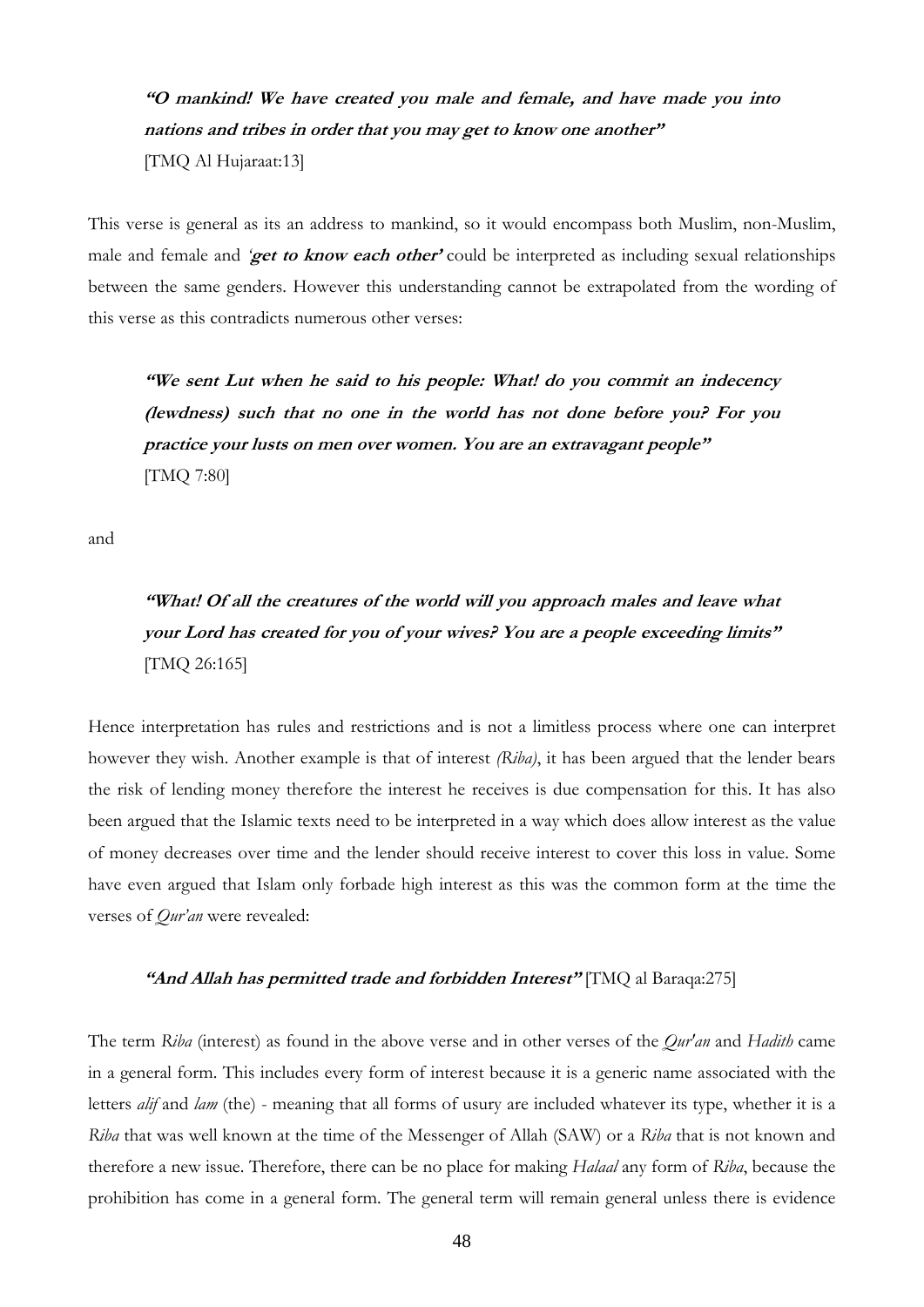**"O mankind! We have created you male and female, and have made you into nations and tribes in order that you may get to know one another"** [TMQ Al Hujaraat:13]

This verse is general as its an address to mankind, so it would encompass both Muslim, non-Muslim, male and female and *'***get to know each other'** could be interpreted as including sexual relationships between the same genders. However this understanding cannot be extrapolated from the wording of this verse as this contradicts numerous other verses:

**"We sent Lut when he said to his people: What! do you commit an indecency (lewdness) such that no one in the world has not done before you? For you practice your lusts on men over women. You are an extravagant people"**  [TMQ 7:80]

and

# **"What! Of all the creatures of the world will you approach males and leave what your Lord has created for you of your wives? You are a people exceeding limits"** [TMQ 26:165]

Hence interpretation has rules and restrictions and is not a limitless process where one can interpret however they wish. Another example is that of interest *(Riba)*, it has been argued that the lender bears the risk of lending money therefore the interest he receives is due compensation for this. It has also been argued that the Islamic texts need to be interpreted in a way which does allow interest as the value of money decreases over time and the lender should receive interest to cover this loss in value. Some have even argued that Islam only forbade high interest as this was the common form at the time the verses of *Qur'an* were revealed:

#### **"And Allah has permitted trade and forbidden Interest"** [TMQ al Baraqa:275]

The term *Riba* (interest) as found in the above verse and in other verses of the *Qur'an* and *Hadith* came in a general form. This includes every form of interest because it is a generic name associated with the letters *alif* and *lam* (the) - meaning that all forms of usury are included whatever its type, whether it is a *Riba* that was well known at the time of the Messenger of Allah (SAW) or a *Riba* that is not known and therefore a new issue. Therefore, there can be no place for making *Halaal* any form of *Riba*, because the prohibition has come in a general form. The general term will remain general unless there is evidence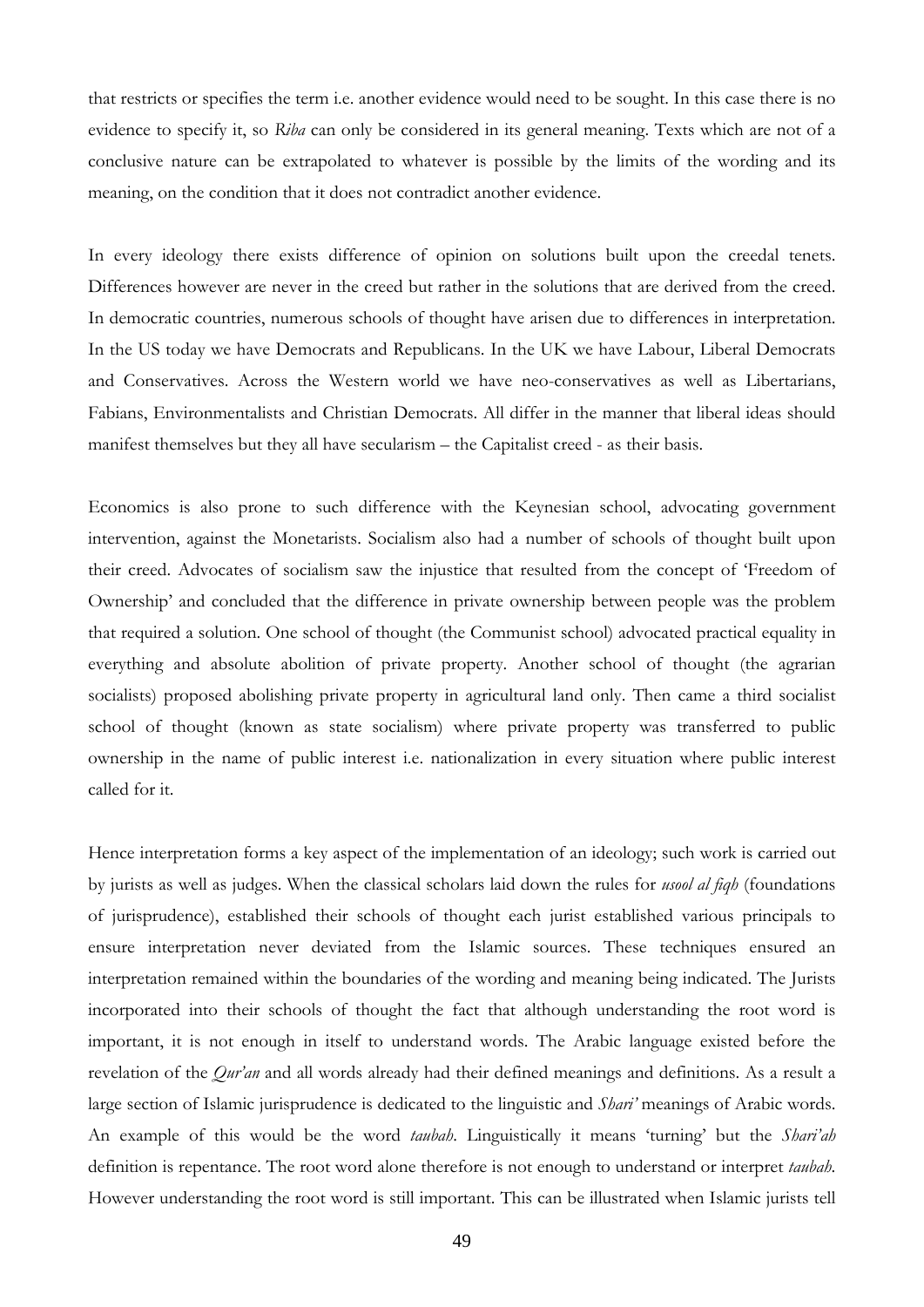that restricts or specifies the term i.e. another evidence would need to be sought. In this case there is no evidence to specify it, so *Riba* can only be considered in its general meaning. Texts which are not of a conclusive nature can be extrapolated to whatever is possible by the limits of the wording and its meaning, on the condition that it does not contradict another evidence.

In every ideology there exists difference of opinion on solutions built upon the creedal tenets. Differences however are never in the creed but rather in the solutions that are derived from the creed. In democratic countries, numerous schools of thought have arisen due to differences in interpretation. In the US today we have Democrats and Republicans. In the UK we have Labour, Liberal Democrats and Conservatives. Across the Western world we have neo-conservatives as well as Libertarians, Fabians, Environmentalists and Christian Democrats. All differ in the manner that liberal ideas should manifest themselves but they all have secularism – the Capitalist creed - as their basis.

Economics is also prone to such difference with the Keynesian school, advocating government intervention, against the Monetarists. Socialism also had a number of schools of thought built upon their creed. Advocates of socialism saw the injustice that resulted from the concept of 'Freedom of Ownership' and concluded that the difference in private ownership between people was the problem that required a solution. One school of thought (the Communist school) advocated practical equality in everything and absolute abolition of private property. Another school of thought (the agrarian socialists) proposed abolishing private property in agricultural land only. Then came a third socialist school of thought (known as state socialism) where private property was transferred to public ownership in the name of public interest i.e. nationalization in every situation where public interest called for it.

Hence interpretation forms a key aspect of the implementation of an ideology; such work is carried out by jurists as well as judges. When the classical scholars laid down the rules for *usool al fiqh* (foundations of jurisprudence), established their schools of thought each jurist established various principals to ensure interpretation never deviated from the Islamic sources. These techniques ensured an interpretation remained within the boundaries of the wording and meaning being indicated. The Jurists incorporated into their schools of thought the fact that although understanding the root word is important, it is not enough in itself to understand words. The Arabic language existed before the revelation of the *Qur'an* and all words already had their defined meanings and definitions. As a result a large section of Islamic jurisprudence is dedicated to the linguistic and *Shari'* meanings of Arabic words. An example of this would be the word *taubah*. Linguistically it means 'turning' but the *Shari'ah* definition is repentance. The root word alone therefore is not enough to understand or interpret *taubah*. However understanding the root word is still important. This can be illustrated when Islamic jurists tell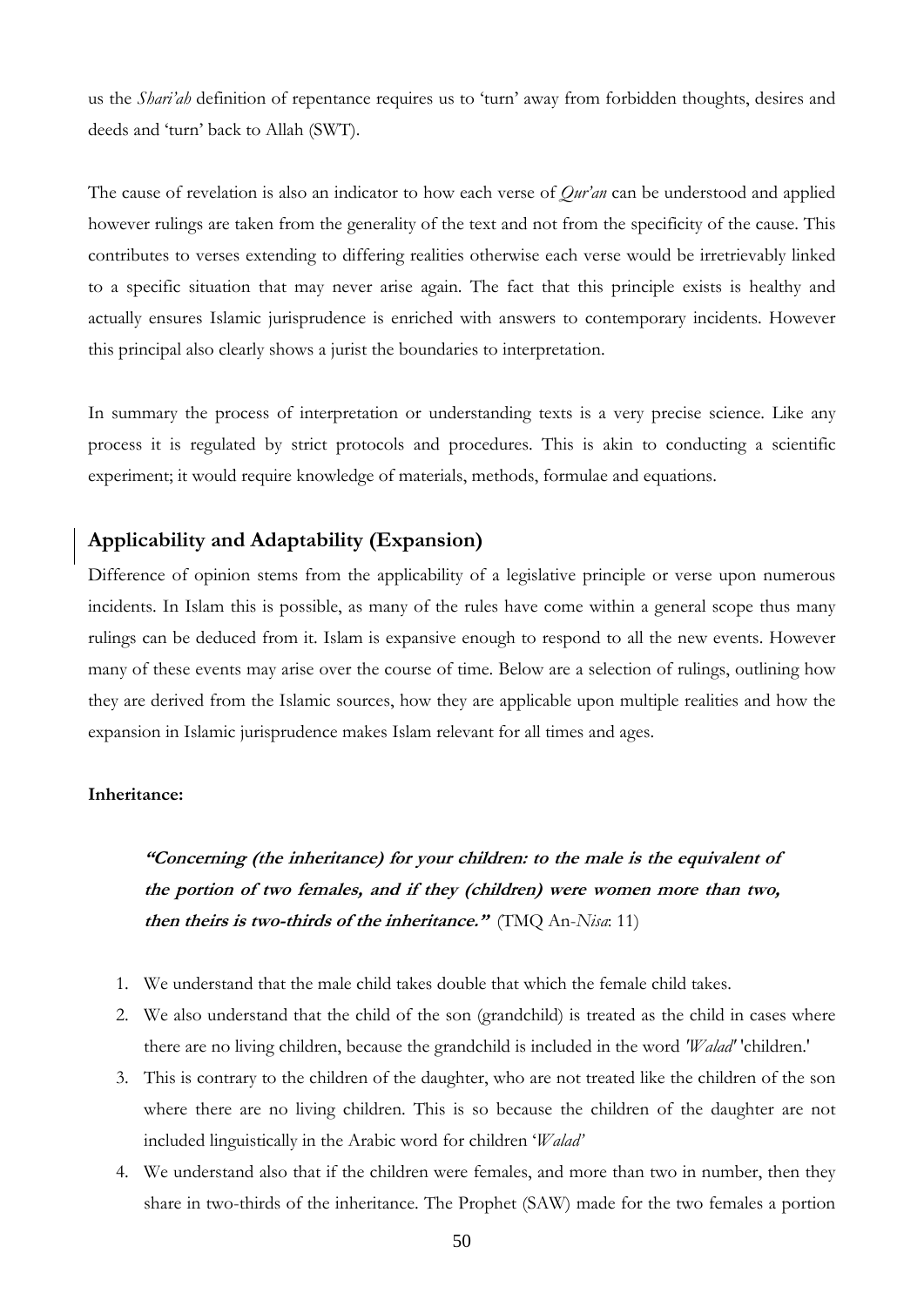us the *Shari'ah* definition of repentance requires us to 'turn' away from forbidden thoughts, desires and deeds and 'turn' back to Allah (SWT).

The cause of revelation is also an indicator to how each verse of *Qur'an* can be understood and applied however rulings are taken from the generality of the text and not from the specificity of the cause. This contributes to verses extending to differing realities otherwise each verse would be irretrievably linked to a specific situation that may never arise again. The fact that this principle exists is healthy and actually ensures Islamic jurisprudence is enriched with answers to contemporary incidents. However this principal also clearly shows a jurist the boundaries to interpretation.

In summary the process of interpretation or understanding texts is a very precise science. Like any process it is regulated by strict protocols and procedures. This is akin to conducting a scientific experiment; it would require knowledge of materials, methods, formulae and equations.

### **Applicability and Adaptability (Expansion)**

Difference of opinion stems from the applicability of a legislative principle or verse upon numerous incidents. In Islam this is possible, as many of the rules have come within a general scope thus many rulings can be deduced from it. Islam is expansive enough to respond to all the new events. However many of these events may arise over the course of time. Below are a selection of rulings, outlining how they are derived from the Islamic sources, how they are applicable upon multiple realities and how the expansion in Islamic jurisprudence makes Islam relevant for all times and ages.

#### **Inheritance:**

**"Concerning (the inheritance) for your children: to the male is the equivalent of the portion of two females, and if they (children) were women more than two, then theirs is two-thirds of the inheritance."** (TMQ An-*Nisa*: 11)

- 1. We understand that the male child takes double that which the female child takes.
- 2. We also understand that the child of the son (grandchild) is treated as the child in cases where there are no living children, because the grandchild is included in the word *'Walad'* 'children.'
- 3. This is contrary to the children of the daughter, who are not treated like the children of the son where there are no living children. This is so because the children of the daughter are not included linguistically in the Arabic word for children '*Walad'*
- 4. We understand also that if the children were females, and more than two in number, then they share in two-thirds of the inheritance. The Prophet (SAW) made for the two females a portion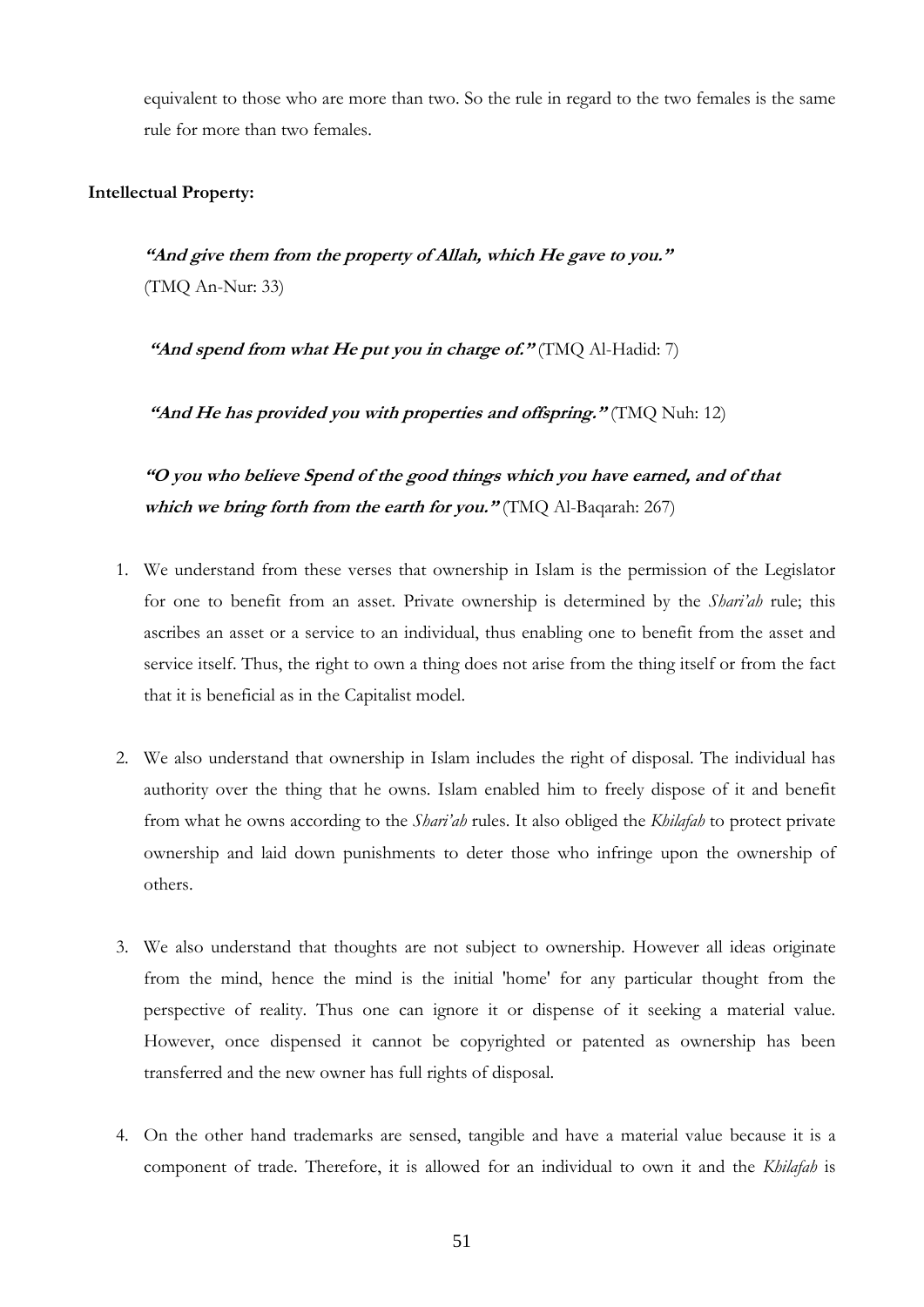equivalent to those who are more than two. So the rule in regard to the two females is the same rule for more than two females.

#### **Intellectual Property:**

**"And give them from the property of Allah, which He gave to you."**  (TMQ An-Nur: 33)

**"And spend from what He put you in charge of."** (TMQ Al-Hadid: 7)

**"And He has provided you with properties and offspring."** (TMQ Nuh: 12)

**"O you who believe Spend of the good things which you have earned, and of that which we bring forth from the earth for you."** (TMQ Al-Baqarah: 267)

- 1. We understand from these verses that ownership in Islam is the permission of the Legislator for one to benefit from an asset. Private ownership is determined by the *Shari'ah* rule; this ascribes an asset or a service to an individual, thus enabling one to benefit from the asset and service itself. Thus, the right to own a thing does not arise from the thing itself or from the fact that it is beneficial as in the Capitalist model.
- 2. We also understand that ownership in Islam includes the right of disposal. The individual has authority over the thing that he owns. Islam enabled him to freely dispose of it and benefit from what he owns according to the *Shari'ah* rules. It also obliged the *Khilafah* to protect private ownership and laid down punishments to deter those who infringe upon the ownership of others.
- 3. We also understand that thoughts are not subject to ownership. However all ideas originate from the mind, hence the mind is the initial 'home' for any particular thought from the perspective of reality. Thus one can ignore it or dispense of it seeking a material value. However, once dispensed it cannot be copyrighted or patented as ownership has been transferred and the new owner has full rights of disposal.
- 4. On the other hand trademarks are sensed, tangible and have a material value because it is a component of trade. Therefore, it is allowed for an individual to own it and the *Khilafah* is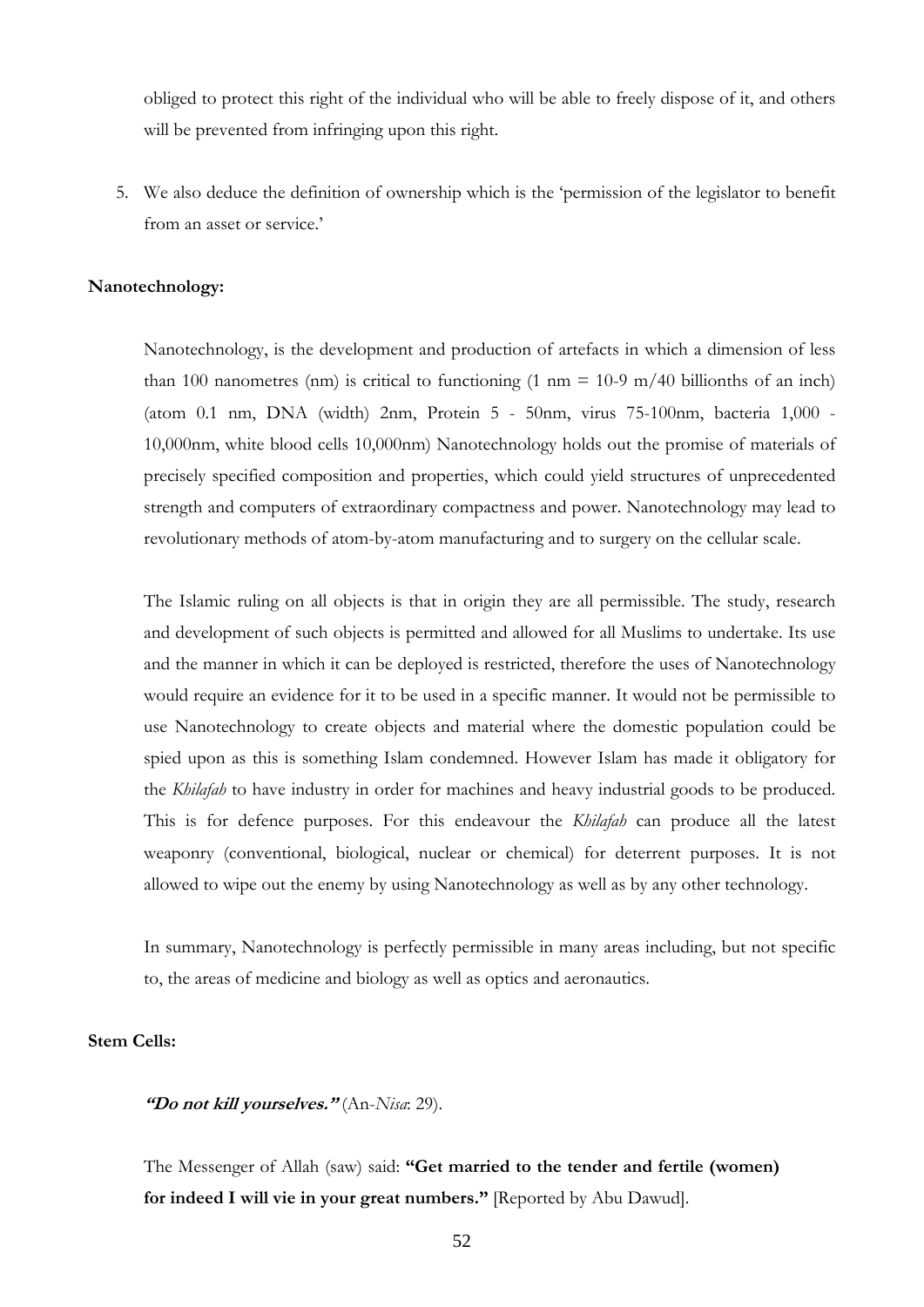obliged to protect this right of the individual who will be able to freely dispose of it, and others will be prevented from infringing upon this right.

5. We also deduce the definition of ownership which is the 'permission of the legislator to benefit from an asset or service.'

#### **Nanotechnology:**

Nanotechnology, is the development and production of artefacts in which a dimension of less than 100 nanometres (nm) is critical to functioning (1 nm = 10-9 m/40 billionths of an inch) (atom 0.1 nm, DNA (width) 2nm, Protein 5 - 50nm, virus 75-100nm, bacteria 1,000 - 10,000nm, white blood cells 10,000nm) Nanotechnology holds out the promise of materials of precisely specified composition and properties, which could yield structures of unprecedented strength and computers of extraordinary compactness and power. Nanotechnology may lead to revolutionary methods of atom-by-atom manufacturing and to surgery on the cellular scale.

The Islamic ruling on all objects is that in origin they are all permissible. The study, research and development of such objects is permitted and allowed for all Muslims to undertake. Its use and the manner in which it can be deployed is restricted, therefore the uses of Nanotechnology would require an evidence for it to be used in a specific manner. It would not be permissible to use Nanotechnology to create objects and material where the domestic population could be spied upon as this is something Islam condemned. However Islam has made it obligatory for the *Khilafah* to have industry in order for machines and heavy industrial goods to be produced. This is for defence purposes. For this endeavour the *Khilafah* can produce all the latest weaponry (conventional, biological, nuclear or chemical) for deterrent purposes. It is not allowed to wipe out the enemy by using Nanotechnology as well as by any other technology.

In summary, Nanotechnology is perfectly permissible in many areas including, but not specific to, the areas of medicine and biology as well as optics and aeronautics.

#### **Stem Cells:**

#### **"Do not kill yourselves."** (An-*Nisa*: 29).

The Messenger of Allah (saw) said: **"Get married to the tender and fertile (women) for indeed I will vie in your great numbers."** [Reported by Abu Dawud].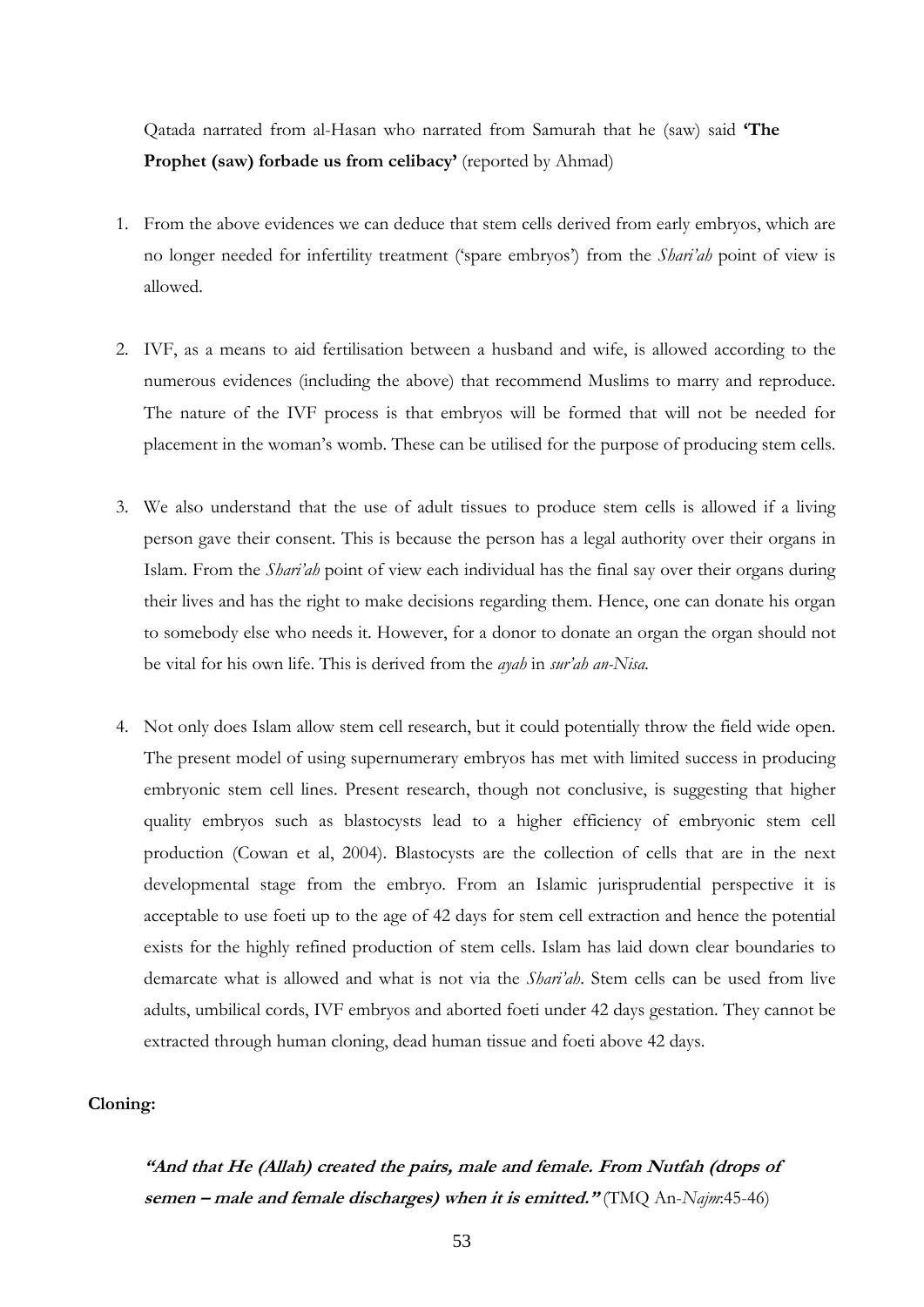Qatada narrated from al-Hasan who narrated from Samurah that he (saw) said **'The Prophet (saw) forbade us from celibacy'** (reported by Ahmad)

- 1. From the above evidences we can deduce that stem cells derived from early embryos, which are no longer needed for infertility treatment ('spare embryos') from the *Shari'ah* point of view is allowed.
- 2. IVF, as a means to aid fertilisation between a husband and wife, is allowed according to the numerous evidences (including the above) that recommend Muslims to marry and reproduce. The nature of the IVF process is that embryos will be formed that will not be needed for placement in the woman's womb. These can be utilised for the purpose of producing stem cells.
- 3. We also understand that the use of adult tissues to produce stem cells is allowed if a living person gave their consent. This is because the person has a legal authority over their organs in Islam. From the *Shari'ah* point of view each individual has the final say over their organs during their lives and has the right to make decisions regarding them. Hence, one can donate his organ to somebody else who needs it. However, for a donor to donate an organ the organ should not be vital for his own life. This is derived from the *ayah* in *sur'ah an-Nisa.*
- 4. Not only does Islam allow stem cell research, but it could potentially throw the field wide open. The present model of using supernumerary embryos has met with limited success in producing embryonic stem cell lines. Present research, though not conclusive, is suggesting that higher quality embryos such as blastocysts lead to a higher efficiency of embryonic stem cell production (Cowan et al, 2004). Blastocysts are the collection of cells that are in the next developmental stage from the embryo. From an Islamic jurisprudential perspective it is acceptable to use foeti up to the age of 42 days for stem cell extraction and hence the potential exists for the highly refined production of stem cells. Islam has laid down clear boundaries to demarcate what is allowed and what is not via the *Shari'ah*. Stem cells can be used from live adults, umbilical cords, IVF embryos and aborted foeti under 42 days gestation. They cannot be extracted through human cloning, dead human tissue and foeti above 42 days.

#### **Cloning:**

**"And that He (Allah) created the pairs, male and female. From Nutfah (drops of semen – male and female discharges) when it is emitted."** (TMQ An-*Najm*:45-46)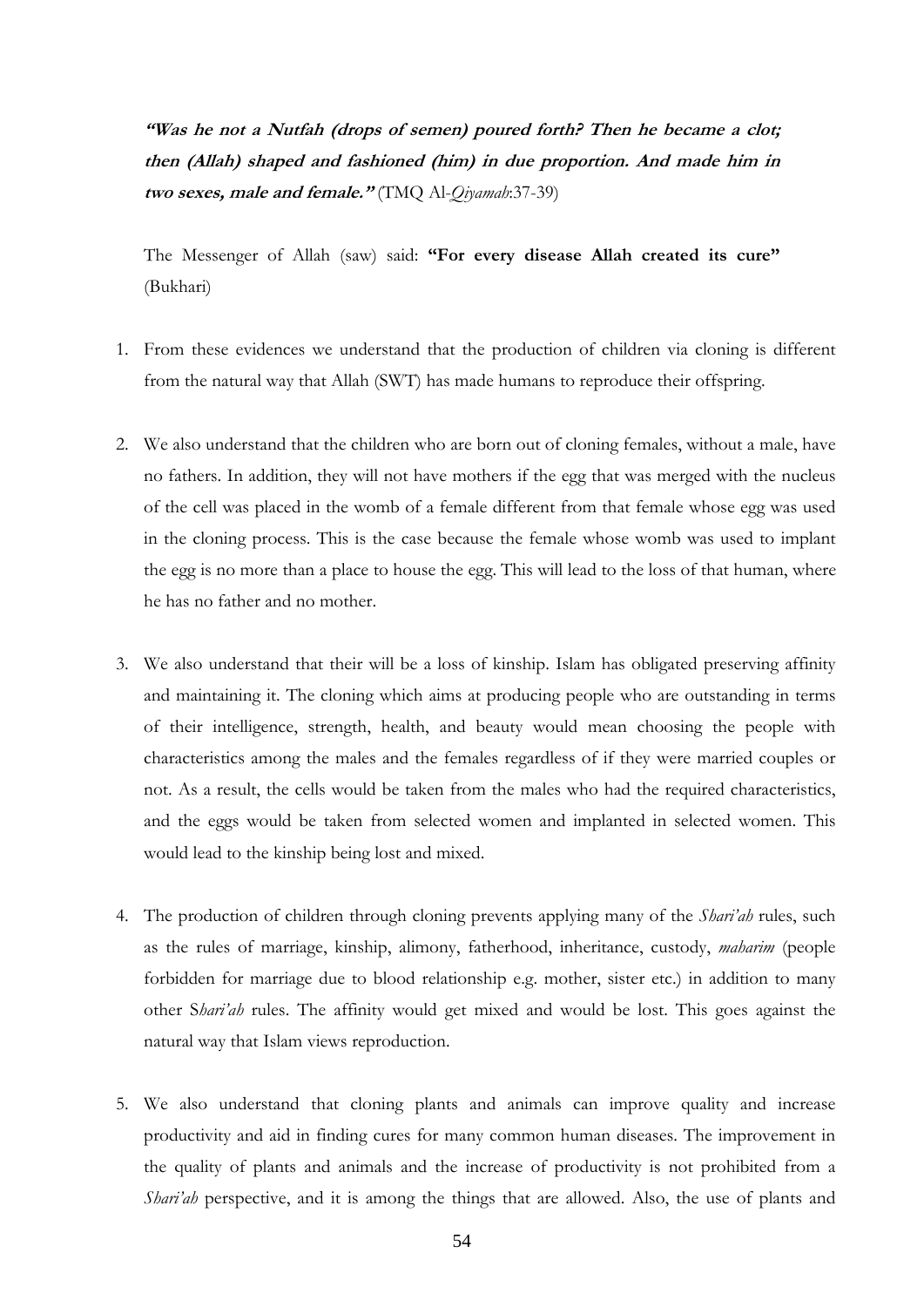**"Was he not a Nutfah (drops of semen) poured forth? Then he became a clot; then (Allah) shaped and fashioned (him) in due proportion. And made him in two sexes, male and female."** (TMQ Al-*Qiyamah*:37-39)

The Messenger of Allah (saw) said: **"For every disease Allah created its cure"**  (Bukhari)

- 1. From these evidences we understand that the production of children via cloning is different from the natural way that Allah (SWT) has made humans to reproduce their offspring.
- 2. We also understand that the children who are born out of cloning females, without a male, have no fathers. In addition, they will not have mothers if the egg that was merged with the nucleus of the cell was placed in the womb of a female different from that female whose egg was used in the cloning process. This is the case because the female whose womb was used to implant the egg is no more than a place to house the egg. This will lead to the loss of that human, where he has no father and no mother.
- 3. We also understand that their will be a loss of kinship. Islam has obligated preserving affinity and maintaining it. The cloning which aims at producing people who are outstanding in terms of their intelligence, strength, health, and beauty would mean choosing the people with characteristics among the males and the females regardless of if they were married couples or not. As a result, the cells would be taken from the males who had the required characteristics, and the eggs would be taken from selected women and implanted in selected women. This would lead to the kinship being lost and mixed.
- 4. The production of children through cloning prevents applying many of the *Shari'ah* rules, such as the rules of marriage, kinship, alimony, fatherhood, inheritance, custody, *maharim* (people forbidden for marriage due to blood relationship e.g. mother, sister etc.) in addition to many other S*hari'ah* rules. The affinity would get mixed and would be lost. This goes against the natural way that Islam views reproduction.
- 5. We also understand that cloning plants and animals can improve quality and increase productivity and aid in finding cures for many common human diseases. The improvement in the quality of plants and animals and the increase of productivity is not prohibited from a *Shari'ah* perspective, and it is among the things that are allowed. Also, the use of plants and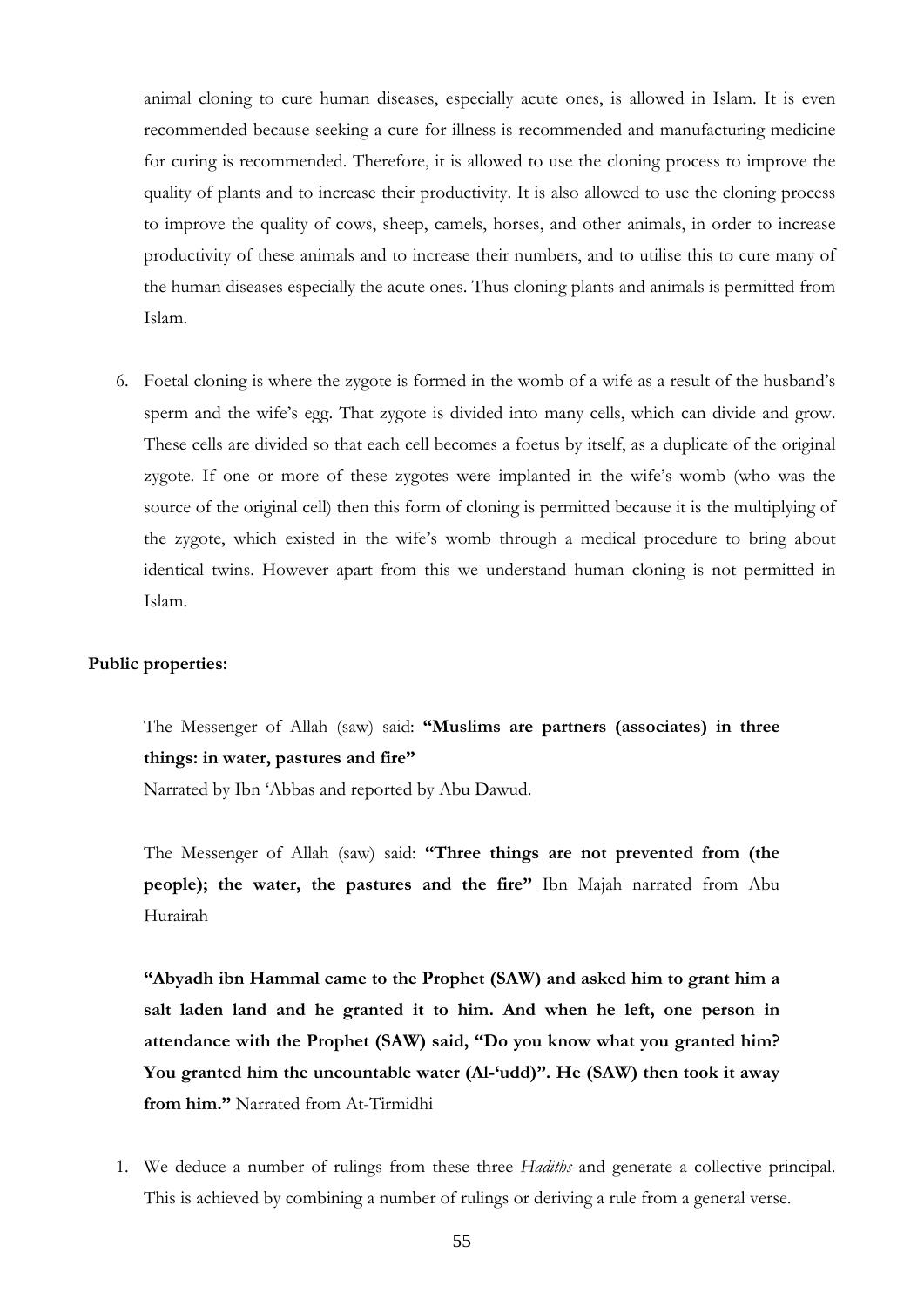animal cloning to cure human diseases, especially acute ones, is allowed in Islam. It is even recommended because seeking a cure for illness is recommended and manufacturing medicine for curing is recommended. Therefore, it is allowed to use the cloning process to improve the quality of plants and to increase their productivity. It is also allowed to use the cloning process to improve the quality of cows, sheep, camels, horses, and other animals, in order to increase productivity of these animals and to increase their numbers, and to utilise this to cure many of the human diseases especially the acute ones. Thus cloning plants and animals is permitted from Islam.

6. Foetal cloning is where the zygote is formed in the womb of a wife as a result of the husband's sperm and the wife's egg. That zygote is divided into many cells, which can divide and grow. These cells are divided so that each cell becomes a foetus by itself, as a duplicate of the original zygote. If one or more of these zygotes were implanted in the wife's womb (who was the source of the original cell) then this form of cloning is permitted because it is the multiplying of the zygote, which existed in the wife's womb through a medical procedure to bring about identical twins. However apart from this we understand human cloning is not permitted in Islam.

#### **Public properties:**

The Messenger of Allah (saw) said: **"Muslims are partners (associates) in three things: in water, pastures and fire"** 

Narrated by Ibn 'Abbas and reported by Abu Dawud.

The Messenger of Allah (saw) said: **"Three things are not prevented from (the people); the water, the pastures and the fire"** Ibn Majah narrated from Abu Hurairah

**"Abyadh ibn Hammal came to the Prophet (SAW) and asked him to grant him a salt laden land and he granted it to him. And when he left, one person in attendance with the Prophet (SAW) said, "Do you know what you granted him? You granted him the uncountable water (Al-'udd)". He (SAW) then took it away from him."** Narrated from At-Tirmidhi

1. We deduce a number of rulings from these three *Hadiths* and generate a collective principal. This is achieved by combining a number of rulings or deriving a rule from a general verse.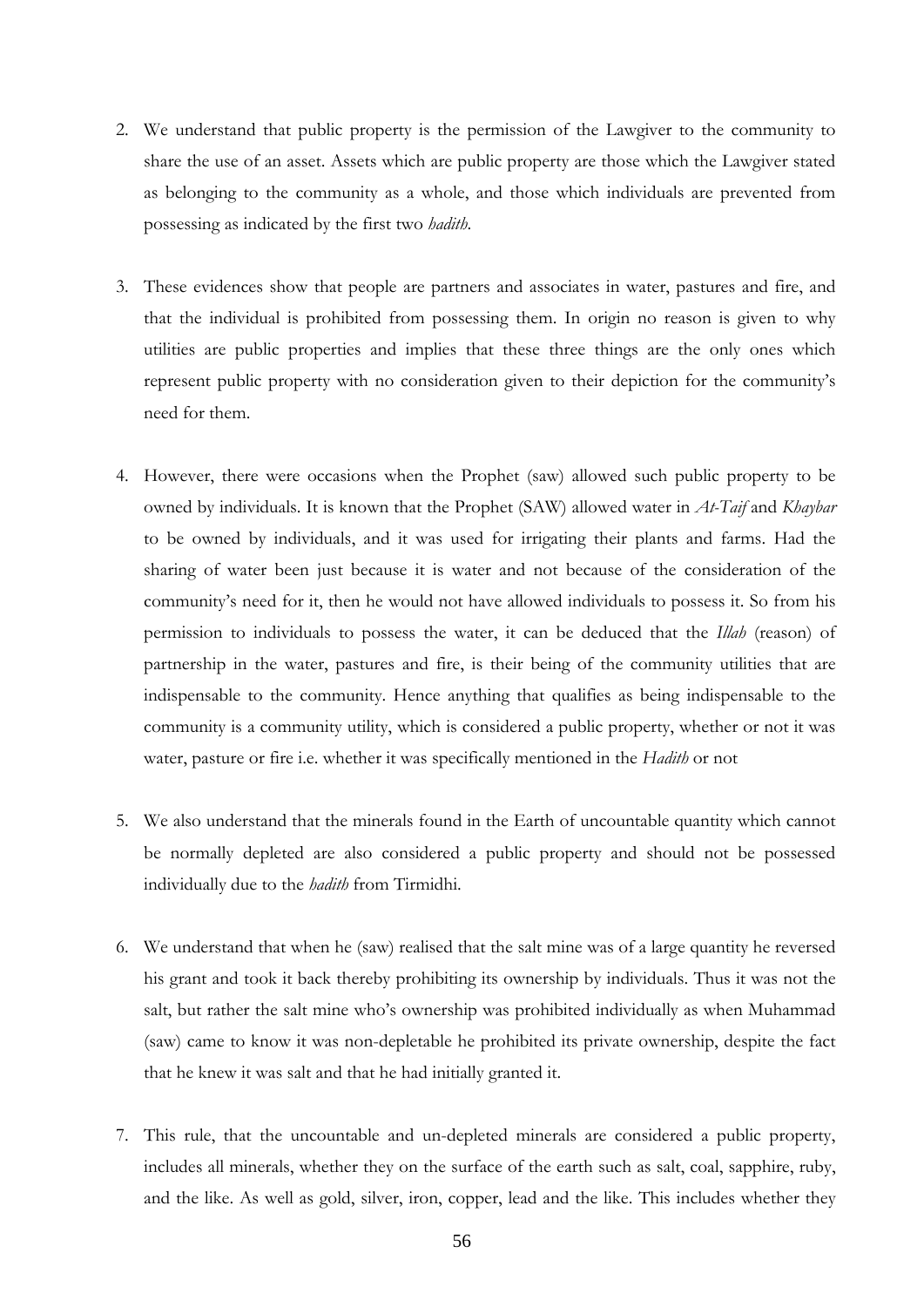- 2. We understand that public property is the permission of the Lawgiver to the community to share the use of an asset. Assets which are public property are those which the Lawgiver stated as belonging to the community as a whole, and those which individuals are prevented from possessing as indicated by the first two *hadith*.
- 3. These evidences show that people are partners and associates in water, pastures and fire, and that the individual is prohibited from possessing them. In origin no reason is given to why utilities are public properties and implies that these three things are the only ones which represent public property with no consideration given to their depiction for the community's need for them.
- 4. However, there were occasions when the Prophet (saw) allowed such public property to be owned by individuals. It is known that the Prophet (SAW) allowed water in *At-Taif* and *Khaybar* to be owned by individuals, and it was used for irrigating their plants and farms. Had the sharing of water been just because it is water and not because of the consideration of the community's need for it, then he would not have allowed individuals to possess it. So from his permission to individuals to possess the water, it can be deduced that the *Illah* (reason) of partnership in the water, pastures and fire, is their being of the community utilities that are indispensable to the community. Hence anything that qualifies as being indispensable to the community is a community utility, which is considered a public property, whether or not it was water, pasture or fire i.e. whether it was specifically mentioned in the *Hadith* or not
- 5. We also understand that the minerals found in the Earth of uncountable quantity which cannot be normally depleted are also considered a public property and should not be possessed individually due to the *hadith* from Tirmidhi.
- 6. We understand that when he (saw) realised that the salt mine was of a large quantity he reversed his grant and took it back thereby prohibiting its ownership by individuals. Thus it was not the salt, but rather the salt mine who's ownership was prohibited individually as when Muhammad (saw) came to know it was non-depletable he prohibited its private ownership, despite the fact that he knew it was salt and that he had initially granted it.
- 7. This rule, that the uncountable and un-depleted minerals are considered a public property, includes all minerals, whether they on the surface of the earth such as salt, coal, sapphire, ruby, and the like. As well as gold, silver, iron, copper, lead and the like. This includes whether they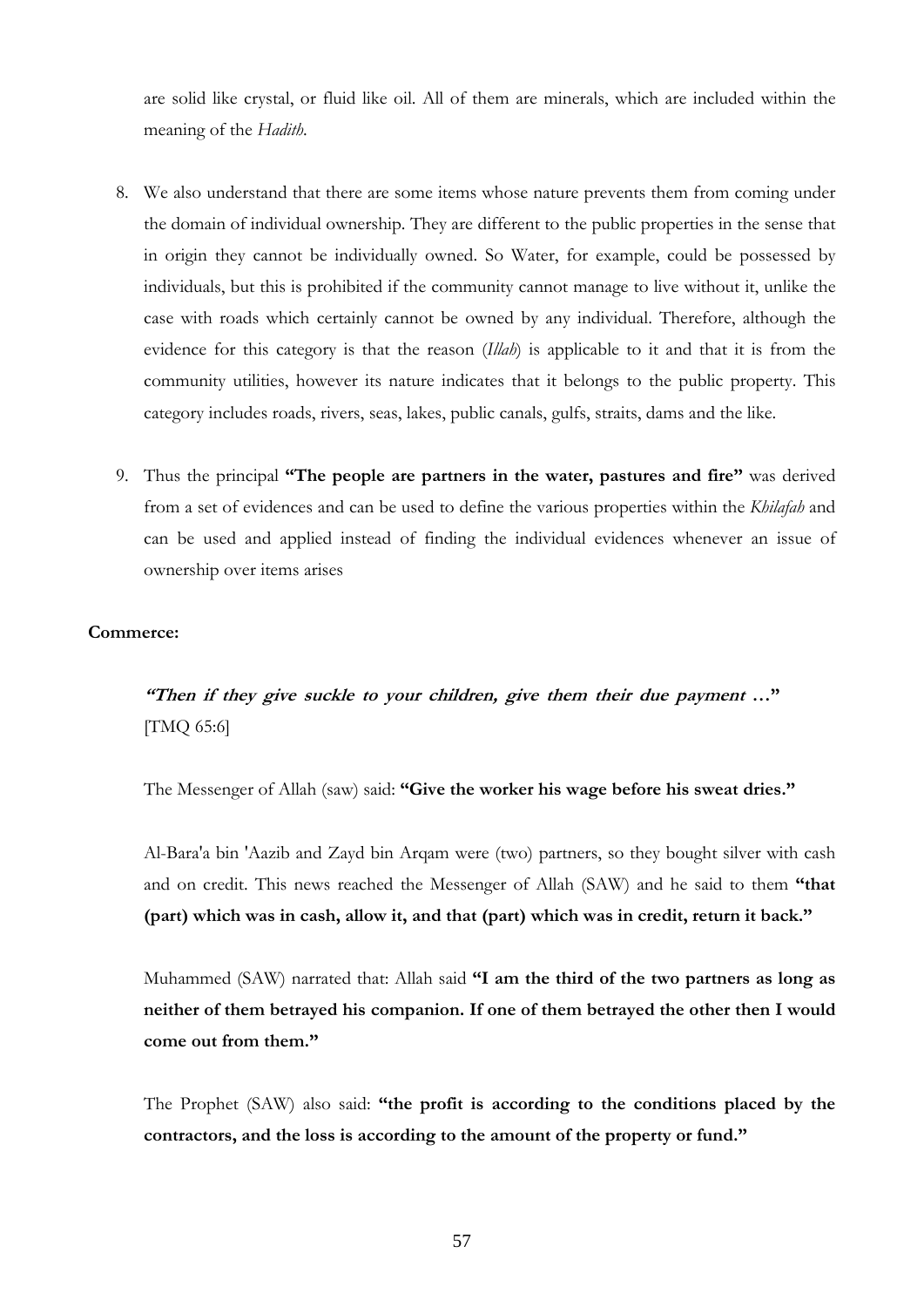are solid like crystal, or fluid like oil. All of them are minerals, which are included within the meaning of the *Hadith*.

- 8. We also understand that there are some items whose nature prevents them from coming under the domain of individual ownership. They are different to the public properties in the sense that in origin they cannot be individually owned. So Water, for example, could be possessed by individuals, but this is prohibited if the community cannot manage to live without it, unlike the case with roads which certainly cannot be owned by any individual. Therefore, although the evidence for this category is that the reason (*Illah*) is applicable to it and that it is from the community utilities, however its nature indicates that it belongs to the public property. This category includes roads, rivers, seas, lakes, public canals, gulfs, straits, dams and the like.
- 9. Thus the principal **"The people are partners in the water, pastures and fire"** was derived from a set of evidences and can be used to define the various properties within the *Khilafah* and can be used and applied instead of finding the individual evidences whenever an issue of ownership over items arises

#### **Commerce:**

**"Then if they give suckle to your children, give them their due payment …"** [TMQ 65:6]

The Messenger of Allah (saw) said: **"Give the worker his wage before his sweat dries."** 

Al-Bara'a bin 'Aazib and Zayd bin Arqam were (two) partners, so they bought silver with cash and on credit. This news reached the Messenger of Allah (SAW) and he said to them **"that (part) which was in cash, allow it, and that (part) which was in credit, return it back."** 

Muhammed (SAW) narrated that: Allah said **"I am the third of the two partners as long as neither of them betrayed his companion. If one of them betrayed the other then I would come out from them."** 

The Prophet (SAW) also said: **"the profit is according to the conditions placed by the contractors, and the loss is according to the amount of the property or fund."**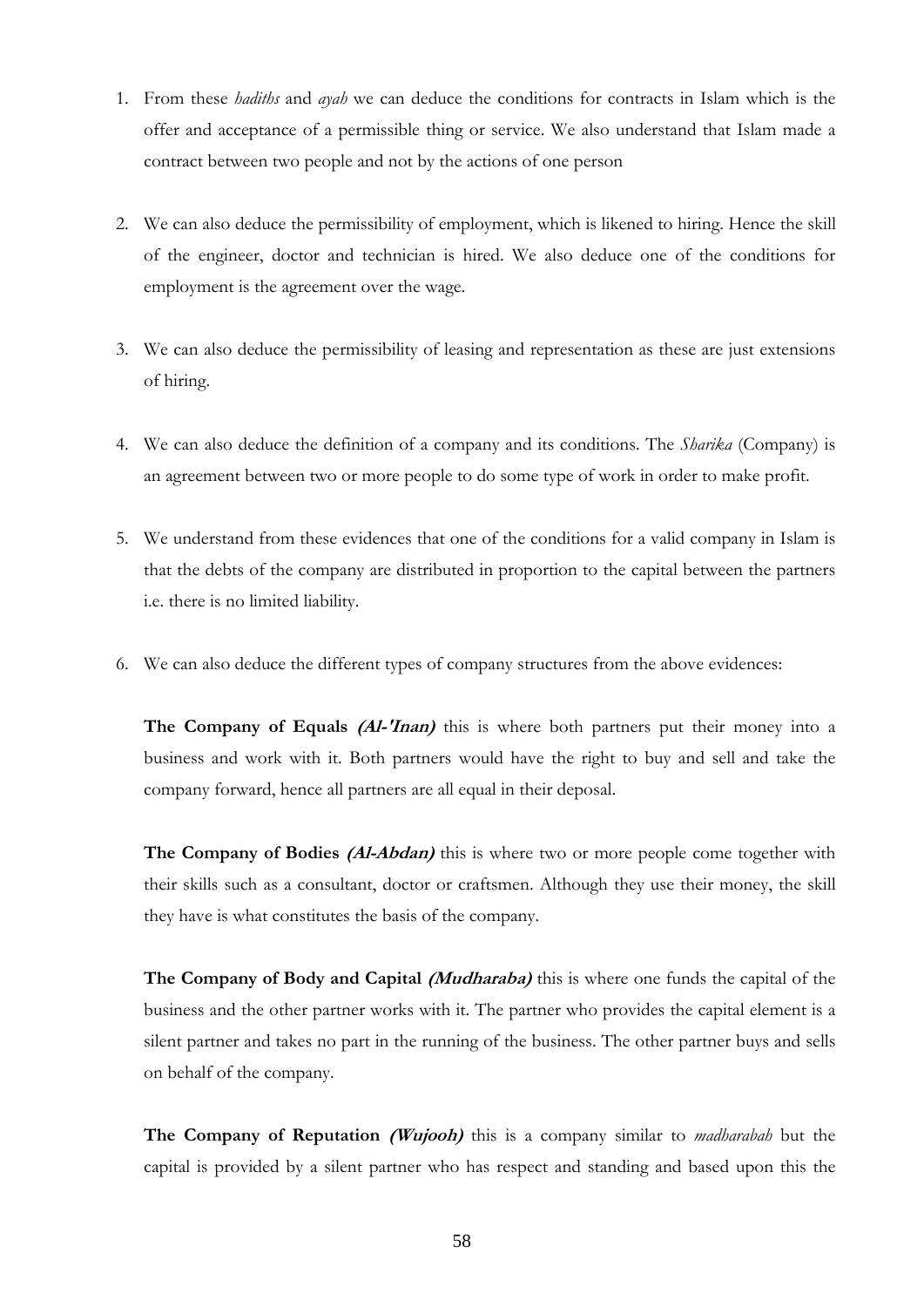- 1. From these *hadiths* and *ayah* we can deduce the conditions for contracts in Islam which is the offer and acceptance of a permissible thing or service. We also understand that Islam made a contract between two people and not by the actions of one person
- 2. We can also deduce the permissibility of employment, which is likened to hiring. Hence the skill of the engineer, doctor and technician is hired. We also deduce one of the conditions for employment is the agreement over the wage.
- 3. We can also deduce the permissibility of leasing and representation as these are just extensions of hiring.
- 4. We can also deduce the definition of a company and its conditions. The *Sharika* (Company) is an agreement between two or more people to do some type of work in order to make profit.
- 5. We understand from these evidences that one of the conditions for a valid company in Islam is that the debts of the company are distributed in proportion to the capital between the partners i.e. there is no limited liability.
- 6. We can also deduce the different types of company structures from the above evidences:

**The Company of Equals <b>(Al-'Inan)** this is where both partners put their money into a business and work with it. Both partners would have the right to buy and sell and take the company forward, hence all partners are all equal in their deposal.

**The Company of Bodies (Al-Abdan)** this is where two or more people come together with their skills such as a consultant, doctor or craftsmen. Although they use their money, the skill they have is what constitutes the basis of the company.

**The Company of Body and Capital** *(Mudharaba)* this is where one funds the capital of the business and the other partner works with it. The partner who provides the capital element is a silent partner and takes no part in the running of the business. The other partner buys and sells on behalf of the company.

**The Company of Reputation (Wujooh)** this is a company similar to *madharabah* but the capital is provided by a silent partner who has respect and standing and based upon this the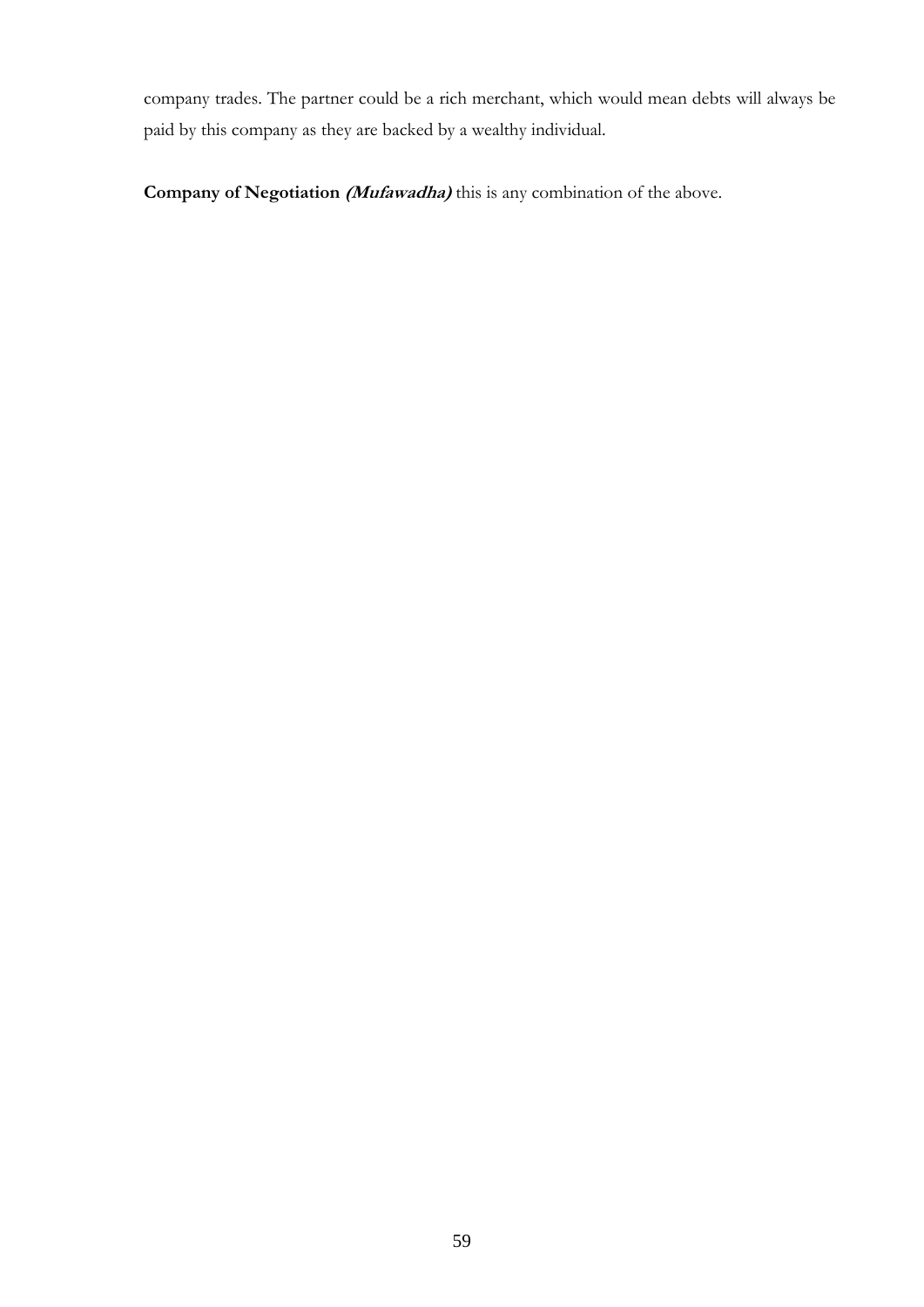company trades. The partner could be a rich merchant, which would mean debts will always be paid by this company as they are backed by a wealthy individual.

**Company of Negotiation** *(Mufawadha)* this is any combination of the above.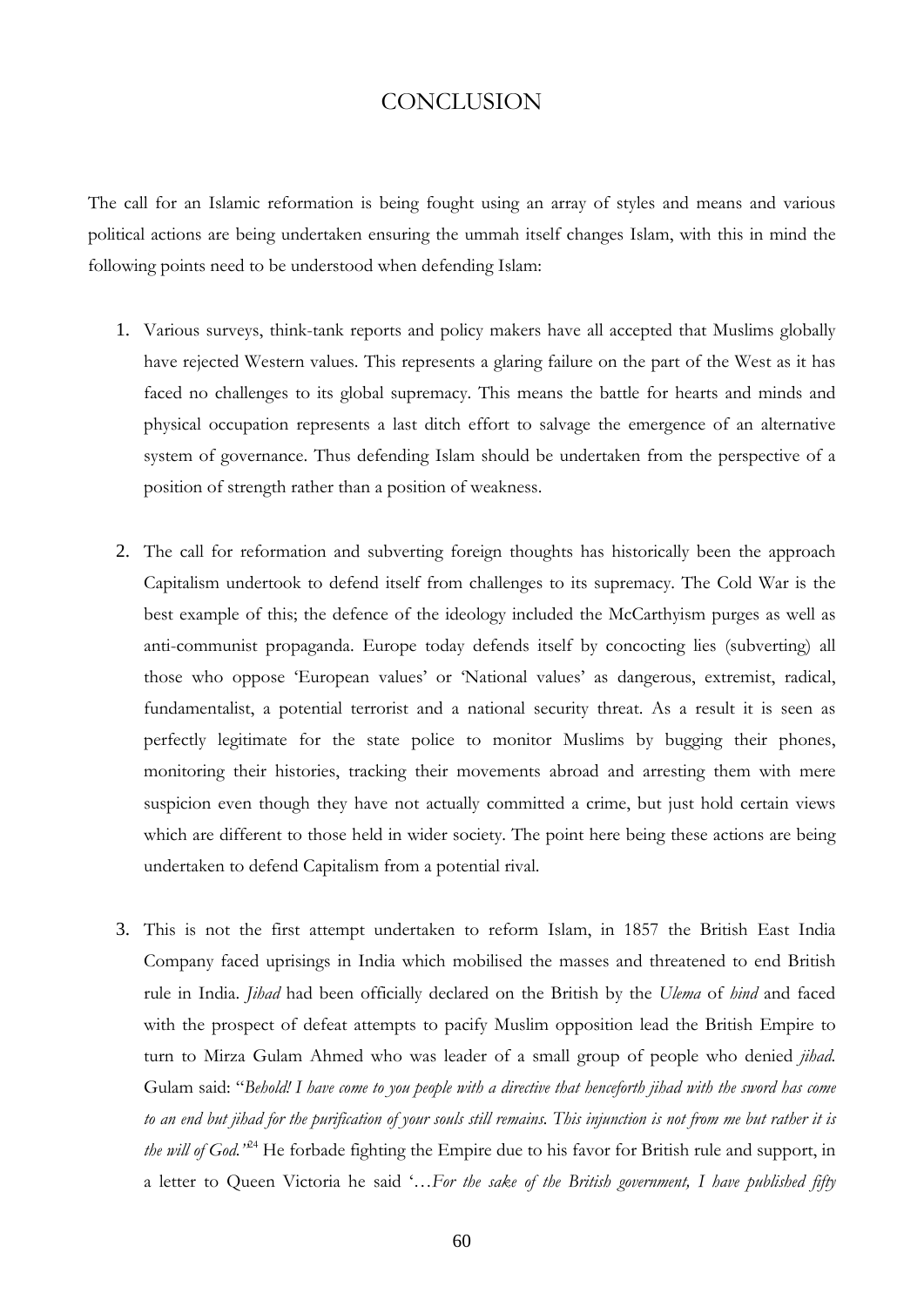# **CONCLUSION**

The call for an Islamic reformation is being fought using an array of styles and means and various political actions are being undertaken ensuring the ummah itself changes Islam, with this in mind the following points need to be understood when defending Islam:

- 1. Various surveys, think-tank reports and policy makers have all accepted that Muslims globally have rejected Western values. This represents a glaring failure on the part of the West as it has faced no challenges to its global supremacy. This means the battle for hearts and minds and physical occupation represents a last ditch effort to salvage the emergence of an alternative system of governance. Thus defending Islam should be undertaken from the perspective of a position of strength rather than a position of weakness.
- 2. The call for reformation and subverting foreign thoughts has historically been the approach Capitalism undertook to defend itself from challenges to its supremacy. The Cold War is the best example of this; the defence of the ideology included the McCarthyism purges as well as anti-communist propaganda. Europe today defends itself by concocting lies (subverting) all those who oppose 'European values' or 'National values' as dangerous, extremist, radical, fundamentalist, a potential terrorist and a national security threat. As a result it is seen as perfectly legitimate for the state police to monitor Muslims by bugging their phones, monitoring their histories, tracking their movements abroad and arresting them with mere suspicion even though they have not actually committed a crime, but just hold certain views which are different to those held in wider society. The point here being these actions are being undertaken to defend Capitalism from a potential rival.
- 3. This is not the first attempt undertaken to reform Islam, in 1857 the British East India Company faced uprisings in India which mobilised the masses and threatened to end British rule in India. *Jihad* had been officially declared on the British by the *Ulema* of *hind* and faced with the prospect of defeat attempts to pacify Muslim opposition lead the British Empire to turn to Mirza Gulam Ahmed who was leader of a small group of people who denied *jihad*. Gulam said: "*Behold! I have come to you people with a directive that henceforth jihad with the sword has come to an end but jihad for the purification of your souls still remains. This injunction is not from me but rather it is the will of God."*24 He forbade fighting the Empire due to his favor for British rule and support, in a letter to Queen Victoria he said '…*For the sake of the British government, I have published fifty*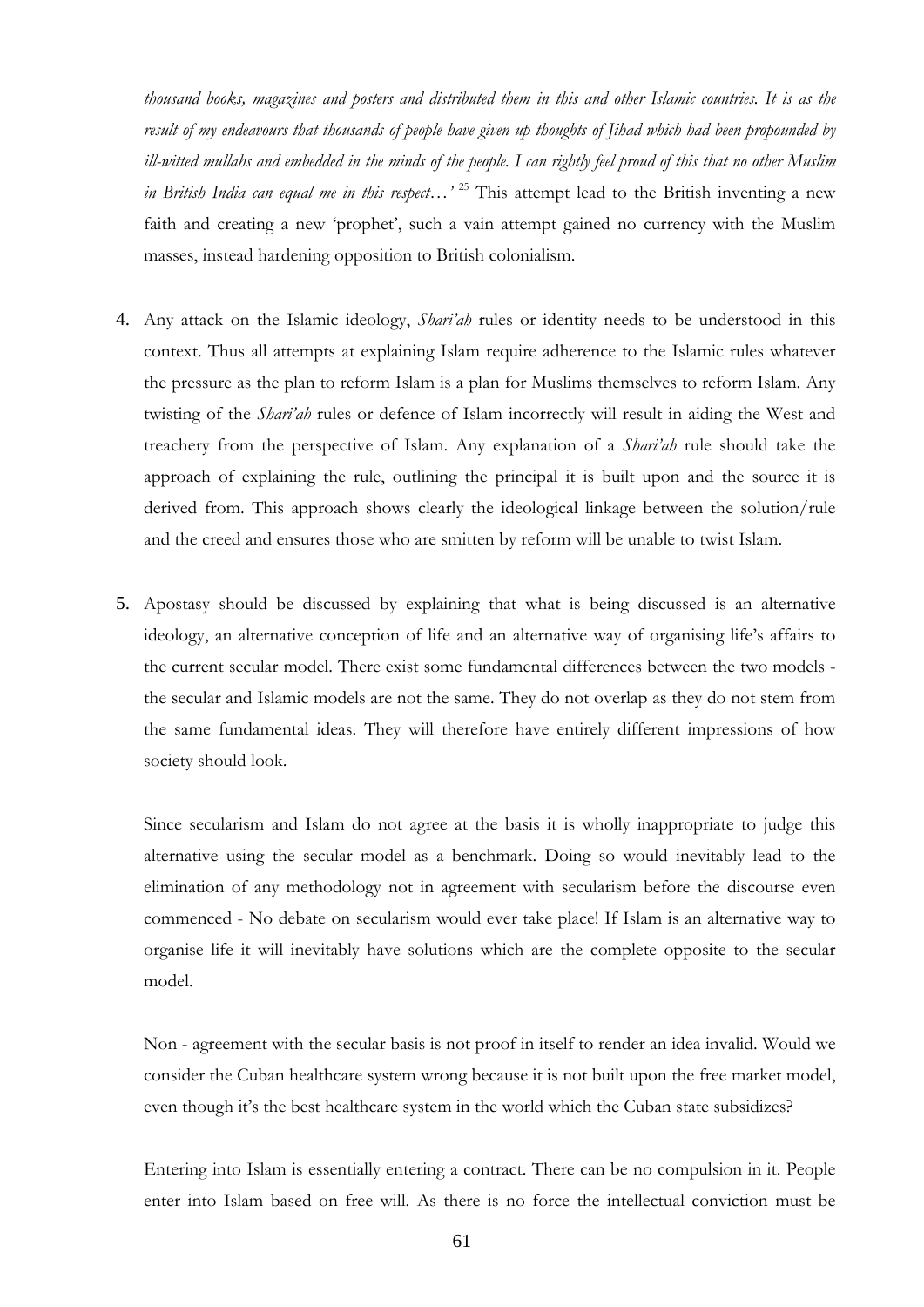*thousand books, magazines and posters and distributed them in this and other Islamic countries. It is as the result of my endeavours that thousands of people have given up thoughts of Jihad which had been propounded by ill-witted mullahs and embedded in the minds of the people. I can rightly feel proud of this that no other Muslim in British India can equal me in this respect...*<sup>25</sup> This attempt lead to the British inventing a new faith and creating a new 'prophet', such a vain attempt gained no currency with the Muslim masses, instead hardening opposition to British colonialism.

- 4. Any attack on the Islamic ideology, *Shari'ah* rules or identity needs to be understood in this context. Thus all attempts at explaining Islam require adherence to the Islamic rules whatever the pressure as the plan to reform Islam is a plan for Muslims themselves to reform Islam. Any twisting of the *Shari'ah* rules or defence of Islam incorrectly will result in aiding the West and treachery from the perspective of Islam. Any explanation of a *Shari'ah* rule should take the approach of explaining the rule, outlining the principal it is built upon and the source it is derived from. This approach shows clearly the ideological linkage between the solution/rule and the creed and ensures those who are smitten by reform will be unable to twist Islam.
- 5. Apostasy should be discussed by explaining that what is being discussed is an alternative ideology, an alternative conception of life and an alternative way of organising life's affairs to the current secular model. There exist some fundamental differences between the two models the secular and Islamic models are not the same. They do not overlap as they do not stem from the same fundamental ideas. They will therefore have entirely different impressions of how society should look.

Since secularism and Islam do not agree at the basis it is wholly inappropriate to judge this alternative using the secular model as a benchmark. Doing so would inevitably lead to the elimination of any methodology not in agreement with secularism before the discourse even commenced - No debate on secularism would ever take place! If Islam is an alternative way to organise life it will inevitably have solutions which are the complete opposite to the secular model.

Non - agreement with the secular basis is not proof in itself to render an idea invalid. Would we consider the Cuban healthcare system wrong because it is not built upon the free market model, even though it's the best healthcare system in the world which the Cuban state subsidizes?

Entering into Islam is essentially entering a contract. There can be no compulsion in it. People enter into Islam based on free will. As there is no force the intellectual conviction must be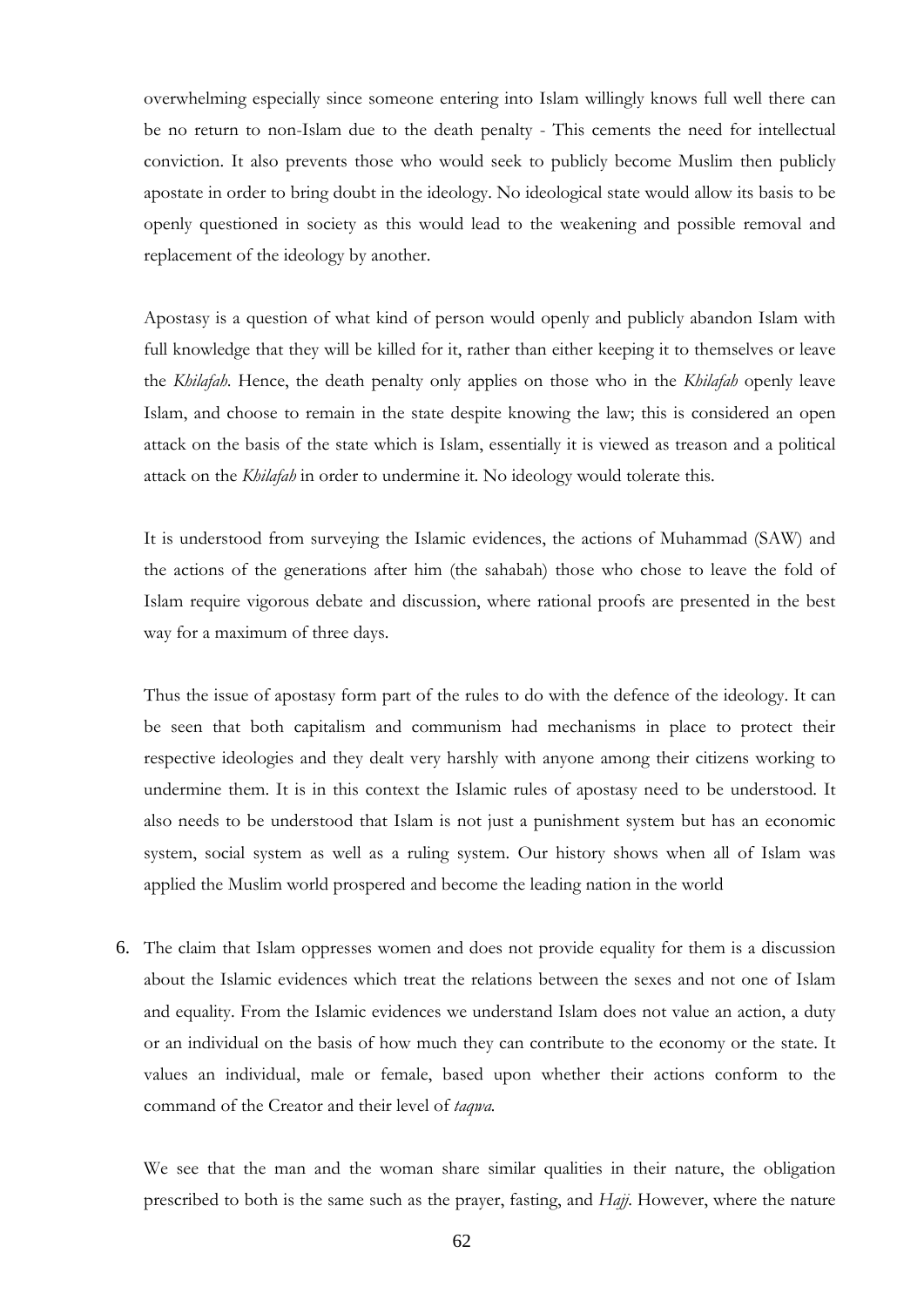overwhelming especially since someone entering into Islam willingly knows full well there can be no return to non-Islam due to the death penalty - This cements the need for intellectual conviction. It also prevents those who would seek to publicly become Muslim then publicly apostate in order to bring doubt in the ideology. No ideological state would allow its basis to be openly questioned in society as this would lead to the weakening and possible removal and replacement of the ideology by another.

Apostasy is a question of what kind of person would openly and publicly abandon Islam with full knowledge that they will be killed for it, rather than either keeping it to themselves or leave the *Khilafah*. Hence, the death penalty only applies on those who in the *Khilafah* openly leave Islam, and choose to remain in the state despite knowing the law; this is considered an open attack on the basis of the state which is Islam, essentially it is viewed as treason and a political attack on the *Khilafah* in order to undermine it. No ideology would tolerate this.

It is understood from surveying the Islamic evidences, the actions of Muhammad (SAW) and the actions of the generations after him (the sahabah) those who chose to leave the fold of Islam require vigorous debate and discussion, where rational proofs are presented in the best way for a maximum of three days.

Thus the issue of apostasy form part of the rules to do with the defence of the ideology. It can be seen that both capitalism and communism had mechanisms in place to protect their respective ideologies and they dealt very harshly with anyone among their citizens working to undermine them. It is in this context the Islamic rules of apostasy need to be understood. It also needs to be understood that Islam is not just a punishment system but has an economic system, social system as well as a ruling system. Our history shows when all of Islam was applied the Muslim world prospered and become the leading nation in the world

6. The claim that Islam oppresses women and does not provide equality for them is a discussion about the Islamic evidences which treat the relations between the sexes and not one of Islam and equality. From the Islamic evidences we understand Islam does not value an action, a duty or an individual on the basis of how much they can contribute to the economy or the state. It values an individual, male or female, based upon whether their actions conform to the command of the Creator and their level of *taqwa.*

We see that the man and the woman share similar qualities in their nature, the obligation prescribed to both is the same such as the prayer, fasting, and *Hajj*. However, where the nature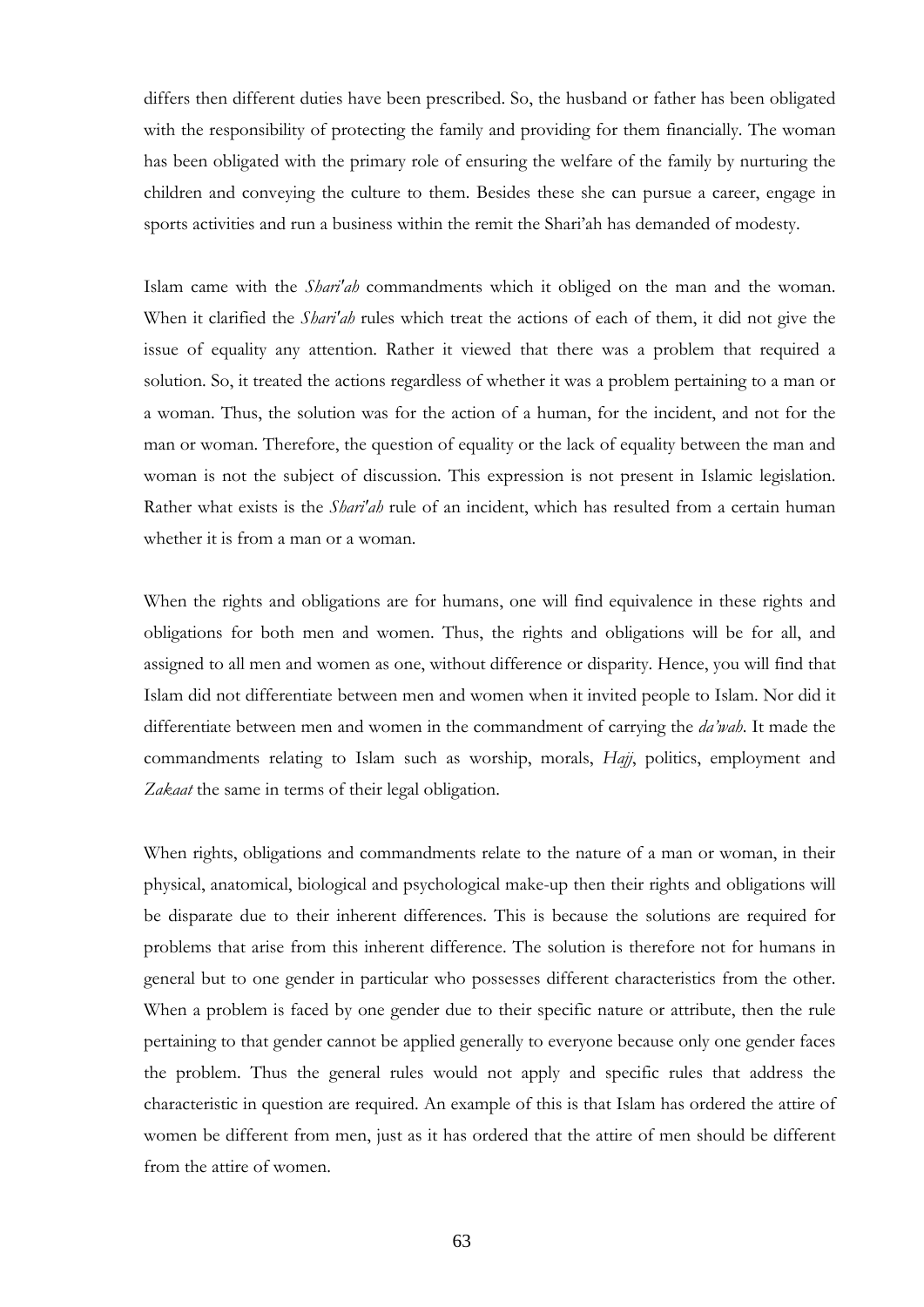differs then different duties have been prescribed. So, the husband or father has been obligated with the responsibility of protecting the family and providing for them financially. The woman has been obligated with the primary role of ensuring the welfare of the family by nurturing the children and conveying the culture to them. Besides these she can pursue a career, engage in sports activities and run a business within the remit the Shari'ah has demanded of modesty.

Islam came with the *Shari'ah* commandments which it obliged on the man and the woman. When it clarified the *Shari'ah* rules which treat the actions of each of them, it did not give the issue of equality any attention. Rather it viewed that there was a problem that required a solution. So, it treated the actions regardless of whether it was a problem pertaining to a man or a woman. Thus, the solution was for the action of a human, for the incident, and not for the man or woman. Therefore, the question of equality or the lack of equality between the man and woman is not the subject of discussion. This expression is not present in Islamic legislation. Rather what exists is the *Shari'ah* rule of an incident, which has resulted from a certain human whether it is from a man or a woman.

When the rights and obligations are for humans, one will find equivalence in these rights and obligations for both men and women. Thus, the rights and obligations will be for all, and assigned to all men and women as one, without difference or disparity. Hence, you will find that Islam did not differentiate between men and women when it invited people to Islam. Nor did it differentiate between men and women in the commandment of carrying the *da'wah*. It made the commandments relating to Islam such as worship, morals, *Hajj*, politics, employment and *Zakaat* the same in terms of their legal obligation.

When rights, obligations and commandments relate to the nature of a man or woman, in their physical, anatomical, biological and psychological make-up then their rights and obligations will be disparate due to their inherent differences. This is because the solutions are required for problems that arise from this inherent difference. The solution is therefore not for humans in general but to one gender in particular who possesses different characteristics from the other. When a problem is faced by one gender due to their specific nature or attribute, then the rule pertaining to that gender cannot be applied generally to everyone because only one gender faces the problem. Thus the general rules would not apply and specific rules that address the characteristic in question are required. An example of this is that Islam has ordered the attire of women be different from men, just as it has ordered that the attire of men should be different from the attire of women.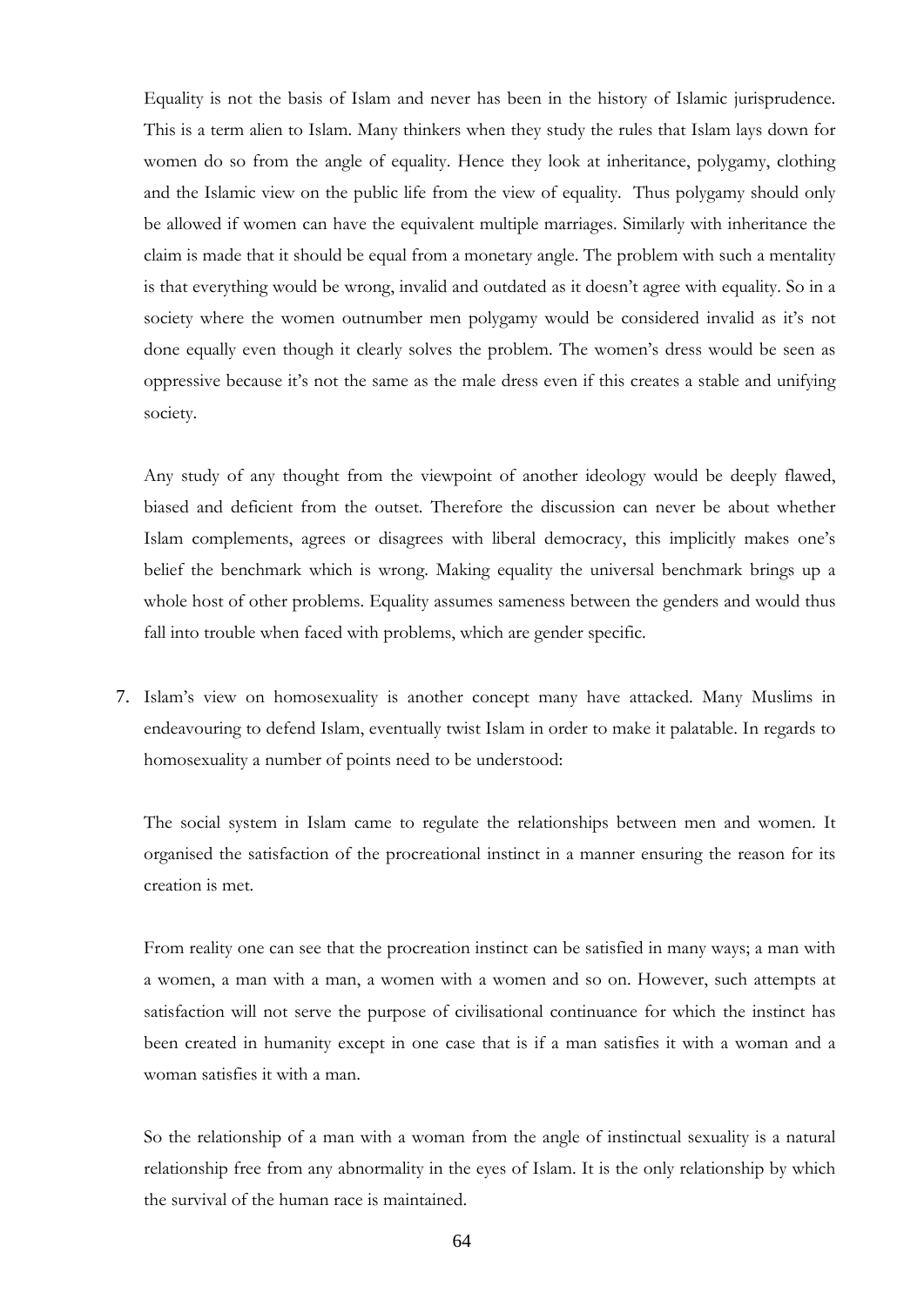Equality is not the basis of Islam and never has been in the history of Islamic jurisprudence. This is a term alien to Islam. Many thinkers when they study the rules that Islam lays down for women do so from the angle of equality. Hence they look at inheritance, polygamy, clothing and the Islamic view on the public life from the view of equality. Thus polygamy should only be allowed if women can have the equivalent multiple marriages. Similarly with inheritance the claim is made that it should be equal from a monetary angle. The problem with such a mentality is that everything would be wrong, invalid and outdated as it doesn't agree with equality. So in a society where the women outnumber men polygamy would be considered invalid as it's not done equally even though it clearly solves the problem. The women's dress would be seen as oppressive because it's not the same as the male dress even if this creates a stable and unifying society.

Any study of any thought from the viewpoint of another ideology would be deeply flawed, biased and deficient from the outset. Therefore the discussion can never be about whether Islam complements, agrees or disagrees with liberal democracy, this implicitly makes one's belief the benchmark which is wrong. Making equality the universal benchmark brings up a whole host of other problems. Equality assumes sameness between the genders and would thus fall into trouble when faced with problems, which are gender specific.

7. Islam's view on homosexuality is another concept many have attacked. Many Muslims in endeavouring to defend Islam, eventually twist Islam in order to make it palatable. In regards to homosexuality a number of points need to be understood:

The social system in Islam came to regulate the relationships between men and women. It organised the satisfaction of the procreational instinct in a manner ensuring the reason for its creation is met.

From reality one can see that the procreation instinct can be satisfied in many ways; a man with a women, a man with a man, a women with a women and so on. However, such attempts at satisfaction will not serve the purpose of civilisational continuance for which the instinct has been created in humanity except in one case that is if a man satisfies it with a woman and a woman satisfies it with a man.

So the relationship of a man with a woman from the angle of instinctual sexuality is a natural relationship free from any abnormality in the eyes of Islam. It is the only relationship by which the survival of the human race is maintained.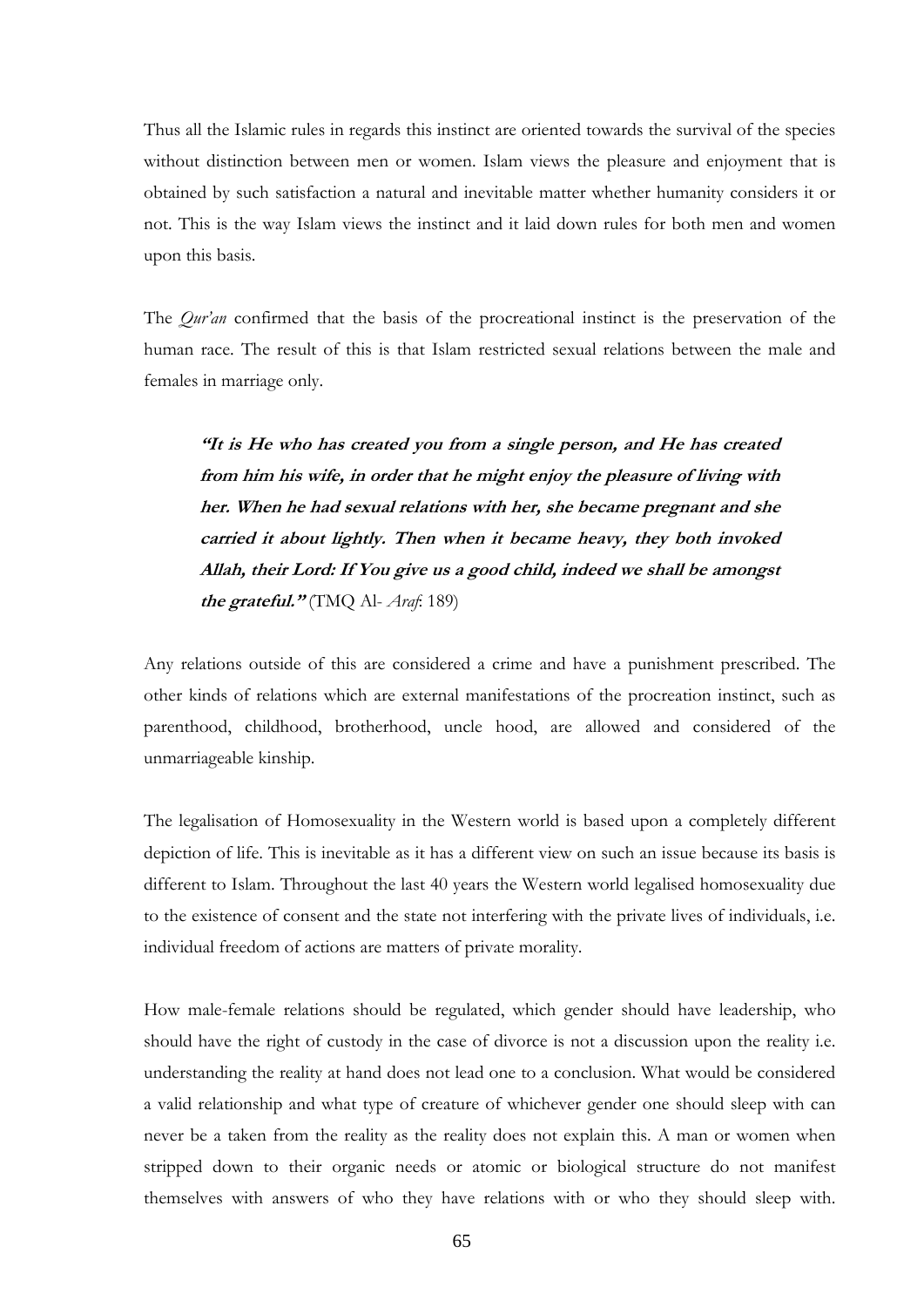Thus all the Islamic rules in regards this instinct are oriented towards the survival of the species without distinction between men or women. Islam views the pleasure and enjoyment that is obtained by such satisfaction a natural and inevitable matter whether humanity considers it or not. This is the way Islam views the instinct and it laid down rules for both men and women upon this basis.

The *Qur'an* confirmed that the basis of the procreational instinct is the preservation of the human race. The result of this is that Islam restricted sexual relations between the male and females in marriage only.

**"It is He who has created you from a single person, and He has created from him his wife, in order that he might enjoy the pleasure of living with her. When he had sexual relations with her, she became pregnant and she carried it about lightly. Then when it became heavy, they both invoked Allah, their Lord: If You give us a good child, indeed we shall be amongst the grateful."** (TMQ Al- *Araf*: 189)

Any relations outside of this are considered a crime and have a punishment prescribed. The other kinds of relations which are external manifestations of the procreation instinct, such as parenthood, childhood, brotherhood, uncle hood, are allowed and considered of the unmarriageable kinship.

The legalisation of Homosexuality in the Western world is based upon a completely different depiction of life. This is inevitable as it has a different view on such an issue because its basis is different to Islam. Throughout the last 40 years the Western world legalised homosexuality due to the existence of consent and the state not interfering with the private lives of individuals, i.e. individual freedom of actions are matters of private morality.

How male-female relations should be regulated, which gender should have leadership, who should have the right of custody in the case of divorce is not a discussion upon the reality i.e. understanding the reality at hand does not lead one to a conclusion. What would be considered a valid relationship and what type of creature of whichever gender one should sleep with can never be a taken from the reality as the reality does not explain this. A man or women when stripped down to their organic needs or atomic or biological structure do not manifest themselves with answers of who they have relations with or who they should sleep with.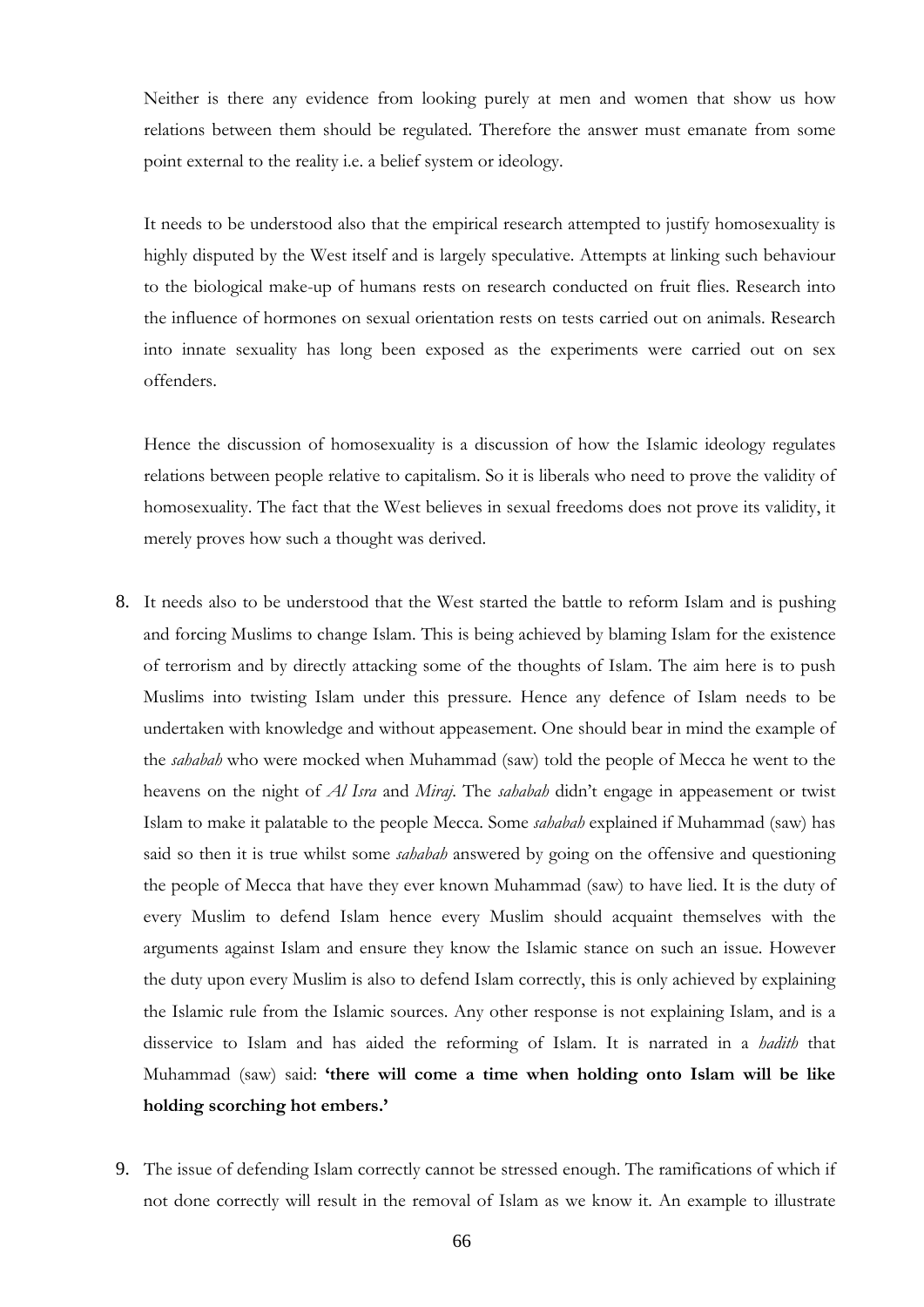Neither is there any evidence from looking purely at men and women that show us how relations between them should be regulated. Therefore the answer must emanate from some point external to the reality i.e. a belief system or ideology.

It needs to be understood also that the empirical research attempted to justify homosexuality is highly disputed by the West itself and is largely speculative. Attempts at linking such behaviour to the biological make-up of humans rests on research conducted on fruit flies. Research into the influence of hormones on sexual orientation rests on tests carried out on animals. Research into innate sexuality has long been exposed as the experiments were carried out on sex offenders.

Hence the discussion of homosexuality is a discussion of how the Islamic ideology regulates relations between people relative to capitalism. So it is liberals who need to prove the validity of homosexuality. The fact that the West believes in sexual freedoms does not prove its validity, it merely proves how such a thought was derived.

- 8. It needs also to be understood that the West started the battle to reform Islam and is pushing and forcing Muslims to change Islam. This is being achieved by blaming Islam for the existence of terrorism and by directly attacking some of the thoughts of Islam. The aim here is to push Muslims into twisting Islam under this pressure. Hence any defence of Islam needs to be undertaken with knowledge and without appeasement. One should bear in mind the example of the *sahabah* who were mocked when Muhammad (saw) told the people of Mecca he went to the heavens on the night of *Al Isra* and *Miraj*. The *sahabah* didn't engage in appeasement or twist Islam to make it palatable to the people Mecca. Some *sahabah* explained if Muhammad (saw) has said so then it is true whilst some *sahabah* answered by going on the offensive and questioning the people of Mecca that have they ever known Muhammad (saw) to have lied. It is the duty of every Muslim to defend Islam hence every Muslim should acquaint themselves with the arguments against Islam and ensure they know the Islamic stance on such an issue. However the duty upon every Muslim is also to defend Islam correctly, this is only achieved by explaining the Islamic rule from the Islamic sources. Any other response is not explaining Islam, and is a disservice to Islam and has aided the reforming of Islam. It is narrated in a *hadith* that Muhammad (saw) said: **'there will come a time when holding onto Islam will be like holding scorching hot embers.'**
- 9. The issue of defending Islam correctly cannot be stressed enough. The ramifications of which if not done correctly will result in the removal of Islam as we know it. An example to illustrate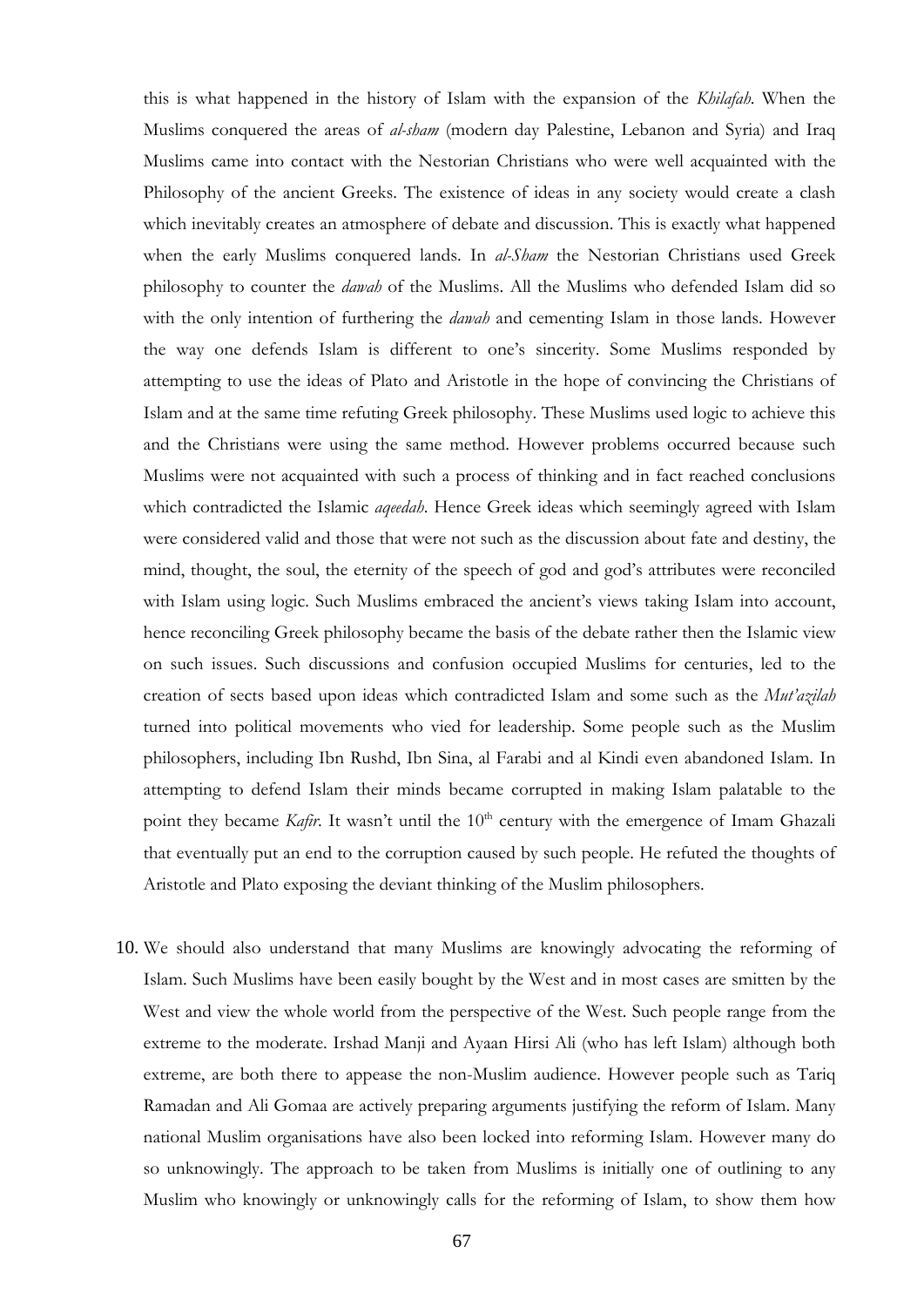this is what happened in the history of Islam with the expansion of the *Khilafah*. When the Muslims conquered the areas of *al-sham* (modern day Palestine, Lebanon and Syria) and Iraq Muslims came into contact with the Nestorian Christians who were well acquainted with the Philosophy of the ancient Greeks. The existence of ideas in any society would create a clash which inevitably creates an atmosphere of debate and discussion. This is exactly what happened when the early Muslims conquered lands. In *al-Sham* the Nestorian Christians used Greek philosophy to counter the *dawah* of the Muslims. All the Muslims who defended Islam did so with the only intention of furthering the *dawah* and cementing Islam in those lands. However the way one defends Islam is different to one's sincerity. Some Muslims responded by attempting to use the ideas of Plato and Aristotle in the hope of convincing the Christians of Islam and at the same time refuting Greek philosophy. These Muslims used logic to achieve this and the Christians were using the same method. However problems occurred because such Muslims were not acquainted with such a process of thinking and in fact reached conclusions which contradicted the Islamic *aqeedah*. Hence Greek ideas which seemingly agreed with Islam were considered valid and those that were not such as the discussion about fate and destiny, the mind, thought, the soul, the eternity of the speech of god and god's attributes were reconciled with Islam using logic. Such Muslims embraced the ancient's views taking Islam into account, hence reconciling Greek philosophy became the basis of the debate rather then the Islamic view on such issues. Such discussions and confusion occupied Muslims for centuries, led to the creation of sects based upon ideas which contradicted Islam and some such as the *Mut'azilah* turned into political movements who vied for leadership. Some people such as the Muslim philosophers, including Ibn Rushd, Ibn Sina, al Farabi and al Kindi even abandoned Islam. In attempting to defend Islam their minds became corrupted in making Islam palatable to the point they became *Kafir*. It wasn't until the 10<sup>th</sup> century with the emergence of Imam Ghazali that eventually put an end to the corruption caused by such people. He refuted the thoughts of Aristotle and Plato exposing the deviant thinking of the Muslim philosophers.

10. We should also understand that many Muslims are knowingly advocating the reforming of Islam. Such Muslims have been easily bought by the West and in most cases are smitten by the West and view the whole world from the perspective of the West. Such people range from the extreme to the moderate. Irshad Manji and Ayaan Hirsi Ali (who has left Islam) although both extreme, are both there to appease the non-Muslim audience. However people such as Tariq Ramadan and Ali Gomaa are actively preparing arguments justifying the reform of Islam. Many national Muslim organisations have also been locked into reforming Islam. However many do so unknowingly. The approach to be taken from Muslims is initially one of outlining to any Muslim who knowingly or unknowingly calls for the reforming of Islam, to show them how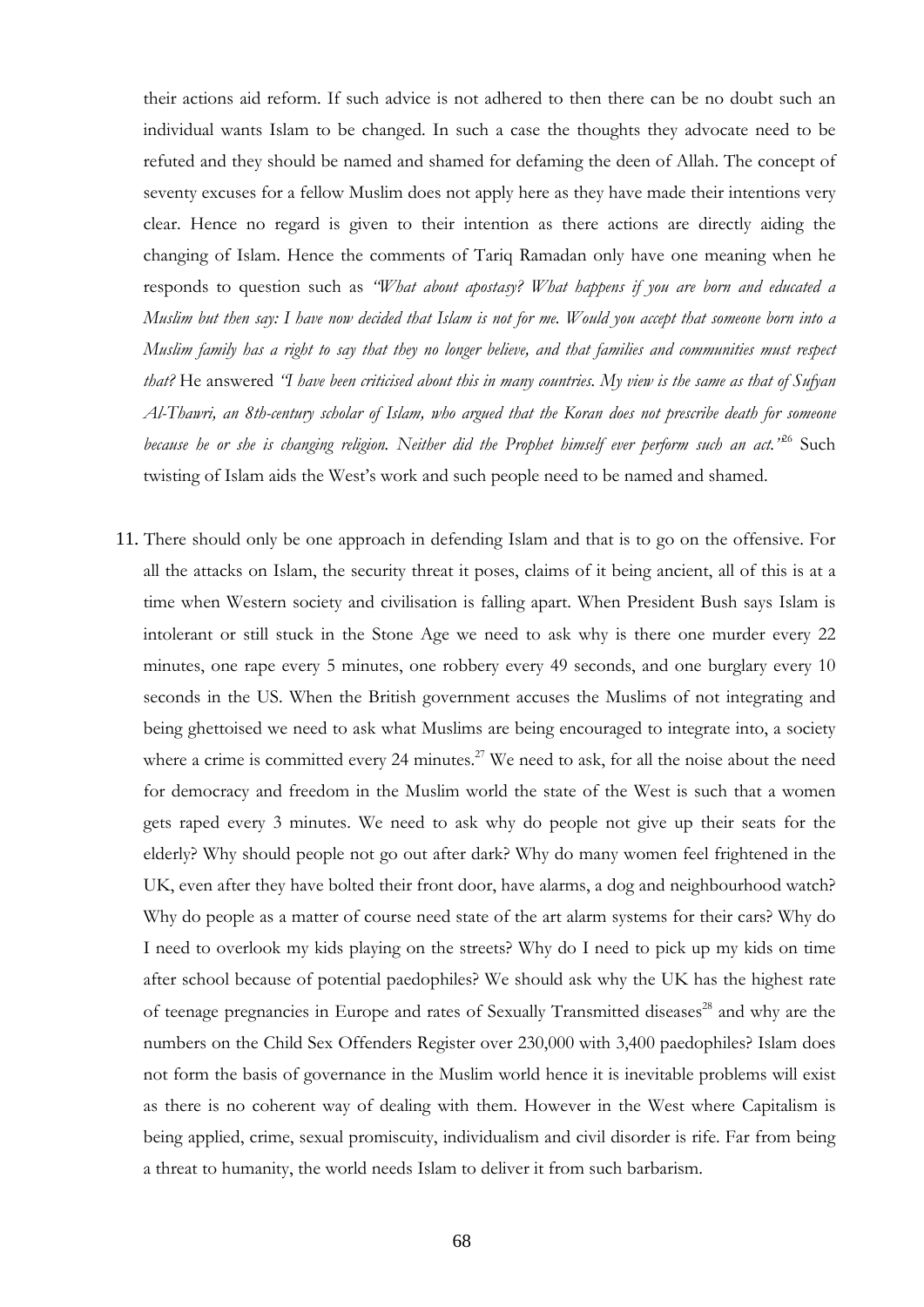their actions aid reform. If such advice is not adhered to then there can be no doubt such an individual wants Islam to be changed. In such a case the thoughts they advocate need to be refuted and they should be named and shamed for defaming the deen of Allah. The concept of seventy excuses for a fellow Muslim does not apply here as they have made their intentions very clear. Hence no regard is given to their intention as there actions are directly aiding the changing of Islam. Hence the comments of Tariq Ramadan only have one meaning when he responds to question such as *"What about apostasy? What happens if you are born and educated a Muslim but then say: I have now decided that Islam is not for me. Would you accept that someone born into a Muslim family has a right to say that they no longer believe, and that families and communities must respect that?* He answered *"I have been criticised about this in many countries. My view is the same as that of Sufyan Al-Thawri, an 8th-century scholar of Islam, who argued that the Koran does not prescribe death for someone because he or she is changing religion. Neither did the Prophet himself ever perform such an act."*26 Such twisting of Islam aids the West's work and such people need to be named and shamed.

11. There should only be one approach in defending Islam and that is to go on the offensive. For all the attacks on Islam, the security threat it poses, claims of it being ancient, all of this is at a time when Western society and civilisation is falling apart. When President Bush says Islam is intolerant or still stuck in the Stone Age we need to ask why is there one murder every 22 minutes, one rape every 5 minutes, one robbery every 49 seconds, and one burglary every 10 seconds in the US. When the British government accuses the Muslims of not integrating and being ghettoised we need to ask what Muslims are being encouraged to integrate into, a society where a crime is committed every 24 minutes.<sup>27</sup> We need to ask, for all the noise about the need for democracy and freedom in the Muslim world the state of the West is such that a women gets raped every 3 minutes. We need to ask why do people not give up their seats for the elderly? Why should people not go out after dark? Why do many women feel frightened in the UK, even after they have bolted their front door, have alarms, a dog and neighbourhood watch? Why do people as a matter of course need state of the art alarm systems for their cars? Why do I need to overlook my kids playing on the streets? Why do I need to pick up my kids on time after school because of potential paedophiles? We should ask why the UK has the highest rate of teenage pregnancies in Europe and rates of Sexually Transmitted diseases<sup>28</sup> and why are the numbers on the Child Sex Offenders Register over 230,000 with 3,400 paedophiles? Islam does not form the basis of governance in the Muslim world hence it is inevitable problems will exist as there is no coherent way of dealing with them. However in the West where Capitalism is being applied, crime, sexual promiscuity, individualism and civil disorder is rife. Far from being a threat to humanity, the world needs Islam to deliver it from such barbarism.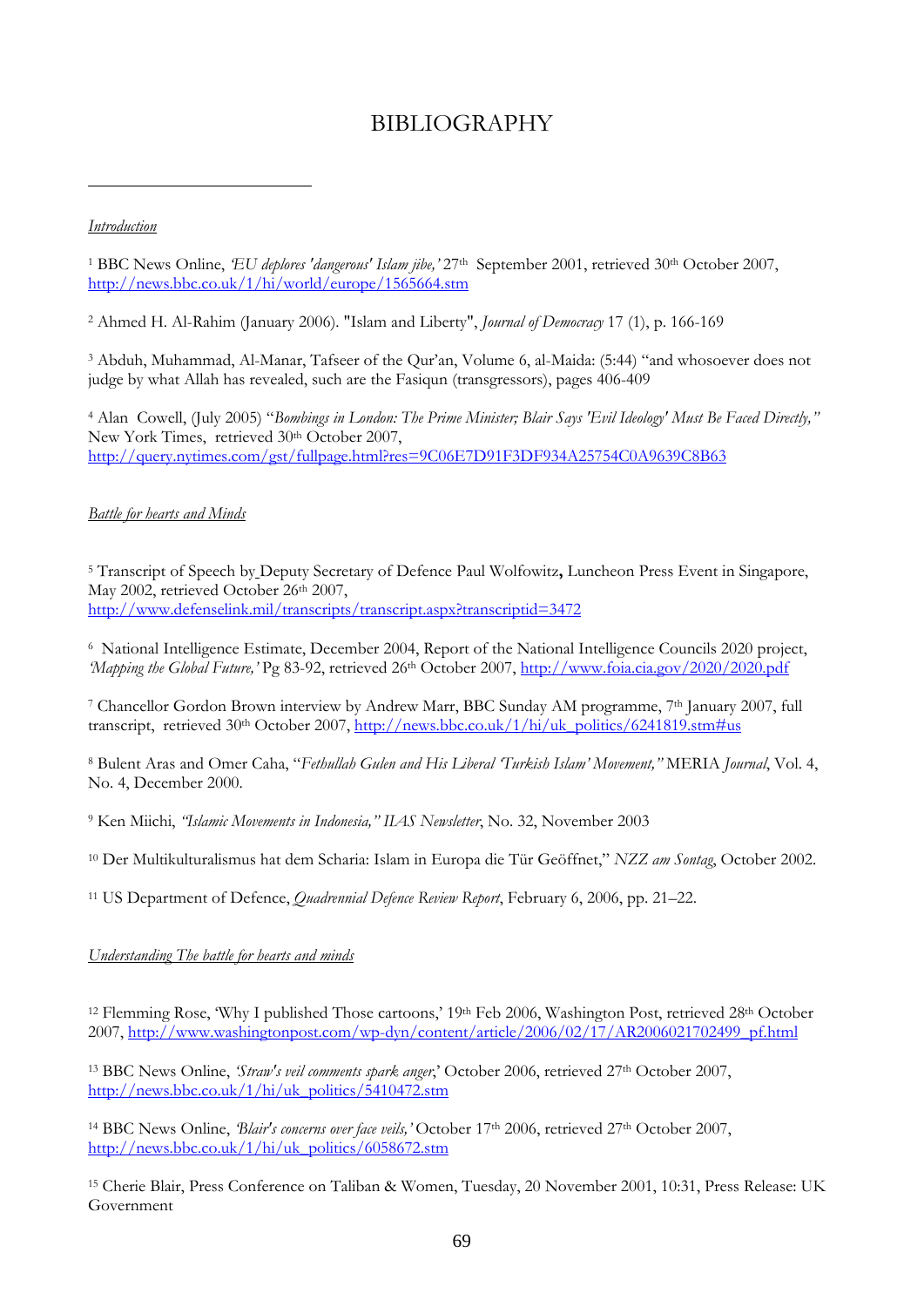# BIBLIOGRAPHY

*Introduction*

 $\overline{a}$ 

<sup>1</sup> BBC News Online, *'EU deplores' dangerous' Islam jibe*, '27<sup>th</sup> September 2001, retrieved 30<sup>th</sup> October 2007, http://news.bbc.co.uk/1/hi/world/europe/1565664.stm

2 Ahmed H. Al-Rahim (January 2006). "Islam and Liberty", *Journal of Democracy* 17 (1), p. 166-169

3 Abduh, Muhammad, Al-Manar, Tafseer of the Qur'an, Volume 6, al-Maida: (5:44) "and whosoever does not judge by what Allah has revealed, such are the Fasiqun (transgressors), pages 406-409

4 Alan Cowell, (July 2005) "*Bombings in London: The Prime Minister; Blair Says 'Evil Ideology' Must Be Faced Directly,"*  New York Times, retrieved 30<sup>th</sup> October 2007, http://query.nytimes.com/gst/fullpage.html?res=9C06E7D91F3DF934A25754C0A9639C8B63

#### *Battle for hearts and Minds*

5 Transcript of Speech by Deputy Secretary of Defence Paul Wolfowitz**,** Luncheon Press Event in Singapore, May 2002, retrieved October 26th 2007, http://www.defenselink.mil/transcripts/transcript.aspx?transcriptid=3472

6 National Intelligence Estimate, December 2004, Report of the National Intelligence Councils 2020 project, *'Mapping the Global Future,'* Pg 83-92, retrieved 26th October 2007, http://www.foia.cia.gov/2020/2020.pdf

7 Chancellor Gordon Brown interview by Andrew Marr, BBC Sunday AM programme, 7th January 2007, full transcript, retrieved 30<sup>th</sup> October 2007, http://news.bbc.co.uk/1/hi/uk\_politics/6241819.stm#us

8 Bulent Aras and Omer Caha, "*Fethullah Gulen and His Liberal 'Turkish Islam' Movement,"* MERIA *Journal*, Vol. 4, No. 4, December 2000.

9 Ken Miichi, *"Islamic Movements in Indonesia," IIAS Newsletter*, No. 32, November 2003

10 Der Multikulturalismus hat dem Scharia: Islam in Europa die Tür Geöffnet," *NZZ am Sontag*, October 2002.

11 US Department of Defence, *Quadrennial Defence Review Report*, February 6, 2006, pp. 21–22.

#### *Understanding The battle for hearts and minds*

<sup>12</sup> Flemming Rose, 'Why I published Those cartoons,' 19th Feb 2006, Washington Post, retrieved 28th October 2007, http://www.washingtonpost.com/wp-dyn/content/article/2006/02/17/AR2006021702499\_pf.html

13 BBC News Online, *'Straw's veil comments spark anger*,' October 2006, retrieved 27th October 2007, http://news.bbc.co.uk/1/hi/uk\_politics/5410472.stm

14 BBC News Online, *'Blair's concerns over face veils,'* October 17th 2006, retrieved 27th October 2007, http://news.bbc.co.uk/1/hi/uk\_politics/6058672.stm

15 Cherie Blair, Press Conference on Taliban & Women, Tuesday, 20 November 2001, 10:31, Press Release: UK Government